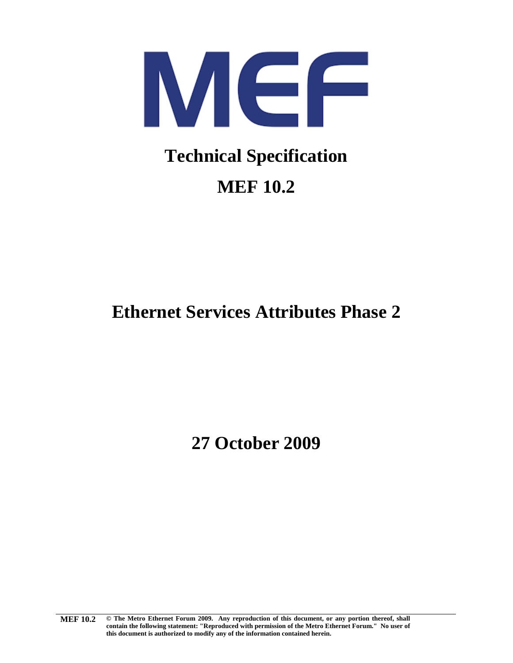<span id="page-0-0"></span>

## **[MEF 10.2](#page-0-0)**

### **[Ethernet Services Attributes Phase 2](#page-0-0)**

**[27 October 2009](#page-0-0)**

**[MEF](#page-0-0) 10.2 © The Metro Ethernet Forum 2009. Any reproduction of this document, or any portion thereof, shall contain the following statement: "Reproduced with permission of the Metro Ethernet Forum." No user of this document is authorized to modify any of the information contained herein.**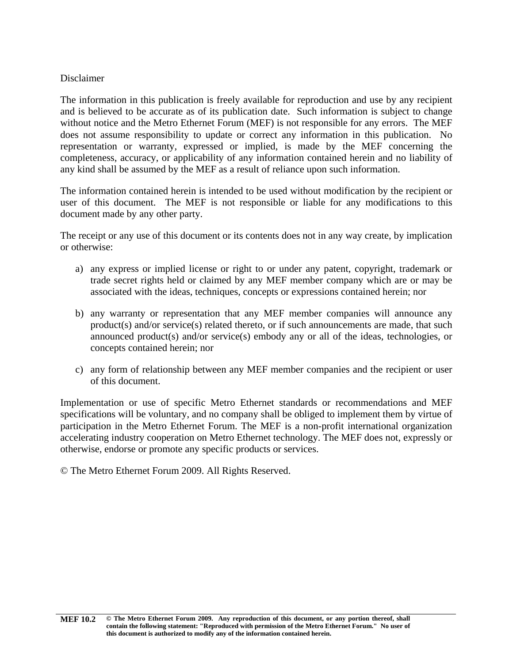#### Disclaimer

The information in this publication is freely available for reproduction and use by any recipient and is believed to be accurate as of its publication date. Such information is subject to change without notice and the Metro Ethernet Forum (MEF) is not responsible for any errors. The MEF does not assume responsibility to update or correct any information in this publication. No representation or warranty, expressed or implied, is made by the MEF concerning the completeness, accuracy, or applicability of any information contained herein and no liability of any kind shall be assumed by the MEF as a result of reliance upon such information.

The information contained herein is intended to be used without modification by the recipient or user of this document. The MEF is not responsible or liable for any modifications to this document made by any other party.

The receipt or any use of this document or its contents does not in any way create, by implication or otherwise:

- a) any express or implied license or right to or under any patent, copyright, trademark or trade secret rights held or claimed by any MEF member company which are or may be associated with the ideas, techniques, concepts or expressions contained herein; nor
- b) any warranty or representation that any MEF member companies will announce any product(s) and/or service(s) related thereto, or if such announcements are made, that such announced product(s) and/or service(s) embody any or all of the ideas, technologies, or concepts contained herein; nor
- c) any form of relationship between any MEF member companies and the recipient or user of this document.

Implementation or use of specific Metro Ethernet standards or recommendations and MEF specifications will be voluntary, and no company shall be obliged to implement them by virtue of participation in the Metro Ethernet Forum. The MEF is a non-profit international organization accelerating industry cooperation on Metro Ethernet technology. The MEF does not, expressly or otherwise, endorse or promote any specific products or services.

© The Metro Ethernet Forum 2009. All Rights Reserved.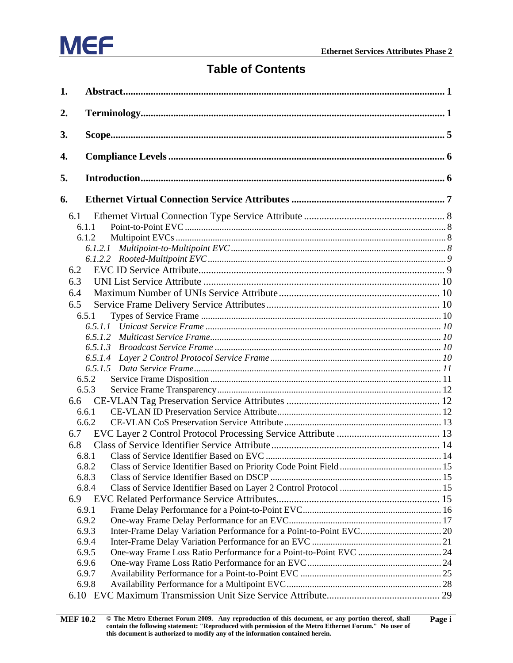

#### **Table of Contents**

| 1.  |                |  |
|-----|----------------|--|
| 2.  |                |  |
| 3.  |                |  |
| 4.  |                |  |
| 5.  |                |  |
| 6.  |                |  |
| 6.1 |                |  |
|     | 6.1.1          |  |
|     | 6.1.2          |  |
|     | 6.1.2.1        |  |
|     |                |  |
| 6.2 |                |  |
| 6.3 |                |  |
| 6.4 |                |  |
| 6.5 |                |  |
|     | 6.5.1          |  |
|     |                |  |
|     |                |  |
|     |                |  |
|     |                |  |
|     |                |  |
|     | 6.5.2          |  |
|     | 6.5.3          |  |
| 6.6 |                |  |
|     | 6.6.1          |  |
|     | 6.6.2          |  |
| 6.7 |                |  |
| 6.8 |                |  |
|     | 6.8.1          |  |
|     | 6.8.2          |  |
|     | 6.8.3          |  |
|     | 6.8.4          |  |
| 6.9 |                |  |
|     | 6.9.1          |  |
|     | 6.9.2          |  |
|     | 6.9.3          |  |
|     | 6.9.4          |  |
|     | 6.9.5<br>6.9.6 |  |
|     | 6.9.7          |  |
|     | 6.9.8          |  |
|     |                |  |
|     |                |  |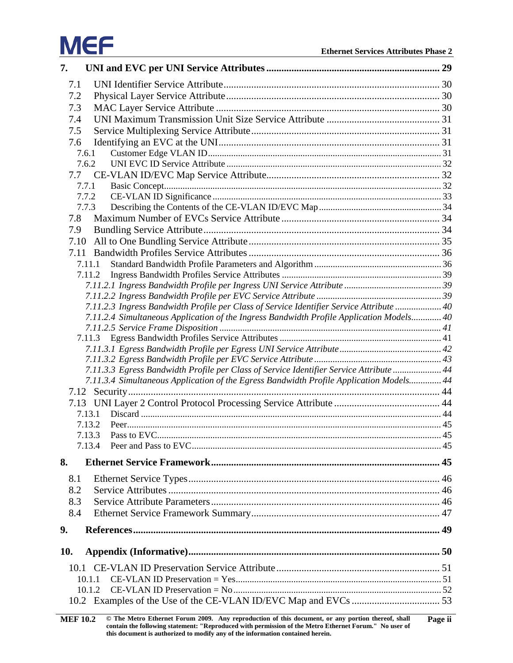# **MEF**

| 7.  |                                                                                          |  |
|-----|------------------------------------------------------------------------------------------|--|
| 7.1 |                                                                                          |  |
| 7.2 |                                                                                          |  |
| 7.3 |                                                                                          |  |
| 7.4 |                                                                                          |  |
| 7.5 |                                                                                          |  |
| 7.6 |                                                                                          |  |
|     | 7.6.1                                                                                    |  |
|     | 7.6.2                                                                                    |  |
|     | 7.7                                                                                      |  |
|     | 7.7.1                                                                                    |  |
|     | 7.7.2                                                                                    |  |
|     | 7.7.3                                                                                    |  |
| 7.8 |                                                                                          |  |
| 7.9 |                                                                                          |  |
|     | 7.10                                                                                     |  |
|     | 7.11                                                                                     |  |
|     | 7.11.1                                                                                   |  |
|     | 7.11.2                                                                                   |  |
|     |                                                                                          |  |
|     |                                                                                          |  |
|     | 7.11.2.3 Ingress Bandwidth Profile per Class of Service Identifier Service Attribute  40 |  |
|     | 7.11.2.4 Simultaneous Application of the Ingress Bandwidth Profile Application Models 40 |  |
|     |                                                                                          |  |
|     |                                                                                          |  |
|     |                                                                                          |  |
|     | 7.11.3.3 Egress Bandwidth Profile per Class of Service Identifier Service Attribute  44  |  |
|     | 7.11.3.4 Simultaneous Application of the Egress Bandwidth Profile Application Models 44  |  |
|     |                                                                                          |  |
|     |                                                                                          |  |
|     | 7.13.1                                                                                   |  |
|     | 7.13.2                                                                                   |  |
|     | 7.13.3                                                                                   |  |
|     | 7.13.4                                                                                   |  |
| 8.  |                                                                                          |  |
| 8.1 |                                                                                          |  |
|     |                                                                                          |  |
| 8.2 |                                                                                          |  |
| 8.3 |                                                                                          |  |
| 8.4 |                                                                                          |  |
| 9.  |                                                                                          |  |
|     |                                                                                          |  |
| 10. |                                                                                          |  |
|     |                                                                                          |  |
|     | 10.1.1                                                                                   |  |
|     | 10.1.2                                                                                   |  |
|     |                                                                                          |  |
|     |                                                                                          |  |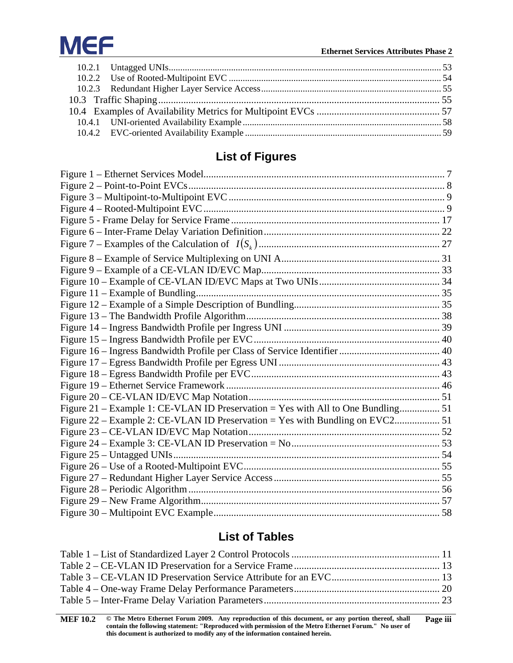

### **List of Figures**

| Figure 21 – Example 1: CE-VLAN ID Preservation = Yes with All to One Bundling 51 |  |
|----------------------------------------------------------------------------------|--|
|                                                                                  |  |
|                                                                                  |  |
|                                                                                  |  |
|                                                                                  |  |
|                                                                                  |  |
|                                                                                  |  |
|                                                                                  |  |
|                                                                                  |  |
|                                                                                  |  |

### **List of Tables**

| <b>MEF 10.2</b> | © The Metro Ethernet Forum 2009. Any reproduction of this document, or any portion thereof, shall     | Page iii |
|-----------------|-------------------------------------------------------------------------------------------------------|----------|
|                 | contain the following statement: "Reproduced with permission of the Metro Ethernet Forum." No user of |          |
|                 | this document is authorized to modify any of the information contained herein.                        |          |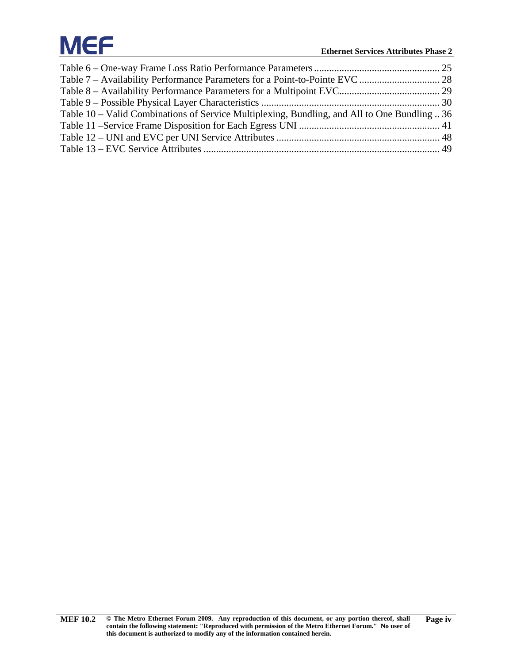# **MEF**

| Table 10 – Valid Combinations of Service Multiplexing, Bundling, and All to One Bundling  36 |  |
|----------------------------------------------------------------------------------------------|--|
|                                                                                              |  |
|                                                                                              |  |
|                                                                                              |  |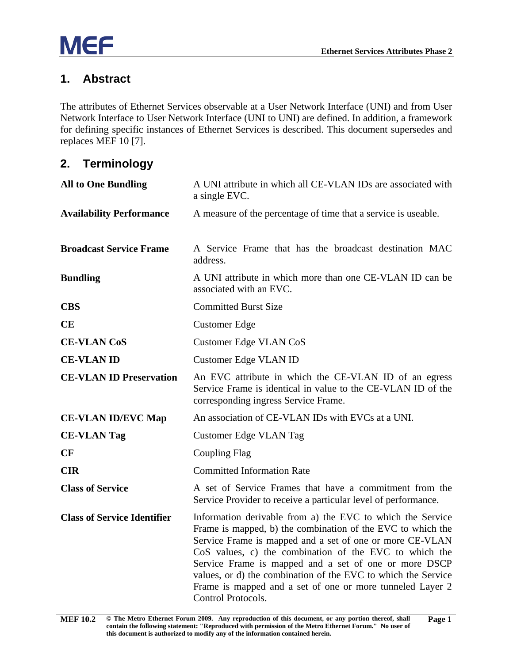#### <span id="page-6-0"></span>**1. Abstract**

The attributes of Ethernet Services observable at a User Network Interface (UNI) and from User Network Interface to User Network Interface (UNI to UNI) are defined. In addition, a framework for defining specific instances of Ethernet Services is described. This document supersedes and replaces MEF 10 [\[7\].](#page-55-1)

#### <span id="page-6-1"></span>**2. Terminology**

| <b>All to One Bundling</b>         | A UNI attribute in which all CE-VLAN IDs are associated with<br>a single EVC.                                                                                                                                                                                                                                                                                                                                                                                |
|------------------------------------|--------------------------------------------------------------------------------------------------------------------------------------------------------------------------------------------------------------------------------------------------------------------------------------------------------------------------------------------------------------------------------------------------------------------------------------------------------------|
| <b>Availability Performance</b>    | A measure of the percentage of time that a service is useable.                                                                                                                                                                                                                                                                                                                                                                                               |
| <b>Broadcast Service Frame</b>     | A Service Frame that has the broadcast destination MAC<br>address.                                                                                                                                                                                                                                                                                                                                                                                           |
| <b>Bundling</b>                    | A UNI attribute in which more than one CE-VLAN ID can be<br>associated with an EVC.                                                                                                                                                                                                                                                                                                                                                                          |
| <b>CBS</b>                         | <b>Committed Burst Size</b>                                                                                                                                                                                                                                                                                                                                                                                                                                  |
| CE                                 | <b>Customer Edge</b>                                                                                                                                                                                                                                                                                                                                                                                                                                         |
| <b>CE-VLAN CoS</b>                 | Customer Edge VLAN CoS                                                                                                                                                                                                                                                                                                                                                                                                                                       |
| <b>CE-VLAN ID</b>                  | Customer Edge VLAN ID                                                                                                                                                                                                                                                                                                                                                                                                                                        |
| <b>CE-VLAN ID Preservation</b>     | An EVC attribute in which the CE-VLAN ID of an egress<br>Service Frame is identical in value to the CE-VLAN ID of the<br>corresponding ingress Service Frame.                                                                                                                                                                                                                                                                                                |
| <b>CE-VLAN ID/EVC Map</b>          | An association of CE-VLAN IDs with EVCs at a UNI.                                                                                                                                                                                                                                                                                                                                                                                                            |
| <b>CE-VLAN Tag</b>                 | Customer Edge VLAN Tag                                                                                                                                                                                                                                                                                                                                                                                                                                       |
| CF                                 | Coupling Flag                                                                                                                                                                                                                                                                                                                                                                                                                                                |
| <b>CIR</b>                         | <b>Committed Information Rate</b>                                                                                                                                                                                                                                                                                                                                                                                                                            |
| <b>Class of Service</b>            | A set of Service Frames that have a commitment from the<br>Service Provider to receive a particular level of performance.                                                                                                                                                                                                                                                                                                                                    |
| <b>Class of Service Identifier</b> | Information derivable from a) the EVC to which the Service<br>Frame is mapped, b) the combination of the EVC to which the<br>Service Frame is mapped and a set of one or more CE-VLAN<br>CoS values, c) the combination of the EVC to which the<br>Service Frame is mapped and a set of one or more DSCP<br>values, or d) the combination of the EVC to which the Service<br>Frame is mapped and a set of one or more tunneled Layer 2<br>Control Protocols. |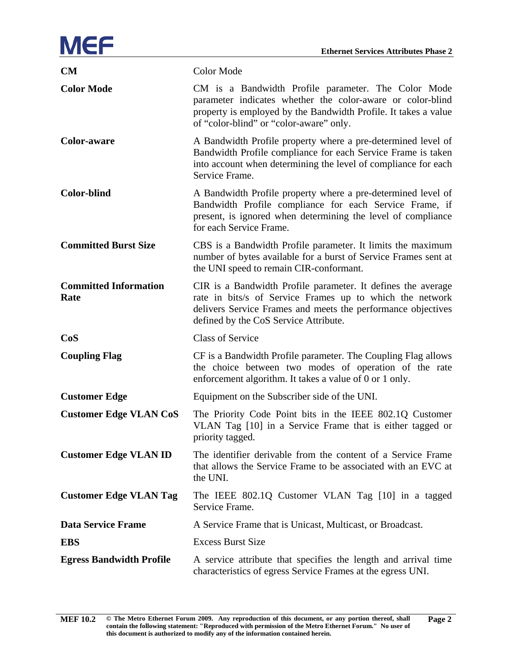

| <b>CM</b>                            | Color Mode                                                                                                                                                                                                                        |
|--------------------------------------|-----------------------------------------------------------------------------------------------------------------------------------------------------------------------------------------------------------------------------------|
| <b>Color Mode</b>                    | CM is a Bandwidth Profile parameter. The Color Mode<br>parameter indicates whether the color-aware or color-blind<br>property is employed by the Bandwidth Profile. It takes a value<br>of "color-blind" or "color-aware" only.   |
| <b>Color-aware</b>                   | A Bandwidth Profile property where a pre-determined level of<br>Bandwidth Profile compliance for each Service Frame is taken<br>into account when determining the level of compliance for each<br>Service Frame.                  |
| <b>Color-blind</b>                   | A Bandwidth Profile property where a pre-determined level of<br>Bandwidth Profile compliance for each Service Frame, if<br>present, is ignored when determining the level of compliance<br>for each Service Frame.                |
| <b>Committed Burst Size</b>          | CBS is a Bandwidth Profile parameter. It limits the maximum<br>number of bytes available for a burst of Service Frames sent at<br>the UNI speed to remain CIR-conformant.                                                         |
| <b>Committed Information</b><br>Rate | CIR is a Bandwidth Profile parameter. It defines the average<br>rate in bits/s of Service Frames up to which the network<br>delivers Service Frames and meets the performance objectives<br>defined by the CoS Service Attribute. |
| CoS                                  | <b>Class of Service</b>                                                                                                                                                                                                           |
| <b>Coupling Flag</b>                 | CF is a Bandwidth Profile parameter. The Coupling Flag allows<br>the choice between two modes of operation of the rate<br>enforcement algorithm. It takes a value of 0 or 1 only.                                                 |
| <b>Customer Edge</b>                 | Equipment on the Subscriber side of the UNI.                                                                                                                                                                                      |
| <b>Customer Edge VLAN CoS</b>        | The Priority Code Point bits in the IEEE 802.1Q Customer<br>VLAN Tag [10] in a Service Frame that is either tagged or<br>priority tagged.                                                                                         |
| <b>Customer Edge VLAN ID</b>         | The identifier derivable from the content of a Service Frame<br>that allows the Service Frame to be associated with an EVC at<br>the UNI.                                                                                         |
| <b>Customer Edge VLAN Tag</b>        | The IEEE 802.1Q Customer VLAN Tag [10] in a tagged<br>Service Frame.                                                                                                                                                              |
| <b>Data Service Frame</b>            | A Service Frame that is Unicast, Multicast, or Broadcast.                                                                                                                                                                         |
| <b>EBS</b>                           | <b>Excess Burst Size</b>                                                                                                                                                                                                          |
| <b>Egress Bandwidth Profile</b>      | A service attribute that specifies the length and arrival time<br>characteristics of egress Service Frames at the egress UNI.                                                                                                     |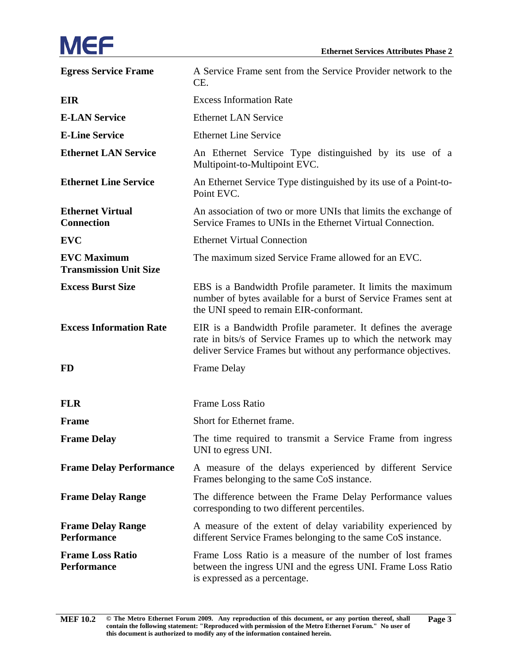# **MEF**

| <b>Egress Service Frame</b>                         | A Service Frame sent from the Service Provider network to the<br>CE.                                                                                                                           |
|-----------------------------------------------------|------------------------------------------------------------------------------------------------------------------------------------------------------------------------------------------------|
| <b>EIR</b>                                          | <b>Excess Information Rate</b>                                                                                                                                                                 |
| <b>E-LAN Service</b>                                | <b>Ethernet LAN Service</b>                                                                                                                                                                    |
| <b>E-Line Service</b>                               | <b>Ethernet Line Service</b>                                                                                                                                                                   |
| <b>Ethernet LAN Service</b>                         | An Ethernet Service Type distinguished by its use of a<br>Multipoint-to-Multipoint EVC.                                                                                                        |
| <b>Ethernet Line Service</b>                        | An Ethernet Service Type distinguished by its use of a Point-to-<br>Point EVC.                                                                                                                 |
| <b>Ethernet Virtual</b><br><b>Connection</b>        | An association of two or more UNIs that limits the exchange of<br>Service Frames to UNIs in the Ethernet Virtual Connection.                                                                   |
| <b>EVC</b>                                          | <b>Ethernet Virtual Connection</b>                                                                                                                                                             |
| <b>EVC Maximum</b><br><b>Transmission Unit Size</b> | The maximum sized Service Frame allowed for an EVC.                                                                                                                                            |
| <b>Excess Burst Size</b>                            | EBS is a Bandwidth Profile parameter. It limits the maximum<br>number of bytes available for a burst of Service Frames sent at<br>the UNI speed to remain EIR-conformant.                      |
| <b>Excess Information Rate</b>                      | EIR is a Bandwidth Profile parameter. It defines the average<br>rate in bits/s of Service Frames up to which the network may<br>deliver Service Frames but without any performance objectives. |
| <b>FD</b>                                           | Frame Delay                                                                                                                                                                                    |
| <b>FLR</b>                                          | <b>Frame Loss Ratio</b>                                                                                                                                                                        |
| <b>Frame</b>                                        | Short for Ethernet frame.                                                                                                                                                                      |
| <b>Frame Delay</b>                                  | The time required to transmit a Service Frame from ingress<br>UNI to egress UNI.                                                                                                               |
| <b>Frame Delay Performance</b>                      | A measure of the delays experienced by different Service<br>Frames belonging to the same CoS instance.                                                                                         |
| <b>Frame Delay Range</b>                            | The difference between the Frame Delay Performance values<br>corresponding to two different percentiles.                                                                                       |
| <b>Frame Delay Range</b><br><b>Performance</b>      | A measure of the extent of delay variability experienced by<br>different Service Frames belonging to the same CoS instance.                                                                    |
| <b>Frame Loss Ratio</b><br>Performance              | Frame Loss Ratio is a measure of the number of lost frames<br>between the ingress UNI and the egress UNI. Frame Loss Ratio<br>is expressed as a percentage.                                    |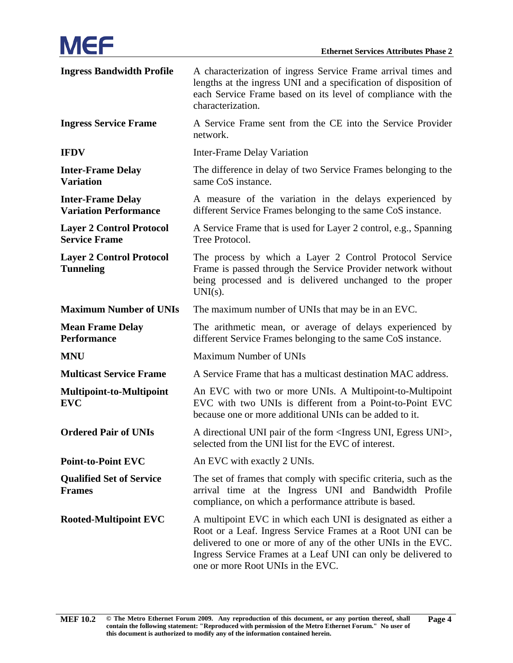| <b>Ingress Bandwidth Profile</b>                         | A characterization of ingress Service Frame arrival times and<br>lengths at the ingress UNI and a specification of disposition of<br>each Service Frame based on its level of compliance with the<br>characterization.                                                                             |
|----------------------------------------------------------|----------------------------------------------------------------------------------------------------------------------------------------------------------------------------------------------------------------------------------------------------------------------------------------------------|
| <b>Ingress Service Frame</b>                             | A Service Frame sent from the CE into the Service Provider<br>network.                                                                                                                                                                                                                             |
| <b>IFDV</b>                                              | Inter-Frame Delay Variation                                                                                                                                                                                                                                                                        |
| <b>Inter-Frame Delay</b><br><b>Variation</b>             | The difference in delay of two Service Frames belonging to the<br>same CoS instance.                                                                                                                                                                                                               |
| <b>Inter-Frame Delay</b><br><b>Variation Performance</b> | A measure of the variation in the delays experienced by<br>different Service Frames belonging to the same CoS instance.                                                                                                                                                                            |
| <b>Layer 2 Control Protocol</b><br><b>Service Frame</b>  | A Service Frame that is used for Layer 2 control, e.g., Spanning<br>Tree Protocol.                                                                                                                                                                                                                 |
| <b>Layer 2 Control Protocol</b><br><b>Tunneling</b>      | The process by which a Layer 2 Control Protocol Service<br>Frame is passed through the Service Provider network without<br>being processed and is delivered unchanged to the proper<br>$UNI(s)$ .                                                                                                  |
| <b>Maximum Number of UNIs</b>                            | The maximum number of UNIs that may be in an EVC.                                                                                                                                                                                                                                                  |
| <b>Mean Frame Delay</b><br><b>Performance</b>            | The arithmetic mean, or average of delays experienced by<br>different Service Frames belonging to the same CoS instance.                                                                                                                                                                           |
| <b>MNU</b>                                               | <b>Maximum Number of UNIs</b>                                                                                                                                                                                                                                                                      |
| <b>Multicast Service Frame</b>                           | A Service Frame that has a multicast destination MAC address.                                                                                                                                                                                                                                      |
| Multipoint-to-Multipoint<br><b>EVC</b>                   | An EVC with two or more UNIs. A Multipoint-to-Multipoint<br>EVC with two UNIs is different from a Point-to-Point EVC<br>because one or more additional UNIs can be added to it.                                                                                                                    |
| <b>Ordered Pair of UNIs</b>                              | A directional UNI pair of the form <ingress egress="" uni="" uni,="">,<br/>selected from the UNI list for the EVC of interest.</ingress>                                                                                                                                                           |
| <b>Point-to-Point EVC</b>                                | An EVC with exactly 2 UNIs.                                                                                                                                                                                                                                                                        |
| <b>Qualified Set of Service</b><br><b>Frames</b>         | The set of frames that comply with specific criteria, such as the<br>arrival time at the Ingress UNI and Bandwidth Profile<br>compliance, on which a performance attribute is based.                                                                                                               |
| <b>Rooted-Multipoint EVC</b>                             | A multipoint EVC in which each UNI is designated as either a<br>Root or a Leaf. Ingress Service Frames at a Root UNI can be<br>delivered to one or more of any of the other UNIs in the EVC.<br>Ingress Service Frames at a Leaf UNI can only be delivered to<br>one or more Root UNIs in the EVC. |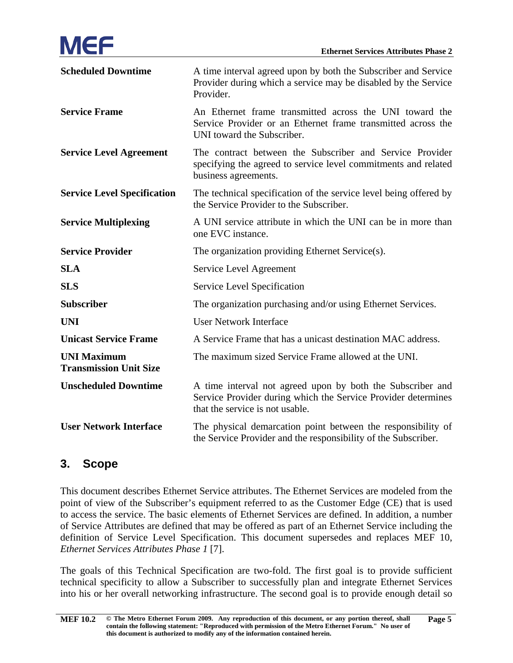| <b>Scheduled Downtime</b>                           | A time interval agreed upon by both the Subscriber and Service<br>Provider during which a service may be disabled by the Service<br>Provider.                  |
|-----------------------------------------------------|----------------------------------------------------------------------------------------------------------------------------------------------------------------|
| <b>Service Frame</b>                                | An Ethernet frame transmitted across the UNI toward the<br>Service Provider or an Ethernet frame transmitted across the<br>UNI toward the Subscriber.          |
| <b>Service Level Agreement</b>                      | The contract between the Subscriber and Service Provider<br>specifying the agreed to service level commitments and related<br>business agreements.             |
| <b>Service Level Specification</b>                  | The technical specification of the service level being offered by<br>the Service Provider to the Subscriber.                                                   |
| <b>Service Multiplexing</b>                         | A UNI service attribute in which the UNI can be in more than<br>one EVC instance.                                                                              |
| <b>Service Provider</b>                             | The organization providing Ethernet Service(s).                                                                                                                |
| <b>SLA</b>                                          | Service Level Agreement                                                                                                                                        |
| <b>SLS</b>                                          | Service Level Specification                                                                                                                                    |
| <b>Subscriber</b>                                   | The organization purchasing and/or using Ethernet Services.                                                                                                    |
| <b>UNI</b>                                          | <b>User Network Interface</b>                                                                                                                                  |
| <b>Unicast Service Frame</b>                        | A Service Frame that has a unicast destination MAC address.                                                                                                    |
| <b>UNI Maximum</b><br><b>Transmission Unit Size</b> | The maximum sized Service Frame allowed at the UNI.                                                                                                            |
| <b>Unscheduled Downtime</b>                         | A time interval not agreed upon by both the Subscriber and<br>Service Provider during which the Service Provider determines<br>that the service is not usable. |
| <b>User Network Interface</b>                       | The physical demarcation point between the responsibility of<br>the Service Provider and the responsibility of the Subscriber.                                 |

#### <span id="page-10-0"></span>**3. Scope**

This document describes Ethernet Service attributes. The Ethernet Services are modeled from the point of view of the Subscriber's equipment referred to as the Customer Edge (CE) that is used to access the service. The basic elements of Ethernet Services are defined. In addition, a number of Service Attributes are defined that may be offered as part of an Ethernet Service including the definition of Service Level Specification. This document supersedes and replaces MEF 10, *Ethernet Services Attributes Phase 1* [\[7\].](#page-55-1)

The goals of this Technical Specification are two-fold. The first goal is to provide sufficient technical specificity to allow a Subscriber to successfully plan and integrate Ethernet Services into his or her overall networking infrastructure. The second goal is to provide enough detail so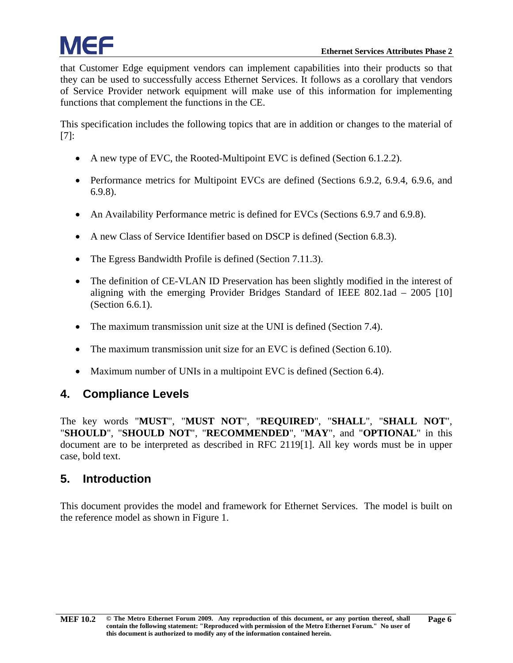that Customer Edge equipment vendors can implement capabilities into their products so that they can be used to successfully access Ethernet Services. It follows as a corollary that vendors of Service Provider network equipment will make use of this information for implementing functions that complement the functions in the CE.

This specification includes the following topics that are in addition or changes to the material of [\[7\]:](#page-55-1)

- A new type of EVC, the Rooted-Multipoint EVC is defined (Section [6.1.2.2\)](#page-14-0).
- Performance metrics for Multipoint EVCs are defined (Sections [6.9.2,](#page-22-0) [6.9.4,](#page-26-0) [6.9.6,](#page-29-1) and [6.9.8\)](#page-33-0).
- An Availability Performance metric is defined for EVCs (Sections [6.9.7](#page-30-0) and [6.9.8\)](#page-33-0).
- A new Class of Service Identifier based on DSCP is defined (Section [6.8.3\)](#page-20-1).
- The Egress Bandwidth Profile is defined (Section [7.11.3\)](#page-46-1).
- The definition of CE-VLAN ID Preservation has been slightly modified in the interest of aligning with the emerging Provider Bridges Standard of IEEE 802.1ad – 2005 [\[10\]](#page-55-2) (Section [6.6.1\)](#page-17-2).
- The maximum transmission unit size at the UNI is defined (Section [7.4\)](#page-36-0).
- The maximum transmission unit size for an EVC is defined (Section [6.10\)](#page-34-0).
- Maximum number of UNIs in a multipoint EVC is defined (Section [6.4\)](#page-15-1).

#### <span id="page-11-0"></span>**4. Compliance Levels**

The key words "**MUST**", "**MUST NOT**", "**REQUIRED**", "**SHALL**", "**SHALL NOT**", "**SHOULD**", "**SHOULD NOT**", "**RECOMMENDED**", "**MAY**", and "**OPTIONAL**" in this document are to be interpreted as described in RFC 211[9\[1\].](#page-54-2) All key words must be in upper case, bold text.

#### <span id="page-11-1"></span>**5. Introduction**

This document provides the model and framework for Ethernet Services. The model is built on the reference model as shown in [Figure 1.](#page-12-1)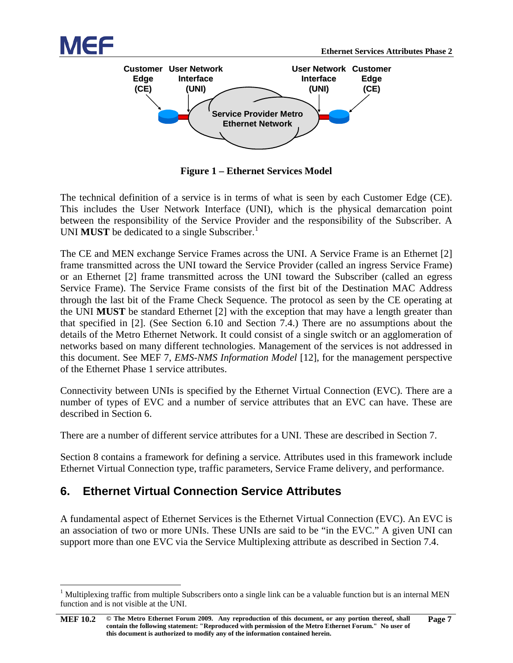



**Figure 1 – Ethernet Services Model**

<span id="page-12-1"></span>The technical definition of a service is in terms of what is seen by each Customer Edge (CE). This includes the User Network Interface (UNI), which is the physical demarcation point between the responsibility of the Service Provider and the responsibility of the Subscriber. A UNI **MUST** be dedicated to a single Subscriber.<sup>[1](#page-12-2)</sup>

The CE and MEN exchange Service Frames across the UNI. A Service Frame is an Ethernet [\[2\]](#page-54-3) frame transmitted across the UNI toward the Service Provider (called an ingress Service Frame) or an Ethernet [\[2\]](#page-54-3) frame transmitted across the UNI toward the Subscriber (called an egress Service Frame). The Service Frame consists of the first bit of the Destination MAC Address through the last bit of the Frame Check Sequence. The protocol as seen by the CE operating at the UNI **MUST** be standard Ethernet [\[2\]](#page-54-3) with the exception that may have a length greater than that specified in [\[2\].](#page-54-3) (See Section [6.10](#page-34-0) and Section [7.4.](#page-36-0)) There are no assumptions about the details of the Metro Ethernet Network. It could consist of a single switch or an agglomeration of networks based on many different technologies. Management of the services is not addressed in this document. See MEF 7, *EMS-NMS Information Model* [\[12\],](#page-55-3) for the management perspective of the Ethernet Phase 1 service attributes.

Connectivity between UNIs is specified by the Ethernet Virtual Connection (EVC). There are a number of types of EVC and a number of service attributes that an EVC can have. These are described in Section [6.](#page-12-0)

There are a number of different service attributes for a UNI. These are described in Section [7.](#page-34-1)

Section [8](#page-50-3) contains a framework for defining a service. Attributes used in this framework include Ethernet Virtual Connection type, traffic parameters, Service Frame delivery, and performance.

#### <span id="page-12-0"></span>**6. Ethernet Virtual Connection Service Attributes**

A fundamental aspect of Ethernet Services is the Ethernet Virtual Connection (EVC). An EVC is an association of two or more UNIs. These UNIs are said to be "in the EVC." A given UNI can support more than one EVC via the Service Multiplexing attribute as described in Section [7.4.](#page-36-0)

<span id="page-12-2"></span> $1$  Multiplexing traffic from multiple Subscribers onto a single link can be a valuable function but is an internal MEN function and is not visible at the UNI.

**[MEF 10.2](#page-0-0) © The Metro Ethernet Forum 2009. Any reproduction of this document, or any portion thereof, shall contain the following statement: "Reproduced with permission of the Metro Ethernet Forum." No user of this document is authorized to modify any of the information contained herein. Page 7**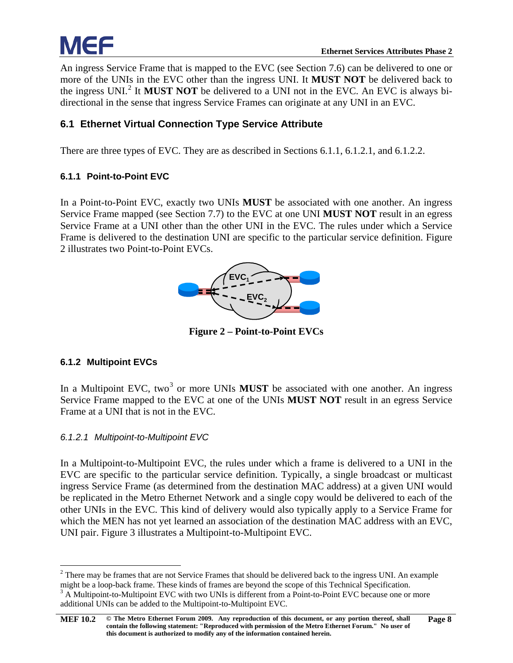An ingress Service Frame that is mapped to the EVC (see Section [7.6\)](#page-36-2) can be delivered to one or more of the UNIs in the EVC other than the ingress UNI. It **MUST NOT** be delivered back to the ingress UNI.<sup>[2](#page-13-5)</sup> It **MUST NOT** be delivered to a UNI not in the EVC. An EVC is always bidirectional in the sense that ingress Service Frames can originate at any UNI in an EVC.

#### <span id="page-13-0"></span>**6.1 Ethernet Virtual Connection Type Service Attribute**

<span id="page-13-1"></span>There are three types of EVC. They are as described in Sections [6.1.1,](#page-13-1) [6.1.2.1,](#page-13-3) and [6.1.2.2.](#page-14-0)

#### **6.1.1 Point-to-Point EVC**

In a Point-to-Point EVC, exactly two UNIs **MUST** be associated with one another. An ingress Service Frame mapped (see Section [7.7\)](#page-37-1) to the EVC at one UNI **MUST NOT** result in an egress Service Frame at a UNI other than the other UNI in the EVC. The rules under which a Service Frame is delivered to the destination UNI are specific to the particular service definition. [Figure](#page-13-4)  [2](#page-13-4) illustrates two Point-to-Point EVCs.



**Figure 2 – Point-to-Point EVCs**

#### <span id="page-13-4"></span><span id="page-13-2"></span>**6.1.2 Multipoint EVCs**

In a Multipoint EVC, two<sup>[3](#page-13-6)</sup> or more UNIs **MUST** be associated with one another. An ingress Service Frame mapped to the EVC at one of the UNIs **MUST NOT** result in an egress Service Frame at a UNI that is not in the EVC.

#### <span id="page-13-3"></span>*6.1.2.1 Multipoint-to-Multipoint EVC*

In a Multipoint-to-Multipoint EVC, the rules under which a frame is delivered to a UNI in the EVC are specific to the particular service definition. Typically, a single broadcast or multicast ingress Service Frame (as determined from the destination MAC address) at a given UNI would be replicated in the Metro Ethernet Network and a single copy would be delivered to each of the other UNIs in the EVC. This kind of delivery would also typically apply to a Service Frame for which the MEN has not yet learned an association of the destination MAC address with an EVC, UNI pair. [Figure 3](#page-14-2) illustrates a Multipoint-to-Multipoint EVC.

<span id="page-13-6"></span><span id="page-13-5"></span><sup>&</sup>lt;sup>2</sup> There may be frames that are not Service Frames that should be delivered back to the ingress UNI. An example might be a loop-back frame. These kinds of frames are beyond the scope of this Technical Specification.<br><sup>3</sup> A Multipoint-to-Multipoint EVC with two UNIs is different from a Point-to-Point EVC because one or more additional UNIs can be added to the Multipoint-to-Multipoint EVC.

**[MEF 10.2](#page-0-0) © The Metro Ethernet Forum 2009. Any reproduction of this document, or any portion thereof, shall contain the following statement: "Reproduced with permission of the Metro Ethernet Forum." No user of this document is authorized to modify any of the information contained herein. Page 8**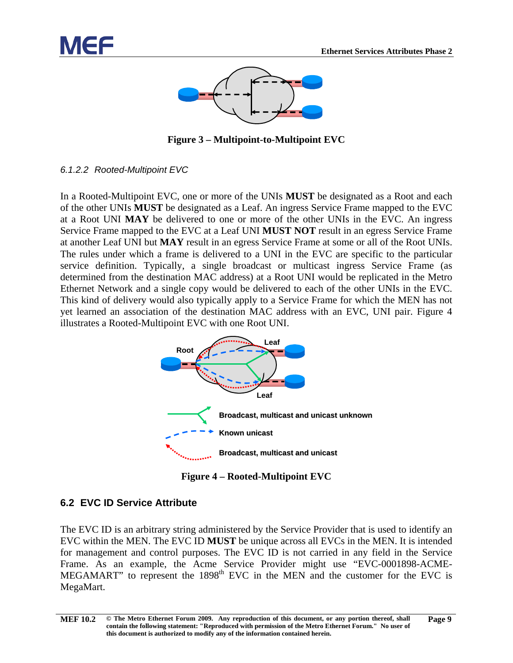



**Figure 3 – Multipoint-to-Multipoint EVC**

<span id="page-14-2"></span><span id="page-14-0"></span>*6.1.2.2 Rooted-Multipoint EVC*

In a Rooted-Multipoint EVC, one or more of the UNIs **MUST** be designated as a Root and each of the other UNIs **MUST** be designated as a Leaf. An ingress Service Frame mapped to the EVC at a Root UNI **MAY** be delivered to one or more of the other UNIs in the EVC. An ingress Service Frame mapped to the EVC at a Leaf UNI **MUST NOT** result in an egress Service Frame at another Leaf UNI but **MAY** result in an egress Service Frame at some or all of the Root UNIs. The rules under which a frame is delivered to a UNI in the EVC are specific to the particular service definition. Typically, a single broadcast or multicast ingress Service Frame (as determined from the destination MAC address) at a Root UNI would be replicated in the Metro Ethernet Network and a single copy would be delivered to each of the other UNIs in the EVC. This kind of delivery would also typically apply to a Service Frame for which the MEN has not yet learned an association of the destination MAC address with an EVC, UNI pair. [Figure 4](#page-14-3) illustrates a Rooted-Multipoint EVC with one Root UNI.



**Figure 4 – Rooted-Multipoint EVC**

#### <span id="page-14-3"></span><span id="page-14-1"></span>**6.2 EVC ID Service Attribute**

The EVC ID is an arbitrary string administered by the Service Provider that is used to identify an EVC within the MEN. The EVC ID **MUST** be unique across all EVCs in the MEN. It is intended for management and control purposes. The EVC ID is not carried in any field in the Service Frame. As an example, the Acme Service Provider might use "EVC-0001898-ACME-MEGAMART" to represent the  $1898<sup>th</sup>$  EVC in the MEN and the customer for the EVC is MegaMart.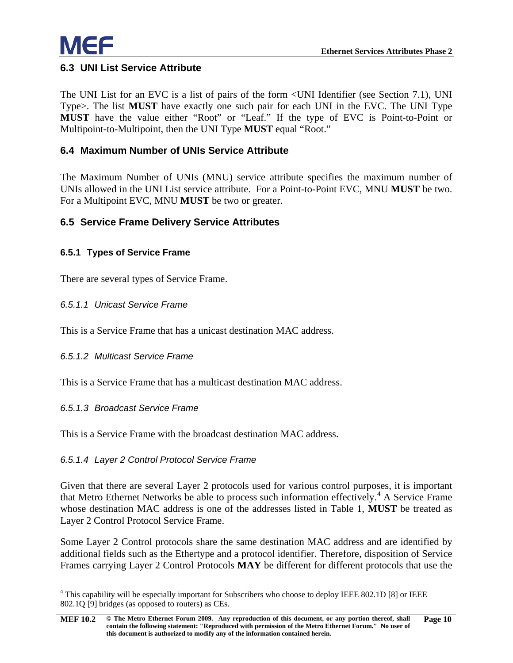

#### <span id="page-15-0"></span>**6.3 UNI List Service Attribute**

The UNI List for an EVC is a list of pairs of the form <UNI Identifier (see Section [7.1\)](#page-35-0), UNI Type>. The list **MUST** have exactly one such pair for each UNI in the EVC. The UNI Type **MUST** have the value either "Root" or "Leaf." If the type of EVC is Point-to-Point or Multipoint-to-Multipoint, then the UNI Type **MUST** equal "Root."

#### <span id="page-15-1"></span>**6.4 Maximum Number of UNIs Service Attribute**

The Maximum Number of UNIs (MNU) service attribute specifies the maximum number of UNIs allowed in the UNI List service attribute. For a Point-to-Point EVC, MNU **MUST** be two. For a Multipoint EVC, MNU **MUST** be two or greater.

#### <span id="page-15-2"></span>**6.5 Service Frame Delivery Service Attributes**

#### <span id="page-15-3"></span>**6.5.1 Types of Service Frame**

<span id="page-15-4"></span>There are several types of Service Frame.

#### *6.5.1.1 Unicast Service Frame*

<span id="page-15-5"></span>This is a Service Frame that has a unicast destination MAC address.

#### *6.5.1.2 Multicast Service Frame*

<span id="page-15-6"></span>This is a Service Frame that has a multicast destination MAC address.

#### *6.5.1.3 Broadcast Service Frame*

<span id="page-15-7"></span>This is a Service Frame with the broadcast destination MAC address.

#### *6.5.1.4 Layer 2 Control Protocol Service Frame*

Given that there are several Layer 2 protocols used for various control purposes, it is important that Metro Ethernet Networks be able to process such information effectively.<sup>[4](#page-15-8)</sup> A Service Frame whose destination MAC address is one of the addresses listed in [Table 1,](#page-16-2) **MUST** be treated as Layer 2 Control Protocol Service Frame.

Some Layer 2 Control protocols share the same destination MAC address and are identified by additional fields such as the Ethertype and a protocol identifier. Therefore, disposition of Service Frames carrying Layer 2 Control Protocols **MAY** be different for different protocols that use the

<span id="page-15-8"></span><sup>&</sup>lt;sup>4</sup> This capability will be especially important for Subscribers who choose to deploy IEEE 802.1D [\[8\]](#page-55-4) or IEEE 802.1Q [\[9\]](#page-55-5) bridges (as opposed to routers) as CEs.

**[MEF 10.2](#page-0-0) © The Metro Ethernet Forum 2009. Any reproduction of this document, or any portion thereof, shall contain the following statement: "Reproduced with permission of the Metro Ethernet Forum." No user of this document is authorized to modify any of the information contained herein. Page 10**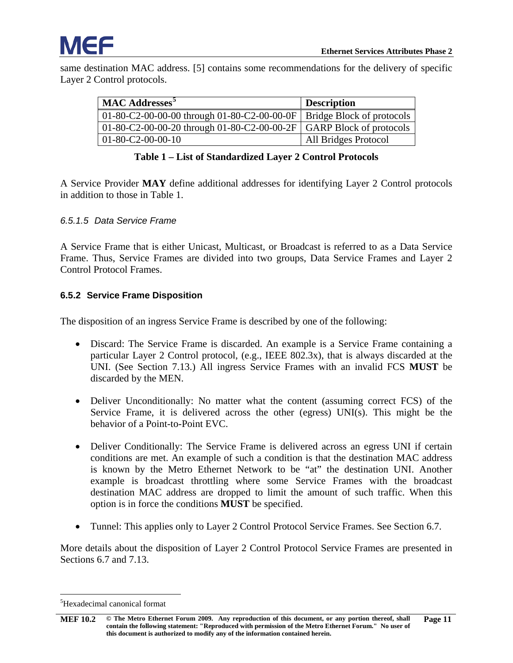

same destination MAC address. [\[5\]](#page-55-6) contains some recommendations for the delivery of specific Layer 2 Control protocols.

| <b>MAC Addresses</b>                                                        | <b>Description</b>   |
|-----------------------------------------------------------------------------|----------------------|
| 01-80-C2-00-00-00 through 01-80-C2-00-00-0F   Bridge Block of protocols     |                      |
| 01-80-C2-00-00-20 through 01-80-C2-00-00-2F $\vert$ GARP Block of protocols |                      |
| $01 - 80 - C2 - 00 - 00 - 10$                                               | All Bridges Protocol |

#### **Table 1 – List of Standardized Layer 2 Control Protocols**

<span id="page-16-2"></span>A Service Provider **MAY** define additional addresses for identifying Layer 2 Control protocols in addition to those in [Table 1.](#page-16-2)

#### <span id="page-16-0"></span>*6.5.1.5 Data Service Frame*

A Service Frame that is either Unicast, Multicast, or Broadcast is referred to as a Data Service Frame. Thus, Service Frames are divided into two groups, Data Service Frames and Layer 2 Control Protocol Frames.

#### <span id="page-16-1"></span>**6.5.2 Service Frame Disposition**

The disposition of an ingress Service Frame is described by one of the following:

- Discard: The Service Frame is discarded. An example is a Service Frame containing a particular Layer 2 Control protocol, (e.g., IEEE 802.3x), that is always discarded at the UNI. (See Section [7.13.](#page-49-3)) All ingress Service Frames with an invalid FCS **MUST** be discarded by the MEN.
- Deliver Unconditionally: No matter what the content (assuming correct FCS) of the Service Frame, it is delivered across the other (egress) UNI(s). This might be the behavior of a Point-to-Point EVC.
- Deliver Conditionally: The Service Frame is delivered across an egress UNI if certain conditions are met. An example of such a condition is that the destination MAC address is known by the Metro Ethernet Network to be "at" the destination UNI. Another example is broadcast throttling where some Service Frames with the broadcast destination MAC address are dropped to limit the amount of such traffic. When this option is in force the conditions **MUST** be specified.
- Tunnel: This applies only to Layer 2 Control Protocol Service Frames. See Section [6.7.](#page-18-1)

More details about the disposition of Layer 2 Control Protocol Service Frames are presented in Sections [6.7](#page-18-1) and [7.13.](#page-49-3)

<span id="page-16-3"></span> <sup>5</sup> <sup>5</sup>Hexadecimal canonical format

**[MEF 10.2](#page-0-0) © The Metro Ethernet Forum 2009. Any reproduction of this document, or any portion thereof, shall contain the following statement: "Reproduced with permission of the Metro Ethernet Forum." No user of this document is authorized to modify any of the information contained herein. Page 11**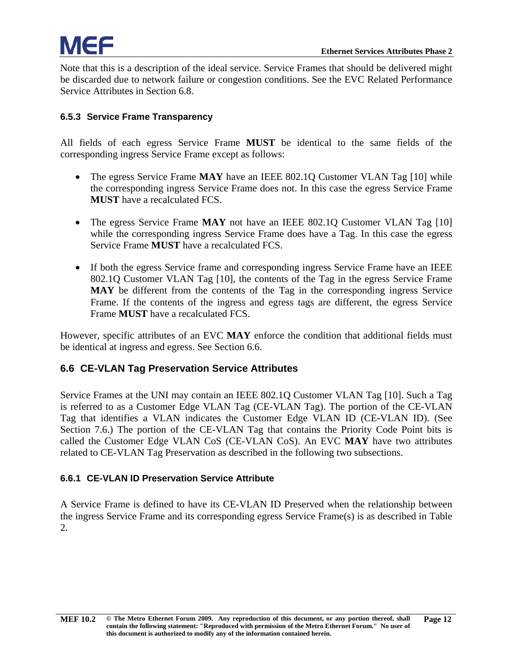Note that this is a description of the ideal service. Service Frames that should be delivered might be discarded due to network failure or congestion conditions. See the EVC Related Performance Service Attributes in Section [6.8.](#page-19-0)

#### <span id="page-17-0"></span>**6.5.3 Service Frame Transparency**

All fields of each egress Service Frame **MUST** be identical to the same fields of the corresponding ingress Service Frame except as follows:

- The egress Service Frame **MAY** have an IEEE 802.1Q Customer VLAN Tag [\[10\]](#page-55-2) while the corresponding ingress Service Frame does not. In this case the egress Service Frame **MUST** have a recalculated FCS.
- The egress Service Frame **MAY** not have an IEEE 802.1Q Customer VLAN Tag [\[10\]](#page-55-2) while the corresponding ingress Service Frame does have a Tag. In this case the egress Service Frame **MUST** have a recalculated FCS.
- If both the egress Service frame and corresponding ingress Service Frame have an IEEE 802.1Q Customer VLAN Tag [\[10\],](#page-55-2) the contents of the Tag in the egress Service Frame **MAY** be different from the contents of the Tag in the corresponding ingress Service Frame. If the contents of the ingress and egress tags are different, the egress Service Frame **MUST** have a recalculated FCS.

However, specific attributes of an EVC **MAY** enforce the condition that additional fields must be identical at ingress and egress. See Section [6.6.](#page-17-1)

#### <span id="page-17-1"></span>**6.6 CE-VLAN Tag Preservation Service Attributes**

Service Frames at the UNI may contain an IEEE 802.1Q Customer VLAN Tag [\[10\].](#page-55-2) Such a Tag is referred to as a Customer Edge VLAN Tag (CE-VLAN Tag). The portion of the CE-VLAN Tag that identifies a VLAN indicates the Customer Edge VLAN ID (CE-VLAN ID). (See Section [7.6.](#page-36-2)) The portion of the CE-VLAN Tag that contains the Priority Code Point bits is called the Customer Edge VLAN CoS (CE-VLAN CoS). An EVC **MAY** have two attributes related to CE-VLAN Tag Preservation as described in the following two subsections.

#### <span id="page-17-2"></span>**6.6.1 CE-VLAN ID Preservation Service Attribute**

A Service Frame is defined to have its CE-VLAN ID Preserved when the relationship between the ingress Service Frame and its corresponding egress Service Frame(s) is as described in [Table](#page-18-2)  [2.](#page-18-2)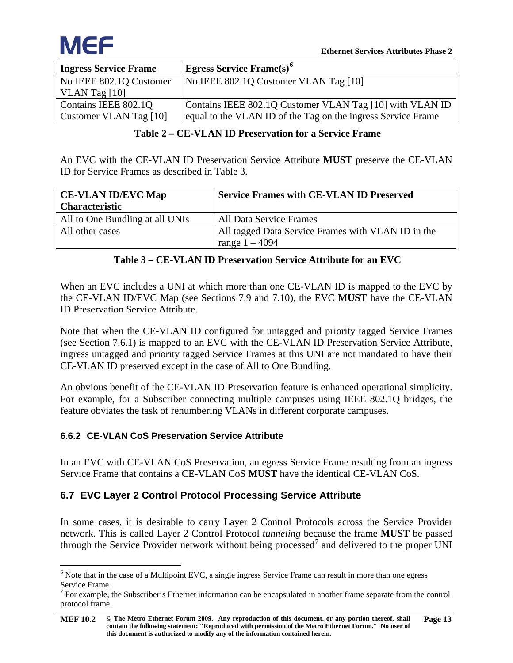

| <b>Ingress Service Frame</b> | Egress Service Frame(s) <sup>6</sup>                         |
|------------------------------|--------------------------------------------------------------|
| No IEEE 802.1Q Customer      | No IEEE 802.1Q Customer VLAN Tag [10]                        |
| VLAN Tag $[10]$              |                                                              |
| Contains IEEE 802.1Q         | Contains IEEE 802.1Q Customer VLAN Tag [10] with VLAN ID     |
| Customer VLAN Tag [10]       | equal to the VLAN ID of the Tag on the ingress Service Frame |

#### <span id="page-18-2"></span>**Table 2 – CE-VLAN ID Preservation for a Service Frame**

An EVC with the CE-VLAN ID Preservation Service Attribute **MUST** preserve the CE-VLAN ID for Service Frames as described in [Table 3.](#page-18-3)

| <b>CE-VLAN ID/EVC Map</b>       | <b>Service Frames with CE-VLAN ID Preserved</b>    |  |  |
|---------------------------------|----------------------------------------------------|--|--|
| <b>Characteristic</b>           |                                                    |  |  |
| All to One Bundling at all UNIs | All Data Service Frames                            |  |  |
| All other cases                 | All tagged Data Service Frames with VLAN ID in the |  |  |
|                                 | range $1 - 4094$                                   |  |  |

#### <span id="page-18-3"></span>**Table 3 – CE-VLAN ID Preservation Service Attribute for an EVC**

When an EVC includes a UNI at which more than one CE-VLAN ID is mapped to the EVC by the CE-VLAN ID/EVC Map (see Sections [7.9](#page-39-2) and [7.10\)](#page-40-0), the EVC **MUST** have the CE-VLAN ID Preservation Service Attribute.

Note that when the CE-VLAN ID configured for untagged and priority tagged Service Frames (see Section [7.6.1\)](#page-36-3) is mapped to an EVC with the CE-VLAN ID Preservation Service Attribute, ingress untagged and priority tagged Service Frames at this UNI are not mandated to have their CE-VLAN ID preserved except in the case of All to One Bundling.

An obvious benefit of the CE-VLAN ID Preservation feature is enhanced operational simplicity. For example, for a Subscriber connecting multiple campuses using IEEE 802.1Q bridges, the feature obviates the task of renumbering VLANs in different corporate campuses.

#### <span id="page-18-0"></span>**6.6.2 CE-VLAN CoS Preservation Service Attribute**

In an EVC with CE-VLAN CoS Preservation, an egress Service Frame resulting from an ingress Service Frame that contains a CE-VLAN CoS **MUST** have the identical CE-VLAN CoS.

#### <span id="page-18-1"></span>**6.7 EVC Layer 2 Control Protocol Processing Service Attribute**

In some cases, it is desirable to carry Layer 2 Control Protocols across the Service Provider network. This is called Layer 2 Control Protocol *tunneling* because the frame **MUST** be passed through the Service Provider network without being processed<sup>[7](#page-18-5)</sup> and delivered to the proper UNI

<span id="page-18-4"></span><sup>&</sup>lt;sup>6</sup> Note that in the case of a Multipoint EVC, a single ingress Service Frame can result in more than one egress Service Frame.<br><sup>7</sup> For example, the Subscriber's Ethernet information can be encapsulated in another frame separate from the control

<span id="page-18-5"></span>protocol frame.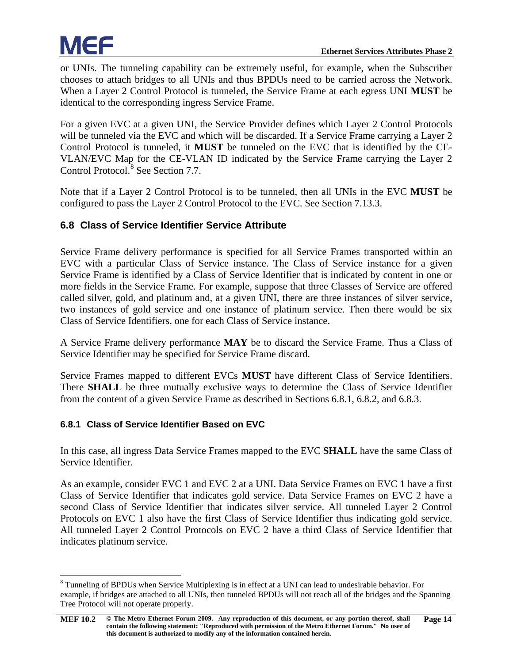or UNIs. The tunneling capability can be extremely useful, for example, when the Subscriber chooses to attach bridges to all UNIs and thus BPDUs need to be carried across the Network. When a Layer 2 Control Protocol is tunneled, the Service Frame at each egress UNI **MUST** be identical to the corresponding ingress Service Frame.

For a given EVC at a given UNI, the Service Provider defines which Layer 2 Control Protocols will be tunneled via the EVC and which will be discarded. If a Service Frame carrying a Layer 2 Control Protocol is tunneled, it **MUST** be tunneled on the EVC that is identified by the CE-VLAN/EVC Map for the CE-VLAN ID indicated by the Service Frame carrying the Layer 2 Control Protocol.<sup>[8](#page-19-2)</sup> See Section [7.7.](#page-37-1)

Note that if a Layer 2 Control Protocol is to be tunneled, then all UNIs in the EVC **MUST** be configured to pass the Layer 2 Control Protocol to the EVC. See Section [7.13.3.](#page-50-1)

#### <span id="page-19-0"></span>**6.8 Class of Service Identifier Service Attribute**

Service Frame delivery performance is specified for all Service Frames transported within an EVC with a particular Class of Service instance. The Class of Service instance for a given Service Frame is identified by a Class of Service Identifier that is indicated by content in one or more fields in the Service Frame. For example, suppose that three Classes of Service are offered called silver, gold, and platinum and, at a given UNI, there are three instances of silver service, two instances of gold service and one instance of platinum service. Then there would be six Class of Service Identifiers, one for each Class of Service instance.

A Service Frame delivery performance **MAY** be to discard the Service Frame. Thus a Class of Service Identifier may be specified for Service Frame discard.

Service Frames mapped to different EVCs **MUST** have different Class of Service Identifiers. There **SHALL** be three mutually exclusive ways to determine the Class of Service Identifier from the content of a given Service Frame as described in Sections [6.8.1,](#page-19-1) [6.8.2,](#page-20-0) and [6.8.3.](#page-20-1)

#### <span id="page-19-1"></span>**6.8.1 Class of Service Identifier Based on EVC**

In this case, all ingress Data Service Frames mapped to the EVC **SHALL** have the same Class of Service Identifier.

As an example, consider EVC 1 and EVC 2 at a UNI. Data Service Frames on EVC 1 have a first Class of Service Identifier that indicates gold service. Data Service Frames on EVC 2 have a second Class of Service Identifier that indicates silver service. All tunneled Layer 2 Control Protocols on EVC 1 also have the first Class of Service Identifier thus indicating gold service. All tunneled Layer 2 Control Protocols on EVC 2 have a third Class of Service Identifier that indicates platinum service.

<span id="page-19-2"></span><sup>&</sup>lt;sup>8</sup> Tunneling of BPDUs when Service Multiplexing is in effect at a UNI can lead to undesirable behavior. For example, if bridges are attached to all UNIs, then tunneled BPDUs will not reach all of the bridges and the Spanning Tree Protocol will not operate properly.

**[MEF 10.2](#page-0-0) © The Metro Ethernet Forum 2009. Any reproduction of this document, or any portion thereof, shall contain the following statement: "Reproduced with permission of the Metro Ethernet Forum." No user of this document is authorized to modify any of the information contained herein. Page 14**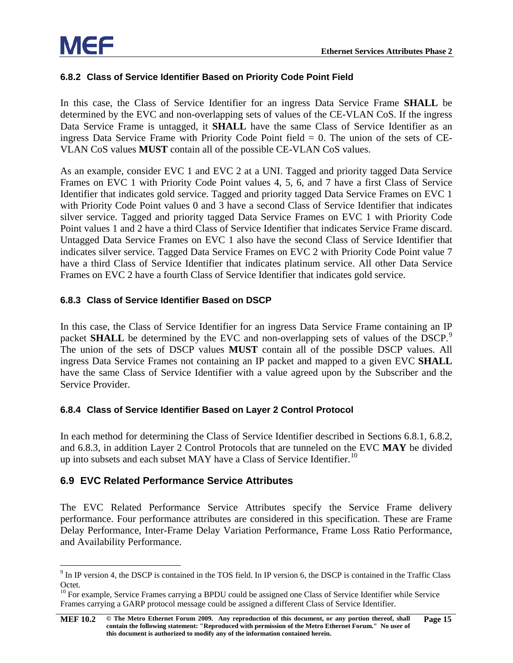#### <span id="page-20-0"></span>**6.8.2 Class of Service Identifier Based on Priority Code Point Field**

In this case, the Class of Service Identifier for an ingress Data Service Frame **SHALL** be determined by the EVC and non-overlapping sets of values of the CE-VLAN CoS. If the ingress Data Service Frame is untagged, it **SHALL** have the same Class of Service Identifier as an ingress Data Service Frame with Priority Code Point field  $= 0$ . The union of the sets of CE-VLAN CoS values **MUST** contain all of the possible CE-VLAN CoS values.

As an example, consider EVC 1 and EVC 2 at a UNI. Tagged and priority tagged Data Service Frames on EVC 1 with Priority Code Point values 4, 5, 6, and 7 have a first Class of Service Identifier that indicates gold service. Tagged and priority tagged Data Service Frames on EVC 1 with Priority Code Point values 0 and 3 have a second Class of Service Identifier that indicates silver service. Tagged and priority tagged Data Service Frames on EVC 1 with Priority Code Point values 1 and 2 have a third Class of Service Identifier that indicates Service Frame discard. Untagged Data Service Frames on EVC 1 also have the second Class of Service Identifier that indicates silver service. Tagged Data Service Frames on EVC 2 with Priority Code Point value 7 have a third Class of Service Identifier that indicates platinum service. All other Data Service Frames on EVC 2 have a fourth Class of Service Identifier that indicates gold service.

#### <span id="page-20-1"></span>**6.8.3 Class of Service Identifier Based on DSCP**

In this case, the Class of Service Identifier for an ingress Data Service Frame containing an IP packet **SHALL** be determined by the EVC and non-overlapping sets of values of the DSCP.<sup>[9](#page-20-4)</sup> The union of the sets of DSCP values **MUST** contain all of the possible DSCP values. All ingress Data Service Frames not containing an IP packet and mapped to a given EVC **SHALL** have the same Class of Service Identifier with a value agreed upon by the Subscriber and the Service Provider.

#### <span id="page-20-2"></span>**6.8.4 Class of Service Identifier Based on Layer 2 Control Protocol**

In each method for determining the Class of Service Identifier described in Sections [6.8.1,](#page-19-1) [6.8.2,](#page-20-0) and [6.8.3,](#page-20-1) in addition Layer 2 Control Protocols that are tunneled on the EVC **MAY** be divided up into subsets and each subset MAY have a Class of Service Identifier.<sup>[10](#page-20-5)</sup>

#### <span id="page-20-3"></span>**6.9 EVC Related Performance Service Attributes**

The EVC Related Performance Service Attributes specify the Service Frame delivery performance. Four performance attributes are considered in this specification. These are Frame Delay Performance, Inter-Frame Delay Variation Performance, Frame Loss Ratio Performance, and Availability Performance.

<span id="page-20-4"></span> <sup>9</sup> In IP version 4, the DSCP is contained in the TOS field. In IP version 6, the DSCP is contained in the Traffic Class Octet.

<span id="page-20-5"></span><sup>&</sup>lt;sup>10</sup> For example, Service Frames carrying a BPDU could be assigned one Class of Service Identifier while Service Frames carrying a GARP protocol message could be assigned a different Class of Service Identifier.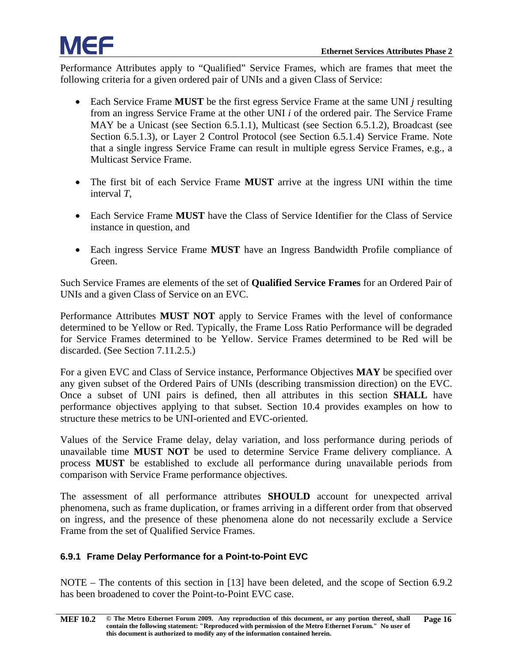Performance Attributes apply to "Qualified" Service Frames, which are frames that meet the following criteria for a given ordered pair of UNIs and a given Class of Service:

- Each Service Frame **MUST** be the first egress Service Frame at the same UNI *j* resulting from an ingress Service Frame at the other UNI *i* of the ordered pair. The Service Frame MAY be a Unicast (see Section [6.5.1.1\)](#page-15-4), Multicast (see Section [6.5.1.2\)](#page-15-5), Broadcast (see Section [6.5.1.3\)](#page-15-6), or Layer 2 Control Protocol (see Section [6.5.1.4\)](#page-15-7) Service Frame. Note that a single ingress Service Frame can result in multiple egress Service Frames, e.g., a Multicast Service Frame.
- The first bit of each Service Frame **MUST** arrive at the ingress UNI within the time interval *T*,
- Each Service Frame **MUST** have the Class of Service Identifier for the Class of Service instance in question, and
- Each ingress Service Frame **MUST** have an Ingress Bandwidth Profile compliance of Green.

Such Service Frames are elements of the set of **Qualified Service Frames** for an Ordered Pair of UNIs and a given Class of Service on an EVC.

Performance Attributes **MUST NOT** apply to Service Frames with the level of conformance determined to be Yellow or Red. Typically, the Frame Loss Ratio Performance will be degraded for Service Frames determined to be Yellow. Service Frames determined to be Red will be discarded. (See Section [7.11.2.5.](#page-46-0))

For a given EVC and Class of Service instance, Performance Objectives **MAY** be specified over any given subset of the Ordered Pairs of UNIs (describing transmission direction) on the EVC. Once a subset of UNI pairs is defined, then all attributes in this section **SHALL** have performance objectives applying to that subset. Section [10.4](#page-62-0) provides examples on how to structure these metrics to be UNI-oriented and EVC-oriented.

Values of the Service Frame delay, delay variation, and loss performance during periods of unavailable time **MUST NOT** be used to determine Service Frame delivery compliance. A process **MUST** be established to exclude all performance during unavailable periods from comparison with Service Frame performance objectives.

The assessment of all performance attributes **SHOULD** account for unexpected arrival phenomena, such as frame duplication, or frames arriving in a different order from that observed on ingress, and the presence of these phenomena alone do not necessarily exclude a Service Frame from the set of Qualified Service Frames.

#### <span id="page-21-0"></span>**6.9.1 Frame Delay Performance for a Point-to-Point EVC**

NOTE – The contents of this section in [\[13\]](#page-55-7) have been deleted, and the scope of Section [6.9.2](#page-22-0) has been broadened to cover the Point-to-Point EVC case.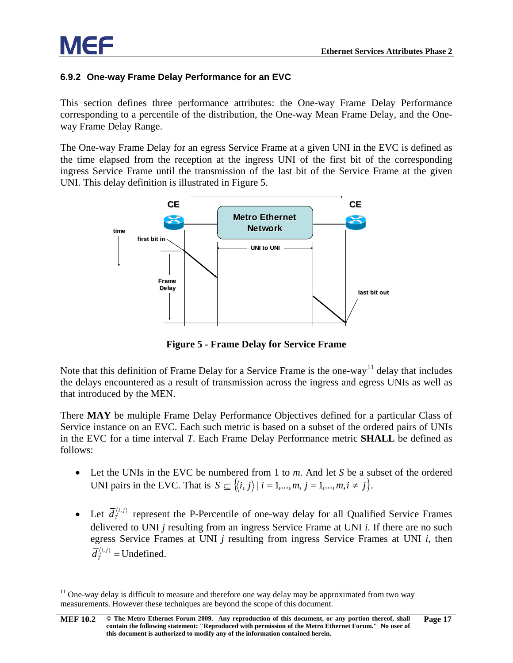

#### <span id="page-22-0"></span>**6.9.2 One-way Frame Delay Performance for an EVC**

This section defines three performance attributes: the One-way Frame Delay Performance corresponding to a percentile of the distribution, the One-way Mean Frame Delay, and the Oneway Frame Delay Range.

The One-way Frame Delay for an egress Service Frame at a given UNI in the EVC is defined as the time elapsed from the reception at the ingress UNI of the first bit of the corresponding ingress Service Frame until the transmission of the last bit of the Service Frame at the given UNI. This delay definition is illustrated in [Figure 5.](#page-22-1)



**Figure 5 - Frame Delay for Service Frame**

<span id="page-22-1"></span>Note that this definition of Frame Delay for a Service Frame is the one-way<sup>[11](#page-22-2)</sup> delay that includes the delays encountered as a result of transmission across the ingress and egress UNIs as well as that introduced by the MEN.

There **MAY** be multiple Frame Delay Performance Objectives defined for a particular Class of Service instance on an EVC. Each such metric is based on a subset of the ordered pairs of UNIs in the EVC for a time interval *T*. Each Frame Delay Performance metric **SHALL** be defined as follows:

- Let the UNIs in the EVC be numbered from 1 to *m*. And let *S* be a subset of the ordered UNI pairs in the EVC. That is  $S \subseteq \{ \langle i, j \rangle | i = 1, ..., m, j = 1, ..., m, i \neq j \}.$
- Let  $\overline{d}_T^{\langle i,j\rangle}$  represent the P-Percentile of one-way delay for all Qualified Service Frames delivered to UNI *j* resulting from an ingress Service Frame at UNI *i*. If there are no such egress Service Frames at UNI *j* resulting from ingress Service Frames at UNI *i*, then  $\overline{d}_T^{\langle i,j\rangle}$  = Undefined.

<span id="page-22-2"></span> $11$  One-way delay is difficult to measure and therefore one way delay may be approximated from two way measurements. However these techniques are beyond the scope of this document.

**[MEF 10.2](#page-0-0) © The Metro Ethernet Forum 2009. Any reproduction of this document, or any portion thereof, shall contain the following statement: "Reproduced with permission of the Metro Ethernet Forum." No user of this document is authorized to modify any of the information contained herein. Page 17**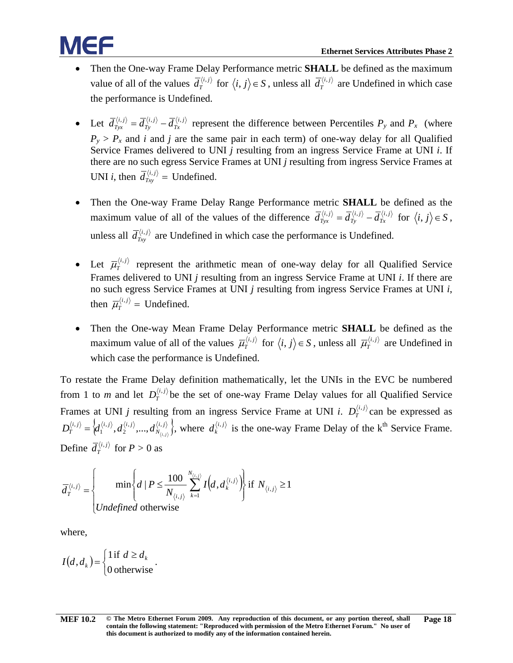- Then the One-way Frame Delay Performance metric **SHALL** be defined as the maximum value of all of the values  $\overline{d}_T^{(i,j)}$  for  $\langle i, j \rangle \in S$ , unless all  $\overline{d}_T^{(i,j)}$  are Undefined in which case the performance is Undefined.
- Let  $\overline{d}_{Tyx}^{\langle i,j\rangle} = \overline{d}_{Ty}^{\langle i,j\rangle} \overline{d}_{Tx}^{\langle i,j\rangle}$ *i j*  $\overline{d}_{Tyx}^{(i,j)} = \overline{d}_{Txy}^{(i,j)} - \overline{d}_{Tx}^{(i,j)}$  represent the difference between Percentiles  $P_y$  and  $P_x$  (where  $P_y > P_x$  and *i* and *j* are the same pair in each term) of one-way delay for all Qualified Service Frames delivered to UNI *j* resulting from an ingress Service Frame at UNI *i*. If there are no such egress Service Frames at UNI *j* resulting from ingress Service Frames at UNI *i*, then  $\overline{d}_{\text{Try}}^{\langle i,j \rangle}$  = Undefined.
- Then the One-way Frame Delay Range Performance metric **SHALL** be defined as the maximum value of all of the values of the difference  $\overline{d}_{Tyx}^{\langle i,j\rangle} = \overline{d}_{Ty}^{\langle i,j\rangle} - \overline{d}_{Tx}^{\langle i,j\rangle}$ *i j*  $\overline{d}_{Tyx}^{\langle i,j\rangle} = \overline{d}_{Ty}^{\langle i,j\rangle} - \overline{d}_{Tx}^{\langle i,j\rangle}$  for  $\langle i,j\rangle \in S$ , unless all  $\overline{d}_{Txy}^{\langle i,j\rangle}$  are Undefined in which case the performance is Undefined.
- Let  $\overline{\mu}_{T}^{\langle i,j\rangle}$  represent the arithmetic mean of one-way delay for all Qualified Service Frames delivered to UNI *j* resulting from an ingress Service Frame at UNI *i*. If there are no such egress Service Frames at UNI *j* resulting from ingress Service Frames at UNI *i*, then  $\overline{\mu}_T^{\langle i,j\rangle}$  = Undefined.
- Then the One-way Mean Frame Delay Performance metric **SHALL** be defined as the maximum value of all of the values  $\overline{\mu}_T^{(i,j)}$  for  $\langle i, j \rangle \in S$ , unless all  $\overline{\mu}_T^{(i,j)}$  are Undefined in which case the performance is Undefined.

To restate the Frame Delay definition mathematically, let the UNIs in the EVC be numbered from 1 to *m* and let  $D_T^{\langle i,j\rangle}$  be the set of one-way Frame Delay values for all Qualified Service Frames at UNI *j* resulting from an ingress Service Frame at UNI *i*.  $D_T^{(i,j)}$  can be expressed as  $\left\{ \! d_1^{\left\langle i,j \right\rangle},d_2^{\left\langle i,j \right\rangle},\! . . . ,d_{N_{l\pm i}\setminus}^{\left\langle i,j \right\rangle} \right\} \! ,$  $\langle i,j \rangle$   $\langle j, j \rangle$   $\langle i, j \rangle$  $D_T^{\langle i,j\rangle} = \left\langle d_1^{\langle i,j\rangle}, d_2^{\langle i,j\rangle},...,d_{N_{\langle i,j\rangle}}^{\langle i,j\rangle} \right\rangle$ , 1 ,  $=\langle d_1^{\langle i,j\rangle}, d_2^{\langle i,j\rangle},..., d_{N_{\langle i,j\rangle}}^{\langle i,j\rangle}\rangle$ , where  $d_k^{\langle i,j\rangle}$  is the one-way Frame Delay of the k<sup>th</sup> Service Frame. Define  $\overline{d}_T^{\langle i,j\rangle}$  for  $P > 0$  as

$$
\overline{d}_{T}^{\langle i,j\rangle} = \begin{cases} \min\left\{d \mid P \leq \frac{100}{N_{\langle i,j\rangle}} \sum_{k=1}^{N_{\langle i,j\rangle}} I\left(d, d_{k}^{\langle i,j\rangle}\right) \right\} & \text{if } N_{\langle i,j\rangle} \geq 1\\ \text{undefined otherwise} \end{cases}
$$

where,

$$
I(d, d_k) = \begin{cases} 1 \text{ if } d \ge d_k \\ 0 \text{ otherwise.} \end{cases}
$$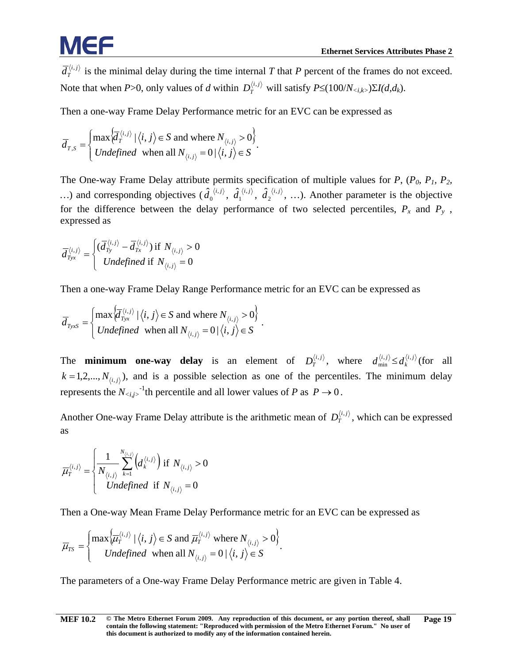$\bar{d}_T^{(i,j)}$  is the minimal delay during the time internal *T* that *P* percent of the frames do not exceed. Note that when *P*>0, only values of *d* within  $D_T^{\langle i,j\rangle}$  will satisfy  $P \leq (100/N_{\langle i,k\rangle})\Sigma I(d,d_k)$ .

Then a one-way Frame Delay Performance metric for an EVC can be expressed as

$$
\overline{d}_{T,S} = \begin{cases} \max \left\{ \overline{d}_T^{\langle i,j \rangle} \mid \langle i,j \rangle \in S \text{ and where } N_{\langle i,j \rangle} > 0 \right\} \\ Undefined \text{ when all } N_{\langle i,j \rangle} = 0 \mid \langle i,j \rangle \in S \end{cases}.
$$

The One-way Frame Delay attribute permits specification of multiple values for  $P$ ,  $(P_0, P_1, P_2, P_3)$ ...) and corresponding objectives  $(\hat{d}_0^{\langle i,j\rangle}, \hat{d}_1^{\langle i,j\rangle}, \hat{d}_2^{\langle i,j\rangle}, ...)$ . Another parameter is the objective for the difference between the delay performance of two selected percentiles,  $P_x$  and  $P_y$ , expressed as

$$
\overline{d}_{Tyx}^{\langle i,j\rangle} = \begin{cases}\n(\overline{d}_{Ty}^{\langle i,j\rangle} - \overline{d}_{Tx}^{\langle i,j\rangle}) & \text{if } N_{\langle i,j\rangle} > 0 \\
\text{undefined if } N_{\langle i,j\rangle} = 0\n\end{cases}
$$

Then a one-way Frame Delay Range Performance metric for an EVC can be expressed as

$$
\overline{d}_{TyxS} = \begin{cases} \max \left\{ \overline{d}_{Tyx}^{\langle i,j \rangle} \mid \langle i,j \rangle \in S \text{ and where } N_{\langle i,j \rangle} > 0 \right\} \\ Undefined \text{ when all } N_{\langle i,j \rangle} = 0 \mid \langle i,j \rangle \in S \end{cases}.
$$

The **minimum one-way delay** is an element of  $D_T^{\langle i,j \rangle}$ , where  $d_{\min}^{\langle i,j \rangle} \leq d_k^{\langle i,j \rangle}$  (for all  $k = 1, 2, \ldots, N_{(i,j)}$ , and is a possible selection as one of the percentiles. The minimum delay represents the  $N_{\langle i,j\rangle}$ <sup>-1</sup>th percentile and all lower values of *P* as  $P \to 0$ .

Another One-way Frame Delay attribute is the arithmetic mean of  $D_T^{(i,j)}$ , which can be expressed as

$$
\overline{\mu}_{T}^{\langle i,j\rangle} = \begin{cases}\n\frac{1}{N_{\langle i,j\rangle}} \sum_{k=1}^{N_{\langle i,j\rangle}} \left(d_k^{\langle i,j\rangle}\right) \text{ if } N_{\langle i,j\rangle} > 0 \\
\text{ undefined if } N_{\langle i,j\rangle} = 0\n\end{cases}
$$

Then a One-way Mean Frame Delay Performance metric for an EVC can be expressed as

$$
\overline{\mu}_{TS} = \begin{cases} \max \left\{ \overline{\mu}_{T}^{\langle i,j \rangle} \mid \langle i,j \rangle \in S \text{ and } \overline{\mu}_{T}^{\langle i,j \rangle} \text{ where } N_{\langle i,j \rangle} > 0 \right\} \\ Undefined \text{ when all } N_{\langle i,j \rangle} = 0 \mid \langle i,j \rangle \in S \end{cases}.
$$

The parameters of a One-way Frame Delay Performance metric are given in [Table 4.](#page-25-1)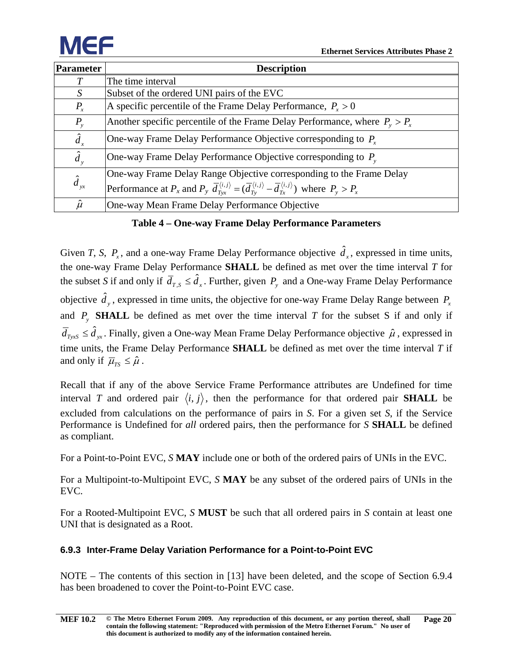

| Parameter      | <b>Description</b>                                                                                                                                                            |
|----------------|-------------------------------------------------------------------------------------------------------------------------------------------------------------------------------|
|                | The time interval                                                                                                                                                             |
| S              | Subset of the ordered UNI pairs of the EVC                                                                                                                                    |
| $P_{x}$        | A specific percentile of the Frame Delay Performance, $P_r > 0$                                                                                                               |
| $P_{y}$        | Another specific percentile of the Frame Delay Performance, where $P_v > P_v$                                                                                                 |
| $\hat{d}_x$    | One-way Frame Delay Performance Objective corresponding to $P_r$                                                                                                              |
| $\hat{d}_y$    | One-way Frame Delay Performance Objective corresponding to $P_{v}$                                                                                                            |
|                | One-way Frame Delay Range Objective corresponding to the Frame Delay                                                                                                          |
| $\hat{d}_{yx}$ | Performance at $P_x$ and $P_y$ $\overline{d}_{Tw}^{\langle i,j\rangle} = (\overline{d}_{Tw}^{\langle i,j\rangle} - \overline{d}_{Tw}^{\langle i,j\rangle})$ where $P_y > P_x$ |
| $\hat{\mu}$    | One-way Mean Frame Delay Performance Objective                                                                                                                                |

**Table 4 – One-way Frame Delay Performance Parameters**

<span id="page-25-1"></span>Given *T*, *S*,  $P_x$ , and a one-way Frame Delay Performance objective  $\hat{d}_x$ , expressed in time units, the one-way Frame Delay Performance **SHALL** be defined as met over the time interval *T* for the subset *S* if and only if  $\bar{d}_{T, S} \leq \hat{d}_x$ . Further, given  $P_y$  and a One-way Frame Delay Performance objective  $\hat{d}_y$ , expressed in time units, the objective for one-way Frame Delay Range between  $P_x$ and  $P_y$  **SHALL** be defined as met over the time interval *T* for the subset *S* if and only if  $\bar{d}_{TyxS} \leq \hat{d}_{yx}$ . Finally, given a One-way Mean Frame Delay Performance objective  $\hat{\mu}$  , expressed in time units, the Frame Delay Performance **SHALL** be defined as met over the time interval *T* if and only if  $\overline{\mu}_{TS} \leq \hat{\mu}$ .

Recall that if any of the above Service Frame Performance attributes are Undefined for time interval *T* and ordered pair  $\langle i, j \rangle$ , then the performance for that ordered pair **SHALL** be excluded from calculations on the performance of pairs in *S*. For a given set *S*, if the Service Performance is Undefined for *all* ordered pairs, then the performance for *S* **SHALL** be defined as compliant.

For a Point-to-Point EVC, *S* **MAY** include one or both of the ordered pairs of UNIs in the EVC.

For a Multipoint-to-Multipoint EVC, *S* **MAY** be any subset of the ordered pairs of UNIs in the EVC.

For a Rooted-Multipoint EVC, *S* **MUST** be such that all ordered pairs in *S* contain at least one UNI that is designated as a Root.

#### <span id="page-25-0"></span>**6.9.3 Inter-Frame Delay Variation Performance for a Point-to-Point EVC**

NOTE – The contents of this section in [\[13\]](#page-55-7) have been deleted, and the scope of Section [6.9.4](#page-26-0) has been broadened to cover the Point-to-Point EVC case.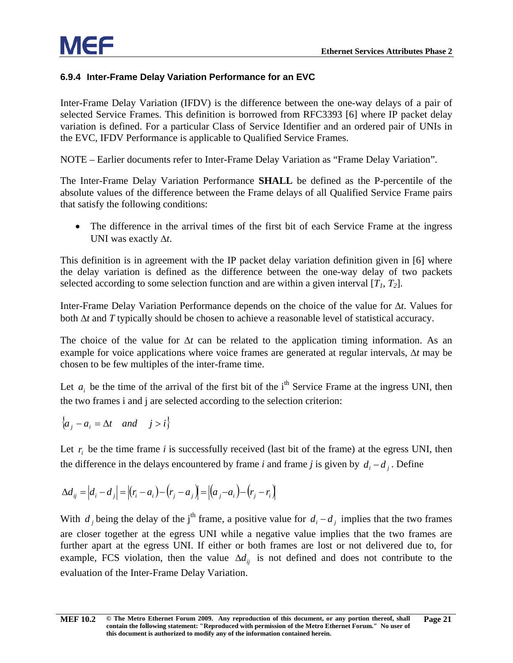#### <span id="page-26-0"></span>**6.9.4 Inter-Frame Delay Variation Performance for an EVC**

Inter-Frame Delay Variation (IFDV) is the difference between the one-way delays of a pair of selected Service Frames. This definition is borrowed from RFC3393 [6] where IP packet delay variation is defined. For a particular Class of Service Identifier and an ordered pair of UNIs in the EVC, IFDV Performance is applicable to Qualified Service Frames.

NOTE – Earlier documents refer to Inter-Frame Delay Variation as "Frame Delay Variation".

The Inter-Frame Delay Variation Performance **SHALL** be defined as the P-percentile of the absolute values of the difference between the Frame delays of all Qualified Service Frame pairs that satisfy the following conditions:

• The difference in the arrival times of the first bit of each Service Frame at the ingress UNI was exactly ∆*t*.

This definition is in agreement with the IP packet delay variation definition given in [6] where the delay variation is defined as the difference between the one-way delay of two packets selected according to some selection function and are within a given interval  $[T_1, T_2]$ .

Inter-Frame Delay Variation Performance depends on the choice of the value for ∆*t*. Values for both ∆*t* and *T* typically should be chosen to achieve a reasonable level of statistical accuracy.

The choice of the value for ∆*t* can be related to the application timing information. As an example for voice applications where voice frames are generated at regular intervals, ∆*t* may be chosen to be few multiples of the inter-frame time.

Let  $a_i$ , be the time of the arrival of the first bit of the i<sup>th</sup> Service Frame at the ingress UNI, then the two frames i and j are selected according to the selection criterion:

$$
\left\{ a_j - a_i = \Delta t \quad and \quad j > i \right\}
$$

Let  $r_i$  be the time frame *i* is successfully received (last bit of the frame) at the egress UNI, then the difference in the delays encountered by frame *i* and frame *j* is given by  $d_i - d_i$ . Define

$$
\Delta d_{ij} = |d_i - d_j| = |(r_i - a_i) - (r_j - a_j)| = |(a_j - a_i) - (r_j - r_i)|
$$

With *d* i being the delay of the j<sup>th</sup> frame, a positive value for  $d_i - d_i$  implies that the two frames are closer together at the egress UNI while a negative value implies that the two frames are further apart at the egress UNI. If either or both frames are lost or not delivered due to, for example, FCS violation, then the value  $\Delta d_{ij}$  is not defined and does not contribute to the evaluation of the Inter-Frame Delay Variation.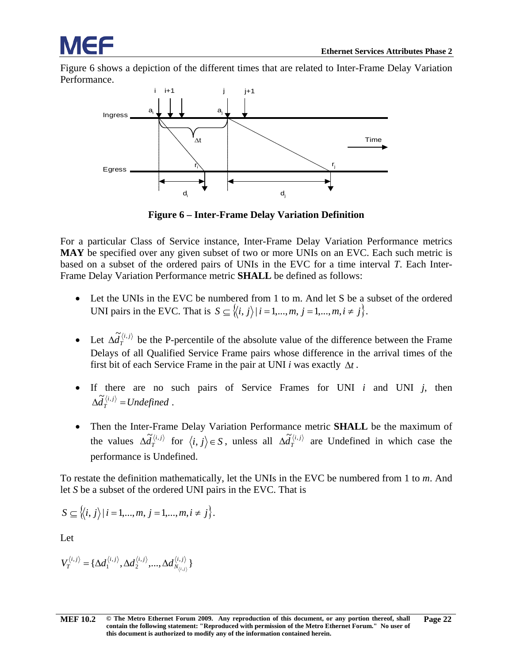[Figure 6](#page-27-0) shows a depiction of the different times that are related to Inter-Frame Delay Variation Performance.



**Figure 6 – Inter-Frame Delay Variation Definition**

<span id="page-27-0"></span>For a particular Class of Service instance, Inter-Frame Delay Variation Performance metrics **MAY** be specified over any given subset of two or more UNIs on an EVC. Each such metric is based on a subset of the ordered pairs of UNIs in the EVC for a time interval *T*. Each Inter-Frame Delay Variation Performance metric **SHALL** be defined as follows:

- Let the UNIs in the EVC be numbered from 1 to m. And let S be a subset of the ordered UNI pairs in the EVC. That is  $S \subseteq \{ \langle i, j \rangle | i = 1, \ldots, m, j = 1, \ldots, m, i \neq j \}.$
- Let  $\Delta \tilde{d}_T^{\langle i,j \rangle}$  be the P-percentile of the absolute value of the difference between the Frame Delays of all Qualified Service Frame pairs whose difference in the arrival times of the first bit of each Service Frame in the pair at UNI *i* was exactly ∆*t* .
- If there are no such pairs of Service Frames for UNI *i* and UNI *j*, then  $\Delta \tilde{d}_r^{\langle i,j \rangle} = Undefined$ .
- Then the Inter-Frame Delay Variation Performance metric **SHALL** be the maximum of the values  $\Delta \tilde{d}_T^{\langle i,j \rangle}$  for  $\langle i,j \rangle \in S$ , unless all  $\Delta \tilde{d}_T^{\langle i,j \rangle}$  are Undefined in which case the performance is Undefined.

To restate the definition mathematically, let the UNIs in the EVC be numbered from 1 to *m*. And let *S* be a subset of the ordered UNI pairs in the EVC. That is

$$
S \subseteq \langle \langle i, j \rangle | i = 1, ..., m, j = 1, ..., m, i \neq j \rangle.
$$

Let

$$
V_I^{\langle i,j\rangle}=\{\Delta d_1^{\langle i,j\rangle},\Delta d_2^{\langle i,j\rangle},...,\Delta d_{N_{\langle i,j\rangle}}^{\langle i,j\rangle}\}
$$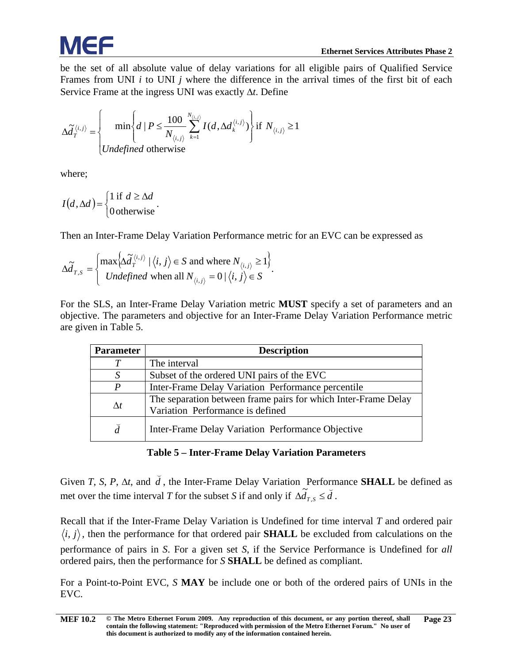

be the set of all absolute value of delay variations for all eligible pairs of Qualified Service Frames from UNI *i* to UNI *j* where the difference in the arrival times of the first bit of each Service Frame at the ingress UNI was exactly ∆*t*. Define

$$
\Delta \tilde{d}_T^{\langle i,j\rangle} = \begin{cases} \min \left\{ d \mid P \le \frac{100}{N_{\langle i,j\rangle}} \sum_{k=1}^{N_{\langle i,j\rangle}} I(d, \Delta d_k^{\langle i,j\rangle}) \right\} & \text{if } N_{\langle i,j\rangle} \ge 1\\ \text{undefined otherwise} \end{cases}
$$

where;

$$
I(d, \Delta d) = \begin{cases} 1 & \text{if } d \geq \Delta d \\ 0 & \text{otherwise} \end{cases}.
$$

Then an Inter-Frame Delay Variation Performance metric for an EVC can be expressed as

$$
\Delta \widetilde{d}_{T,S} = \begin{cases} \max \Big\{ \Delta \widetilde{d}_T^{\langle i,j \rangle} \mid \langle i,j \rangle \in S \text{ and where } N_{\langle i,j \rangle} \ge 1 \Big\} \\ Undefined \text{ when all } N_{\langle i,j \rangle} = 0 \mid \langle i,j \rangle \in S \end{cases}.
$$

For the SLS, an Inter-Frame Delay Variation metric **MUST** specify a set of parameters and an objective. The parameters and objective for an Inter-Frame Delay Variation Performance metric are given in [Table 5.](#page-28-0)

| <b>Parameter</b> | <b>Description</b>                                                                                 |
|------------------|----------------------------------------------------------------------------------------------------|
|                  | The interval                                                                                       |
|                  | Subset of the ordered UNI pairs of the EVC                                                         |
| P                | Inter-Frame Delay Variation Performance percentile                                                 |
| $\Delta t$       | The separation between frame pairs for which Inter-Frame Delay<br>Variation Performance is defined |
| $\check{d}$      | Inter-Frame Delay Variation Performance Objective                                                  |

#### **Table 5 – Inter-Frame Delay Variation Parameters**

<span id="page-28-0"></span>Given *T*, *S*, *P*, ∆*t*, and *d*  $\overline{a}$ , the Inter-Frame Delay Variation Performance **SHALL** be defined as met over the time interval *T* for the subset *S* if and only if  $\Delta \tilde{d}_{T,s} \leq \tilde{d}$ .

Recall that if the Inter-Frame Delay Variation is Undefined for time interval *T* and ordered pair  $\langle i, j \rangle$ , then the performance for that ordered pair **SHALL** be excluded from calculations on the performance of pairs in *S*. For a given set *S*, if the Service Performance is Undefined for *all* ordered pairs, then the performance for *S* **SHALL** be defined as compliant.

For a Point-to-Point EVC, *S* **MAY** be include one or both of the ordered pairs of UNIs in the EVC.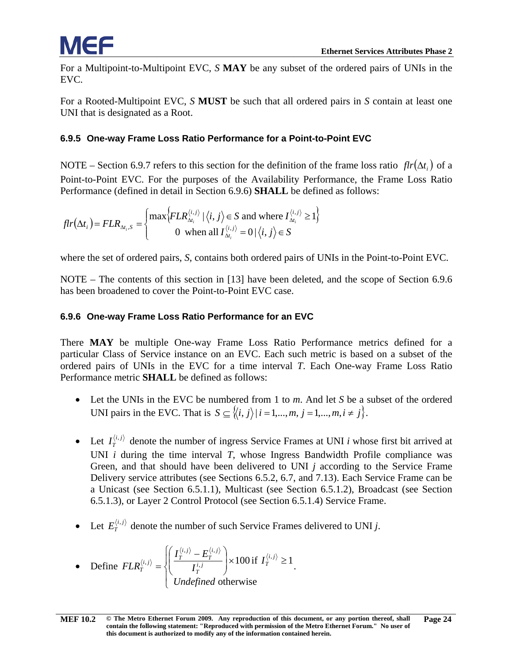For a Multipoint-to-Multipoint EVC, *S* **MAY** be any subset of the ordered pairs of UNIs in the EVC.

For a Rooted-Multipoint EVC, *S* **MUST** be such that all ordered pairs in *S* contain at least one UNI that is designated as a Root.

#### <span id="page-29-0"></span>**6.9.5 One-way Frame Loss Ratio Performance for a Point-to-Point EVC**

NOTE – Section [6.9.7](#page-30-0) refers to this section for the definition of the frame loss ratio  $flr(\Delta t_i)$  of a Point-to-Point EVC. For the purposes of the Availability Performance, the Frame Loss Ratio Performance (defined in detail in Section [6.9.6\)](#page-29-1) **SHALL** be defined as follows:

$$
flr(\Delta t_i) = FLR_{\Delta t_i, S} = \begin{cases} \max \Big\{ FLR_{\Delta t_i}^{\langle i, j \rangle} \mid \langle i, j \rangle \in S \text{ and where } I_{\Delta t_i}^{\langle i, j \rangle} \ge 1 \Big\} \\ 0 \text{ when all } I_{\Delta t_i}^{\langle i, j \rangle} = 0 \mid \langle i, j \rangle \in S \end{cases}
$$

where the set of ordered pairs, *S,* contains both ordered pairs of UNIs in the Point-to-Point EVC.

NOTE – The contents of this section in [\[13\]](#page-55-7) have been deleted, and the scope of Section [6.9.6](#page-29-1) has been broadened to cover the Point-to-Point EVC case.

#### <span id="page-29-1"></span>**6.9.6 One-way Frame Loss Ratio Performance for an EVC**

There **MAY** be multiple One-way Frame Loss Ratio Performance metrics defined for a particular Class of Service instance on an EVC. Each such metric is based on a subset of the ordered pairs of UNIs in the EVC for a time interval *T*. Each One-way Frame Loss Ratio Performance metric **SHALL** be defined as follows:

- Let the UNIs in the EVC be numbered from 1 to *m*. And let *S* be a subset of the ordered UNI pairs in the EVC. That is  $S \subseteq \{ \langle i, j \rangle | i = 1, \ldots, m, j = 1, \ldots, m, i \neq j \}.$
- Let  $I_T^{\langle i,j\rangle}$  denote the number of ingress Service Frames at UNI *i* whose first bit arrived at UNI *i* during the time interval *T*, whose Ingress Bandwidth Profile compliance was Green, and that should have been delivered to UNI *j* according to the Service Frame Delivery service attributes (see Sections [6.5.2,](#page-16-1) [6.7,](#page-18-1) and [7.13\)](#page-49-3). Each Service Frame can be a Unicast (see Section [6.5.1.1\)](#page-15-4), Multicast (see Section [6.5.1.2\)](#page-15-5), Broadcast (see Section [6.5.1.3\)](#page-15-6), or Layer 2 Control Protocol (see Section [6.5.1.4\)](#page-15-7) Service Frame.
- Let  $E_T^{\langle i,j\rangle}$  denote the number of such Service Frames delivered to UNI *j*.

• Define 
$$
FLR_T^{\langle i,j \rangle} = \begin{cases} \left( \frac{I_T^{\langle i,j \rangle} - E_T^{\langle i,j \rangle}}{I_T^{i,j}} \right) \times 100 \text{ if } I_T^{\langle i,j \rangle} \ge 1, \\ Undefined \text{ otherwise} \end{cases}
$$
.

**[MEF 10.2](#page-0-0) © The Metro Ethernet Forum 2009. Any reproduction of this document, or any portion thereof, shall contain the following statement: "Reproduced with permission of the Metro Ethernet Forum." No user of this document is authorized to modify any of the information contained herein. Page 24**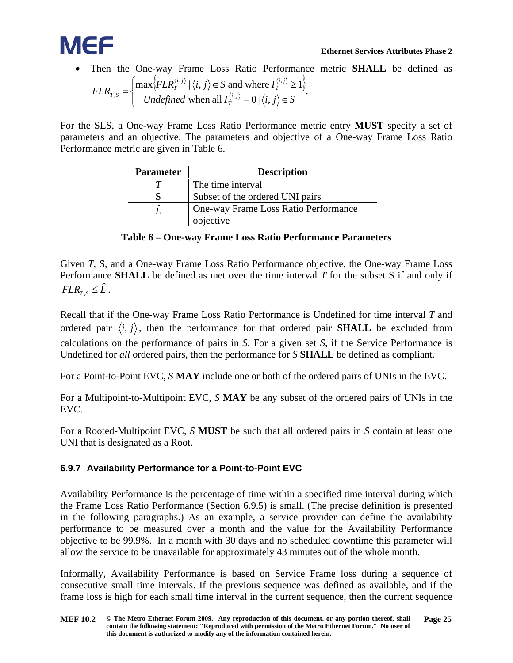

• Then the One-way Frame Loss Ratio Performance metric **SHALL** be defined as  $\{FLR_{T}^{(i,j)} | \langle i, j \rangle \in S \text{ and where } I_{T}^{(i,j)} \geq 1 \}$  $\overline{\mathcal{L}}$  $\overline{ }$ ⇃  $\left($  $=\begin{cases} \max \{FLR_T^{(i,j)} | \langle i, j \rangle \in S \text{ and where } I_T^{(i,j)} \geq 0 \\ Undefined \text{ when all } I_T^{(i,j)} = 0 | \langle i, j \rangle \in S \end{cases}$  $FLR_{T,S} = \left\{ \begin{array}{c} \text{if } \text{if } i \neq j \text{ and } j \neq j \end{array} \right.$ *T i j T i j T*  $T^{T,S}$  *Undefined* when all  $I_T^{\langle i,j \rangle} = 0 \, |\langle i,j \rangle|$  $\max\{FLR_T^{(i,j)}\mid \langle i,j \rangle \in S \text{ and where } I_T^{(i,j)} \geq 1\}$ ,  $\langle J \rangle$   $| J : \rangle$  =  $S$  and where  $I^{(i)}$  $S = \begin{cases} \text{max}_{i} \left( \frac{1}{2} \sum_{i=1}^{n} |x_i y_i|^2 \right) & \text{if } x_i \in I \end{cases}$ 

For the SLS, a One-way Frame Loss Ratio Performance metric entry **MUST** specify a set of parameters and an objective. The parameters and objective of a One-way Frame Loss Ratio Performance metric are given in [Table 6.](#page-30-1)

| <b>Parameter</b> | <b>Description</b>                   |  |  |
|------------------|--------------------------------------|--|--|
|                  | The time interval                    |  |  |
|                  | Subset of the ordered UNI pairs      |  |  |
| ⌒                | One-way Frame Loss Ratio Performance |  |  |
|                  | objective                            |  |  |

**Table 6 – One-way Frame Loss Ratio Performance Parameters**

<span id="page-30-1"></span>Given *T*, S, and a One-way Frame Loss Ratio Performance objective, the One-way Frame Loss Performance **SHALL** be defined as met over the time interval *T* for the subset S if and only if  $FLR$ <sub>*r*</sub>  $\leq \hat{L}$ .

Recall that if the One-way Frame Loss Ratio Performance is Undefined for time interval *T* and ordered pair  $\langle i, j \rangle$ , then the performance for that ordered pair **SHALL** be excluded from calculations on the performance of pairs in *S*. For a given set *S*, if the Service Performance is Undefined for *all* ordered pairs, then the performance for *S* **SHALL** be defined as compliant.

For a Point-to-Point EVC, *S* **MAY** include one or both of the ordered pairs of UNIs in the EVC.

For a Multipoint-to-Multipoint EVC, *S* **MAY** be any subset of the ordered pairs of UNIs in the EVC.

For a Rooted-Multipoint EVC, *S* **MUST** be such that all ordered pairs in *S* contain at least one UNI that is designated as a Root.

#### <span id="page-30-0"></span>**6.9.7 Availability Performance for a Point-to-Point EVC**

Availability Performance is the percentage of time within a specified time interval during which the Frame Loss Ratio Performance (Section [6.9.5\)](#page-29-0) is small. (The precise definition is presented in the following paragraphs.) As an example, a service provider can define the availability performance to be measured over a month and the value for the Availability Performance objective to be 99.9%. In a month with 30 days and no scheduled downtime this parameter will allow the service to be unavailable for approximately 43 minutes out of the whole month.

Informally, Availability Performance is based on Service Frame loss during a sequence of consecutive small time intervals. If the previous sequence was defined as available, and if the frame loss is high for each small time interval in the current sequence, then the current sequence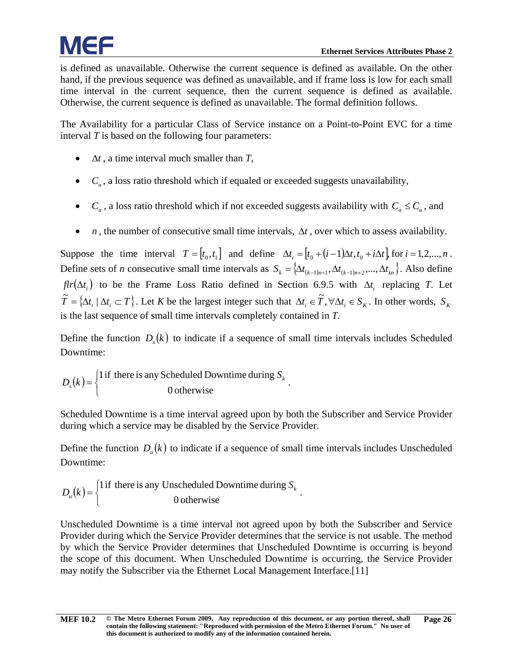is defined as unavailable. Otherwise the current sequence is defined as available. On the other hand, if the previous sequence was defined as unavailable, and if frame loss is low for each small time interval in the current sequence, then the current sequence is defined as available. Otherwise, the current sequence is defined as unavailable. The formal definition follows.

The Availability for a particular Class of Service instance on a Point-to-Point EVC for a time interval *T* is based on the following four parameters:

- ∆*t* , a time interval much smaller than *T*,
- $\bullet$   $C_u$ , a loss ratio threshold which if equaled or exceeded suggests unavailability,
- $C_a$ , a loss ratio threshold which if not exceeded suggests availability with  $C_a \leq C_u$ , and
- *n*, the number of consecutive small time intervals,  $\Delta t$ , over which to assess availability.

Suppose the time interval  $T = [t_0, t_1]$  and define  $\Delta t_i = [t_0 + (i-1)\Delta t, t_0 + i\Delta t]$ , for  $i = 1, 2, ..., n$ . Define sets of *n* consecutive small time intervals as  $S_k = \{ \Delta t_{(k-1)n+1}, \Delta t_{(k-1)n+2}, ..., \Delta t_{kn} \}$ . Also define  $f\{ir(\Delta t_i)\}$  to be the Frame Loss Ratio defined in Section [6.9.5](#page-29-0) with  $\Delta t_i$  replacing *T*. Let  $\widetilde{T} = {\Delta t_i \mid \Delta t_i \subset T}$ . Let *K* be the largest integer such that  $\Delta t_i \in \widetilde{T}$ ,  $\forall \Delta t_i \in S_K$ . In other words,  $S_K$ is the last sequence of small time intervals completely contained in *T*.

Define the function  $D<sub>s</sub>(k)$  to indicate if a sequence of small time intervals includes Scheduled Downtime:

$$
D_s(k) = \begin{cases} 1 \text{ if there is any Scheduled Downtime during } S_k \\ 0 \text{ otherwise} \end{cases}.
$$

Scheduled Downtime is a time interval agreed upon by both the Subscriber and Service Provider during which a service may be disabled by the Service Provider.

Define the function  $D_{\mu}(k)$  to indicate if a sequence of small time intervals includes Unscheduled Downtime:

$$
D_u(k) = \begin{cases} 1 \text{ if there is any Un scheduled Downtime during } S_k \\ 0 \text{ otherwise} \end{cases}.
$$

Unscheduled Downtime is a time interval not agreed upon by both the Subscriber and Service Provider during which the Service Provider determines that the service is not usable. The method by which the Service Provider determines that Unscheduled Downtime is occurring is beyond the scope of this document. When Unscheduled Downtime is occurring, the Service Provider may notify the Subscriber via the Ethernet Local Management Interface[.\[11\]](#page-55-8)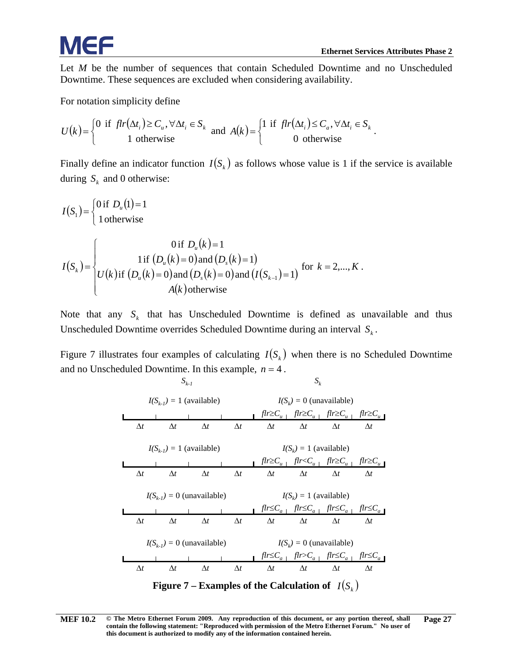Let *M* be the number of sequences that contain Scheduled Downtime and no Unscheduled Downtime. These sequences are excluded when considering availability.

For notation simplicity define

$$
U(k) = \begin{cases} 0 & \text{if } \text{flr}(\Delta t_i) \ge C_u, \forall \Delta t_i \in S_k \\ 1 & \text{otherwise} \end{cases} \text{ and } A(k) = \begin{cases} 1 & \text{if } \text{flr}(\Delta t_i) \le C_a, \forall \Delta t_i \in S_k \\ 0 & \text{otherwise} \end{cases}.
$$

Finally define an indicator function  $I(S_k)$  as follows whose value is 1 if the service is available during  $S_k$  and 0 otherwise:

$$
I(S_1) = \begin{cases} 0 \text{ if } D_u(1) = 1 \\ 1 \text{ otherwise} \end{cases}
$$
  

$$
I(S_k) = \begin{cases} 0 \text{ if } D_u(k) = 1 \\ \text{ if } (D_u(k) = 0) \text{ and } (D_s(k) = 1) \\ U(k) \text{ if } (D_u(k) = 0) \text{ and } (D_s(k) = 0) \text{ and } (I(S_{k-1}) = 1) \end{cases} \text{ for } k = 2,..., K.
$$
  

$$
A(k) \text{ otherwise}
$$

Note that any  $S_k$  that has Unscheduled Downtime is defined as unavailable and thus Unscheduled Downtime overrides Scheduled Downtime during an interval  $S_k$ .

[Figure 7](#page-32-0) illustrates four examples of calculating  $I(S_k)$  when there is no Scheduled Downtime and no Unscheduled Downtime. In this example,  $n = 4$ .

 $S_{k-1}$  *S<sub>k</sub>* 

*I(Sk-1) =* 1 (available) *flr*≥*Cu flr*≥*Cu flr*≥*Cu flr*≥*Cu I(Sk-1) =* 1 (available) *I(Sk) =* 0 (unavailable) *flr*≥*Cu flr*<*Cu flr*≥*Cu flr*≥*Cu I(Sk) =* 1 (available) *flr*≤*Ca flr*≤*Ca flr*≤*Ca flr*≤*Ca I(Sk-1) =* 0 (unavailable) *I(Sk) =* 1 (available) *flr*≤*Ca flr*>*Ca flr*≤*Ca flr*≤*Ca I(Sk I(S ) =* 0 (unavailable) *k-1) =* 0 (unavailable) ∆*t* ∆*t* ∆*t* ∆*t* ∆*t* ∆*t* ∆*t* ∆*t* ∆*t* ∆*t* ∆*t* ∆*t* ∆*t* ∆*t* ∆*t* ∆*t* ∆*t* ∆*t* ∆*t* ∆*t* ∆*t* ∆*t* ∆*t* ∆*t* ∆*t* ∆*t* ∆*t* ∆*t* ∆*t* ∆*t* ∆*t* ∆*t* **Figure 7 – Examples of the Calculation of** ( ) *Sk I*

<span id="page-32-1"></span><span id="page-32-0"></span>**[MEF 10.2](#page-0-0) © The Metro Ethernet Forum 2009. Any reproduction of this document, or any portion thereof, shall contain the following statement: "Reproduced with permission of the Metro Ethernet Forum." No user of this document is authorized to modify any of the information contained herein. Page 27**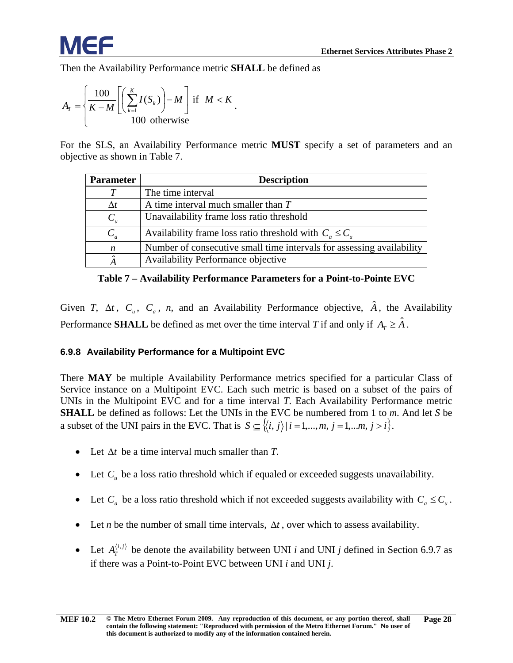Then the Availability Performance metric **SHALL** be defined as

$$
A_{T} = \left\{ \frac{100}{K - M} \left[ \left( \sum_{k=1}^{K} I(S_{k}) \right) - M \right] \text{ if } M < K \right. \tag{100 otherwise}
$$

For the SLS, an Availability Performance metric **MUST** specify a set of parameters and an objective as shown in [Table 7.](#page-33-1)

| <b>Parameter</b> | <b>Description</b>                                                    |
|------------------|-----------------------------------------------------------------------|
|                  | The time interval                                                     |
| Λt               | A time interval much smaller than $T$                                 |
| $C_u$            | Unavailability frame loss ratio threshold                             |
| $C_a$            | Availability frame loss ratio threshold with $C_a \leq C_a$           |
| n                | Number of consecutive small time intervals for assessing availability |
|                  | Availability Performance objective                                    |

**Table 7 – Availability Performance Parameters for a Point-to-Pointe EVC**

<span id="page-33-1"></span>Given *T*,  $\Delta t$ , *C<sub>u</sub>*, *C<sub>a</sub>*, *n*, and an Availability Performance objective,  $\hat{A}$ , the Availability Performance **SHALL** be defined as met over the time interval *T* if and only if  $A_T \geq \hat{A}$ .

#### <span id="page-33-0"></span>**6.9.8 Availability Performance for a Multipoint EVC**

There **MAY** be multiple Availability Performance metrics specified for a particular Class of Service instance on a Multipoint EVC. Each such metric is based on a subset of the pairs of UNIs in the Multipoint EVC and for a time interval *T*. Each Availability Performance metric **SHALL** be defined as follows: Let the UNIs in the EVC be numbered from 1 to *m*. And let *S* be a subset of the UNI pairs in the EVC. That is  $S \subseteq \{ \langle i, j \rangle | i = 1, ..., m, j = 1, ..., m, j > i \}.$ 

- Let ∆*t* be a time interval much smaller than *T*.
- Let  $C_u$  be a loss ratio threshold which if equaled or exceeded suggests unavailability.
- Let  $C_a$  be a loss ratio threshold which if not exceeded suggests availability with  $C_a \leq C_u$ .
- Let *n* be the number of small time intervals,  $\Delta t$ , over which to assess availability.
- Let  $A_T^{(i,j)}$  be denote the availability between UNI *i* and UNI *j* defined in Section [6.9.7](#page-30-0) as if there was a Point-to-Point EVC between UNI *i* and UNI *j*.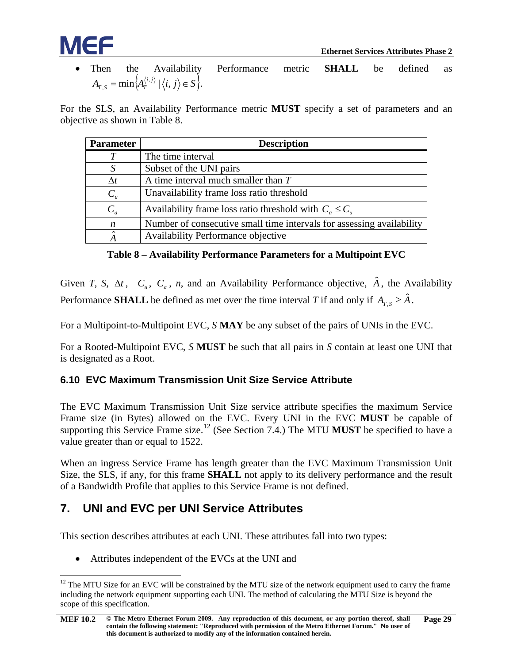

• Then the Availability Performance metric **SHALL** be defined as  $A_{T, S} = \min \Big\{ A_T^{\langle i, j \rangle} \mid \big\langle i, j \big\rangle \in S \Big\}.$ 

For the SLS, an Availability Performance metric **MUST** specify a set of parameters and an objective as shown in [Table 8.](#page-34-2)

| <b>Parameter</b> | <b>Description</b>                                                    |
|------------------|-----------------------------------------------------------------------|
|                  | The time interval                                                     |
|                  | Subset of the UNI pairs                                               |
| $\Delta t$       | A time interval much smaller than $T$                                 |
| $C_u$            | Unavailability frame loss ratio threshold                             |
| $C_a$            | Availability frame loss ratio threshold with $C_a \leq C_u$           |
| n                | Number of consecutive small time intervals for assessing availability |
|                  | Availability Performance objective                                    |

**Table 8 – Availability Performance Parameters for a Multipoint EVC**

<span id="page-34-2"></span>Given *T*, *S*,  $\Delta t$ , *C<sub>u</sub>*, *C<sub>a</sub>*, *n*, and an Availability Performance objective,  $\hat{A}$ , the Availability Performance **SHALL** be defined as met over the time interval *T* if and only if  $A_{T,S} \geq \hat{A}$ .

For a Multipoint-to-Multipoint EVC, *S* **MAY** be any subset of the pairs of UNIs in the EVC.

For a Rooted-Multipoint EVC, *S* **MUST** be such that all pairs in *S* contain at least one UNI that is designated as a Root.

#### <span id="page-34-0"></span>**6.10 EVC Maximum Transmission Unit Size Service Attribute**

The EVC Maximum Transmission Unit Size service attribute specifies the maximum Service Frame size (in Bytes) allowed on the EVC. Every UNI in the EVC **MUST** be capable of supporting this Service Frame size.<sup>[12](#page-34-3)</sup> (See Section [7.4.](#page-36-0)) The MTU **MUST** be specified to have a value greater than or equal to 1522.

When an ingress Service Frame has length greater than the EVC Maximum Transmission Unit Size, the SLS, if any, for this frame **SHALL** not apply to its delivery performance and the result of a Bandwidth Profile that applies to this Service Frame is not defined.

#### <span id="page-34-1"></span>**7. UNI and EVC per UNI Service Attributes**

This section describes attributes at each UNI. These attributes fall into two types:

• Attributes independent of the EVCs at the UNI and

<span id="page-34-3"></span> $12$  The MTU Size for an EVC will be constrained by the MTU size of the network equipment used to carry the frame including the network equipment supporting each UNI. The method of calculating the MTU Size is beyond the scope of this specification.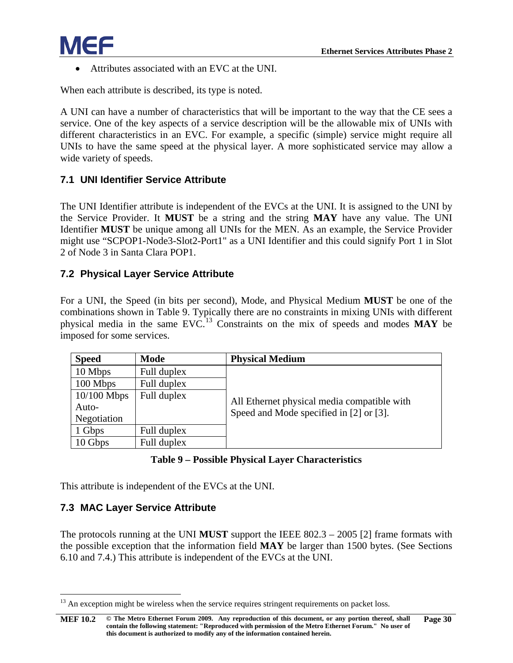• Attributes associated with an EVC at the UNI.

When each attribute is described, its type is noted.

A UNI can have a number of characteristics that will be important to the way that the CE sees a service. One of the key aspects of a service description will be the allowable mix of UNIs with different characteristics in an EVC. For example, a specific (simple) service might require all UNIs to have the same speed at the physical layer. A more sophisticated service may allow a wide variety of speeds.

#### <span id="page-35-0"></span>**7.1 UNI Identifier Service Attribute**

The UNI Identifier attribute is independent of the EVCs at the UNI. It is assigned to the UNI by the Service Provider. It **MUST** be a string and the string **MAY** have any value. The UNI Identifier **MUST** be unique among all UNIs for the MEN. As an example, the Service Provider might use "SCPOP1-Node3-Slot2-Port1" as a UNI Identifier and this could signify Port 1 in Slot 2 of Node 3 in Santa Clara POP1.

#### <span id="page-35-1"></span>**7.2 Physical Layer Service Attribute**

For a UNI, the Speed (in bits per second), Mode, and Physical Medium **MUST** be one of the combinations shown in [Table 9.](#page-35-3) Typically there are no constraints in mixing UNIs with different physical media in the same EVC.[13](#page-35-4) Constraints on the mix of speeds and modes **MAY** be imposed for some services.

| <b>Speed</b>  | <b>Mode</b> | <b>Physical Medium</b>                      |
|---------------|-------------|---------------------------------------------|
| 10 Mbps       | Full duplex |                                             |
| 100 Mbps      | Full duplex |                                             |
| $10/100$ Mbps | Full duplex | All Ethernet physical media compatible with |
| Auto-         |             | Speed and Mode specified in [2] or [3].     |
| Negotiation   |             |                                             |
| 1 Gbps        | Full duplex |                                             |
| 10 Gbps       | Full duplex |                                             |

#### **Table 9 – Possible Physical Layer Characteristics**

<span id="page-35-3"></span>This attribute is independent of the EVCs at the UNI.

#### <span id="page-35-2"></span>**7.3 MAC Layer Service Attribute**

The protocols running at the UNI **MUST** support the IEEE 802.3 – 2005 [\[2\]](#page-54-3) frame formats with the possible exception that the information field **MAY** be larger than 1500 bytes. (See Sections [6.10](#page-34-0) and [7.4.](#page-36-0)) This attribute is independent of the EVCs at the UNI.

<span id="page-35-4"></span> $13$  An exception might be wireless when the service requires stringent requirements on packet loss.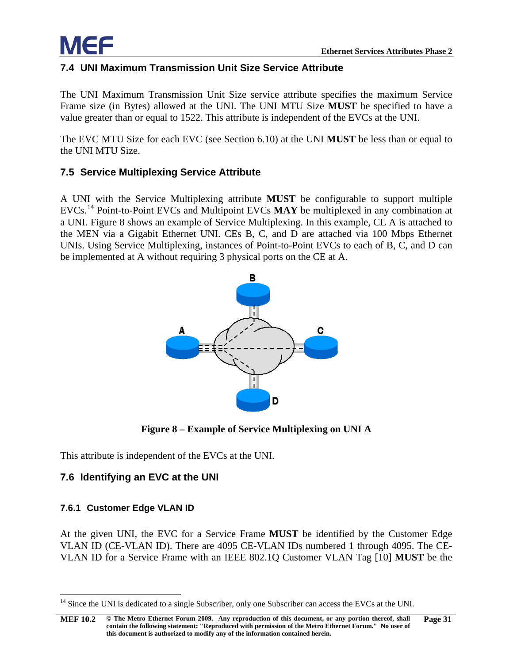

#### <span id="page-36-0"></span>**7.4 UNI Maximum Transmission Unit Size Service Attribute**

The UNI Maximum Transmission Unit Size service attribute specifies the maximum Service Frame size (in Bytes) allowed at the UNI. The UNI MTU Size **MUST** be specified to have a value greater than or equal to 1522. This attribute is independent of the EVCs at the UNI.

The EVC MTU Size for each EVC (see Section [6.10\)](#page-34-0) at the UNI **MUST** be less than or equal to the UNI MTU Size.

#### <span id="page-36-1"></span>**7.5 Service Multiplexing Service Attribute**

A UNI with the Service Multiplexing attribute **MUST** be configurable to support multiple EVCs.[14](#page-36-5) Point-to-Point EVCs and Multipoint EVCs **MAY** be multiplexed in any combination at a UNI. [Figure 8](#page-36-4) shows an example of Service Multiplexing. In this example, CE A is attached to the MEN via a Gigabit Ethernet UNI. CEs B, C, and D are attached via 100 Mbps Ethernet UNIs. Using Service Multiplexing, instances of Point-to-Point EVCs to each of B, C, and D can be implemented at A without requiring 3 physical ports on the CE at A.



<span id="page-36-6"></span>**Figure 8 – Example of Service Multiplexing on UNI A**

<span id="page-36-4"></span>This attribute is independent of the EVCs at the UNI.

#### <span id="page-36-2"></span>**7.6 Identifying an EVC at the UNI**

#### <span id="page-36-3"></span>**7.6.1 Customer Edge VLAN ID**

At the given UNI, the EVC for a Service Frame **MUST** be identified by the Customer Edge VLAN ID (CE-VLAN ID). There are 4095 CE-VLAN IDs numbered 1 through 4095. The CE-VLAN ID for a Service Frame with an IEEE 802.1Q Customer VLAN Tag [\[10\]](#page-55-2) **MUST** be the

<span id="page-36-5"></span><sup>&</sup>lt;sup>14</sup> Since the UNI is dedicated to a single Subscriber, only one Subscriber can access the EVCs at the UNI.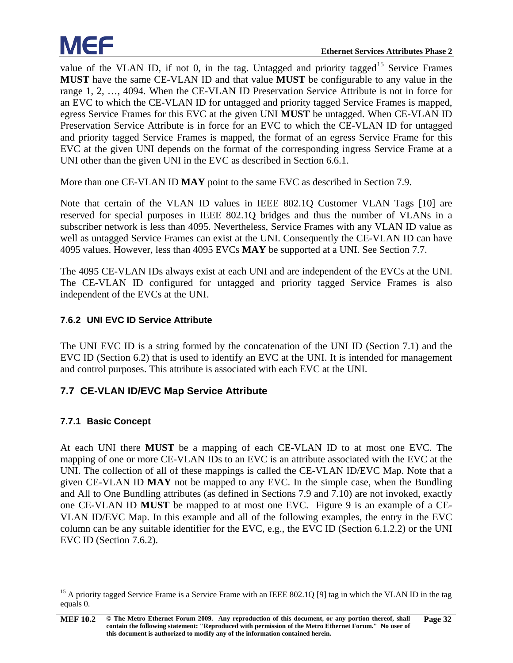value of the VLAN ID, if not 0, in the tag. Untagged and priority tagged<sup>[15](#page-37-3)</sup> Service Frames **MUST** have the same CE-VLAN ID and that value **MUST** be configurable to any value in the range 1, 2, …, 4094. When the CE-VLAN ID Preservation Service Attribute is not in force for an EVC to which the CE-VLAN ID for untagged and priority tagged Service Frames is mapped, egress Service Frames for this EVC at the given UNI **MUST** be untagged. When CE-VLAN ID Preservation Service Attribute is in force for an EVC to which the CE-VLAN ID for untagged and priority tagged Service Frames is mapped, the format of an egress Service Frame for this EVC at the given UNI depends on the format of the corresponding ingress Service Frame at a UNI other than the given UNI in the EVC as described in Section [6.6.1.](#page-17-2)

More than one CE-VLAN ID **MAY** point to the same EVC as described in Section [7.9.](#page-39-2)

Note that certain of the VLAN ID values in IEEE 802.1Q Customer VLAN Tags [\[10\]](#page-55-2) are reserved for special purposes in IEEE 802.1Q bridges and thus the number of VLANs in a subscriber network is less than 4095. Nevertheless, Service Frames with any VLAN ID value as well as untagged Service Frames can exist at the UNI. Consequently the CE-VLAN ID can have 4095 values. However, less than 4095 EVCs **MAY** be supported at a UNI. See Section [7.7.](#page-37-1)

The 4095 CE-VLAN IDs always exist at each UNI and are independent of the EVCs at the UNI. The CE-VLAN ID configured for untagged and priority tagged Service Frames is also independent of the EVCs at the UNI.

#### <span id="page-37-0"></span>**7.6.2 UNI EVC ID Service Attribute**

The UNI EVC ID is a string formed by the concatenation of the UNI ID (Section [7.1\)](#page-35-0) and the EVC ID (Section [6.2\)](#page-14-1) that is used to identify an EVC at the UNI. It is intended for management and control purposes. This attribute is associated with each EVC at the UNI.

#### <span id="page-37-1"></span>**7.7 CE-VLAN ID/EVC Map Service Attribute**

#### <span id="page-37-2"></span>**7.7.1 Basic Concept**

At each UNI there **MUST** be a mapping of each CE-VLAN ID to at most one EVC. The mapping of one or more CE-VLAN IDs to an EVC is an attribute associated with the EVC at the UNI. The collection of all of these mappings is called the CE-VLAN ID/EVC Map. Note that a given CE-VLAN ID **MAY** not be mapped to any EVC. In the simple case, when the Bundling and All to One Bundling attributes (as defined in Sections [7.9](#page-39-2) and [7.10\)](#page-40-0) are not invoked, exactly one CE-VLAN ID **MUST** be mapped to at most one EVC. [Figure 9](#page-38-1) is an example of a CE-VLAN ID/EVC Map. In this example and all of the following examples, the entry in the EVC column can be any suitable identifier for the EVC, e.g., the EVC ID (Section [6.1.2.2\)](#page-14-0) or the UNI EVC ID (Section [7.6.2\)](#page-37-0).

<span id="page-37-3"></span><sup>&</sup>lt;sup>15</sup> A priority tagged Service Frame is a Service Frame with an IEEE 802.1Q [\[9\]](#page-55-5) tag in which the VLAN ID in the tag equals 0.

**[MEF 10.2](#page-0-0) © The Metro Ethernet Forum 2009. Any reproduction of this document, or any portion thereof, shall contain the following statement: "Reproduced with permission of the Metro Ethernet Forum." No user of this document is authorized to modify any of the information contained herein. Page 32**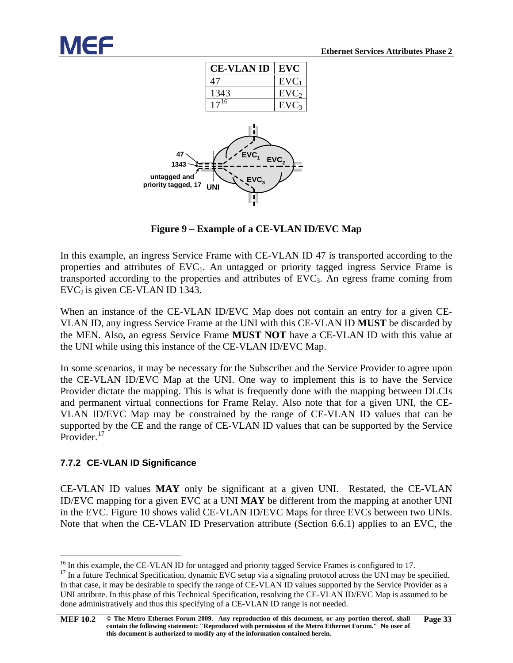<span id="page-38-4"></span>

**Figure 9 – Example of a CE-VLAN ID/EVC Map**

<span id="page-38-1"></span>In this example, an ingress Service Frame with CE-VLAN ID 47 is transported according to the properties and attributes of  $EVC_1$ . An untagged or priority tagged ingress Service Frame is transported according to the properties and attributes of EVC3. An egress frame coming from  $EVC<sub>2</sub>$  is given CE-VLAN ID 1343.

When an instance of the CE-VLAN ID/EVC Map does not contain an entry for a given CE-VLAN ID, any ingress Service Frame at the UNI with this CE-VLAN ID **MUST** be discarded by the MEN. Also, an egress Service Frame **MUST NOT** have a CE-VLAN ID with this value at the UNI while using this instance of the CE-VLAN ID/EVC Map.

In some scenarios, it may be necessary for the Subscriber and the Service Provider to agree upon the CE-VLAN ID/EVC Map at the UNI. One way to implement this is to have the Service Provider dictate the mapping. This is what is frequently done with the mapping between DLCIs and permanent virtual connections for Frame Relay. Also note that for a given UNI, the CE-VLAN ID/EVC Map may be constrained by the range of CE-VLAN ID values that can be supported by the CE and the range of CE-VLAN ID values that can be supported by the Service Provider.<sup>[17](#page-38-3)</sup>

#### <span id="page-38-0"></span>**7.7.2 CE-VLAN ID Significance**

CE-VLAN ID values **MAY** only be significant at a given UNI. Restated, the CE-VLAN ID/EVC mapping for a given EVC at a UNI **MAY** be different from the mapping at another UNI in the EVC. [Figure 10](#page-39-3) shows valid CE-VLAN ID/EVC Maps for three EVCs between two UNIs. Note that when the CE-VLAN ID Preservation attribute (Section [6.6.1\)](#page-17-2) applies to an EVC, the

<span id="page-38-3"></span><span id="page-38-2"></span><sup>&</sup>lt;sup>16</sup> In this example, the CE-VLAN ID for untagged and priority tagged Service Frames is configured to 17.<br><sup>17</sup> In a future Technical Specification, dynamic EVC setup via a signaling protocol across the UNI may be specifie In that case, it may be desirable to specify the range of CE-VLAN ID values supported by the Service Provider as a UNI attribute. In this phase of this Technical Specification, resolving the CE-VLAN ID/EVC Map is assumed to be done administratively and thus this specifying of a CE-VLAN ID range is not needed.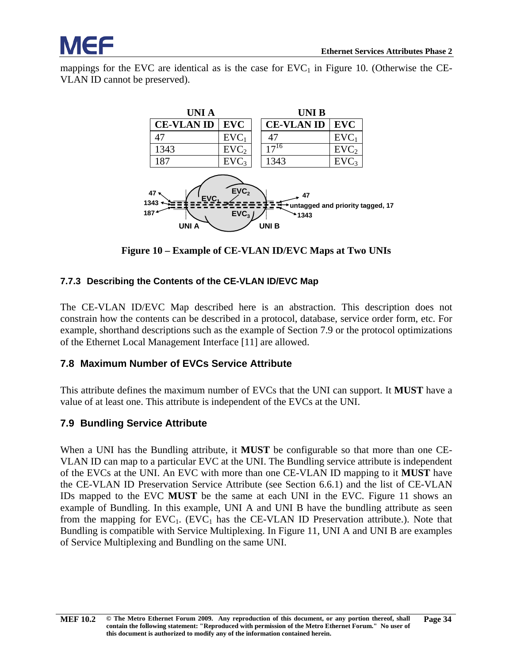mappings for the EVC are identical as is the case for  $EVC<sub>1</sub>$  in [Figure 10.](#page-39-3) (Otherwise the CE-VLAN ID cannot be preserved).



**Figure 10 – Example of CE-VLAN ID/EVC Maps at Two UNIs**

#### <span id="page-39-3"></span><span id="page-39-0"></span>**7.7.3 Describing the Contents of the CE-VLAN ID/EVC Map**

The CE-VLAN ID/EVC Map described here is an abstraction. This description does not constrain how the contents can be described in a protocol, database, service order form, etc. For example, shorthand descriptions such as the example of Section 7.9 or the protocol optimizations of the Ethernet Local Management Interface [\[11\]](#page-55-8) are allowed.

#### <span id="page-39-1"></span>**7.8 Maximum Number of EVCs Service Attribute**

This attribute defines the maximum number of EVCs that the UNI can support. It **MUST** have a value of at least one. This attribute is independent of the EVCs at the UNI.

#### <span id="page-39-2"></span>**7.9 Bundling Service Attribute**

When a UNI has the Bundling attribute, it **MUST** be configurable so that more than one CE-VLAN ID can map to a particular EVC at the UNI. The Bundling service attribute is independent of the EVCs at the UNI. An EVC with more than one CE-VLAN ID mapping to it **MUST** have the CE-VLAN ID Preservation Service Attribute (see Section [6.6.1\)](#page-17-2) and the list of CE-VLAN IDs mapped to the EVC **MUST** be the same at each UNI in the EVC. [Figure 11](#page-40-1) shows an example of Bundling. In this example, UNI A and UNI B have the bundling attribute as seen from the mapping for  $EVC_1$ . (EVC<sub>1</sub> has the CE-VLAN ID Preservation attribute.). Note that Bundling is compatible with Service Multiplexing. In [Figure 11,](#page-40-1) UNI A and UNI B are examples of Service Multiplexing and Bundling on the same UNI.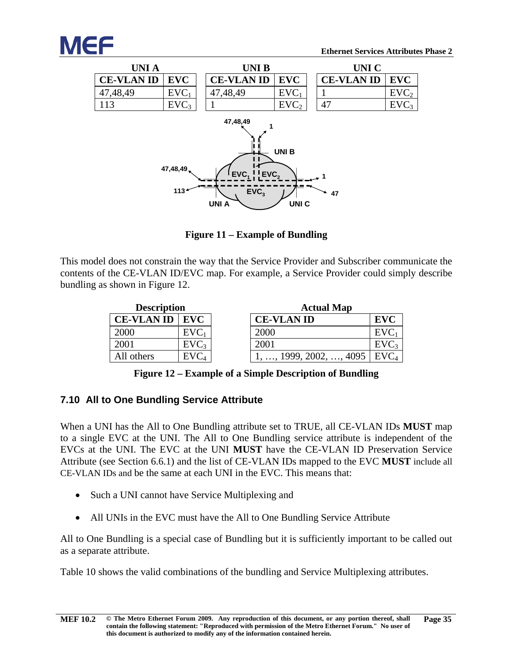



**Figure 11 – Example of Bundling**

<span id="page-40-1"></span>This model does not constrain the way that the Service Provider and Subscriber communicate the contents of the CE-VLAN ID/EVC map. For example, a Service Provider could simply describe bundling as shown in [Figure 12.](#page-40-2)

| <b>Description</b>        |                  |  |  |  |  |
|---------------------------|------------------|--|--|--|--|
| <b>CE-VLAN ID</b><br>EVC. |                  |  |  |  |  |
| 2000                      | $EVC_1$          |  |  |  |  |
| 2001                      | EVC <sub>3</sub> |  |  |  |  |
| All others                | EVC              |  |  |  |  |

| <b>Description</b>      |                  | <b>Actual Map</b> |                    |                  |
|-------------------------|------------------|-------------------|--------------------|------------------|
| <b>CE-VLAN ID   EVC</b> |                  |                   | <b>CE-VLAN ID</b>  | <b>EVC</b>       |
| 2000                    | $EVC_1$          |                   | 2000               | EVC              |
| 2001                    | EVC <sub>3</sub> |                   | 2001               | EVC <sub>3</sub> |
| All others              | EVC <sub>4</sub> |                   | 1999, 2002, , 4095 | EVC <sub>4</sub> |

**Figure 12 – Example of a Simple Description of Bundling** 

#### <span id="page-40-2"></span><span id="page-40-0"></span>**7.10 All to One Bundling Service Attribute**

When a UNI has the All to One Bundling attribute set to TRUE, all CE-VLAN IDs **MUST** map to a single EVC at the UNI. The All to One Bundling service attribute is independent of the EVCs at the UNI. The EVC at the UNI **MUST** have the CE-VLAN ID Preservation Service Attribute (see Section [6.6.1\)](#page-17-2) and the list of CE-VLAN IDs mapped to the EVC **MUST** include all CE-VLAN IDs and be the same at each UNI in the EVC. This means that:

- Such a UNI cannot have Service Multiplexing and
- All UNIs in the EVC must have the All to One Bundling Service Attribute

All to One Bundling is a special case of Bundling but it is sufficiently important to be called out as a separate attribute.

[Table 10](#page-41-2) shows the valid combinations of the bundling and Service Multiplexing attributes.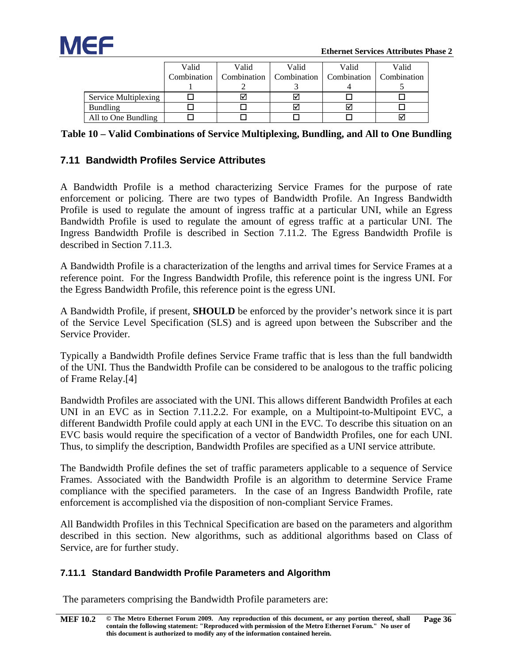

|                      | Valid | Valid                     | Valid       | Valid       | Valid       |
|----------------------|-------|---------------------------|-------------|-------------|-------------|
|                      |       | Combination   Combination | Combination | Combination | Combination |
|                      |       |                           |             |             |             |
| Service Multiplexing |       |                           | ⊽           |             |             |
| <b>Bundling</b>      |       |                           | ⊽           |             |             |
| All to One Bundling  |       |                           |             |             |             |

<span id="page-41-2"></span>

| Table 10 - Valid Combinations of Service Multiplexing, Bundling, and All to One Bundling |  |  |  |
|------------------------------------------------------------------------------------------|--|--|--|
|                                                                                          |  |  |  |

#### <span id="page-41-0"></span>**7.11 Bandwidth Profiles Service Attributes**

A Bandwidth Profile is a method characterizing Service Frames for the purpose of rate enforcement or policing. There are two types of Bandwidth Profile. An Ingress Bandwidth Profile is used to regulate the amount of ingress traffic at a particular UNI, while an Egress Bandwidth Profile is used to regulate the amount of egress traffic at a particular UNI. The Ingress Bandwidth Profile is described in Section [7.11.2.](#page-44-0) The Egress Bandwidth Profile is described in Section [7.11.3.](#page-46-1)

A Bandwidth Profile is a characterization of the lengths and arrival times for Service Frames at a reference point. For the Ingress Bandwidth Profile, this reference point is the ingress UNI. For the Egress Bandwidth Profile, this reference point is the egress UNI.

A Bandwidth Profile, if present, **SHOULD** be enforced by the provider's network since it is part of the Service Level Specification (SLS) and is agreed upon between the Subscriber and the Service Provider.

Typically a Bandwidth Profile defines Service Frame traffic that is less than the full bandwidth of the UNI. Thus the Bandwidth Profile can be considered to be analogous to the traffic policing of Frame Relay[.\[4\]](#page-55-10)

Bandwidth Profiles are associated with the UNI. This allows different Bandwidth Profiles at each UNI in an EVC as in Section [7.11.2.2.](#page-44-2) For example, on a Multipoint-to-Multipoint EVC, a different Bandwidth Profile could apply at each UNI in the EVC. To describe this situation on an EVC basis would require the specification of a vector of Bandwidth Profiles, one for each UNI. Thus, to simplify the description, Bandwidth Profiles are specified as a UNI service attribute.

The Bandwidth Profile defines the set of traffic parameters applicable to a sequence of Service Frames. Associated with the Bandwidth Profile is an algorithm to determine Service Frame compliance with the specified parameters. In the case of an Ingress Bandwidth Profile, rate enforcement is accomplished via the disposition of non-compliant Service Frames.

All Bandwidth Profiles in this Technical Specification are based on the parameters and algorithm described in this section. New algorithms, such as additional algorithms based on Class of Service, are for further study.

#### <span id="page-41-1"></span>**7.11.1 Standard Bandwidth Profile Parameters and Algorithm**

The parameters comprising the Bandwidth Profile parameters are: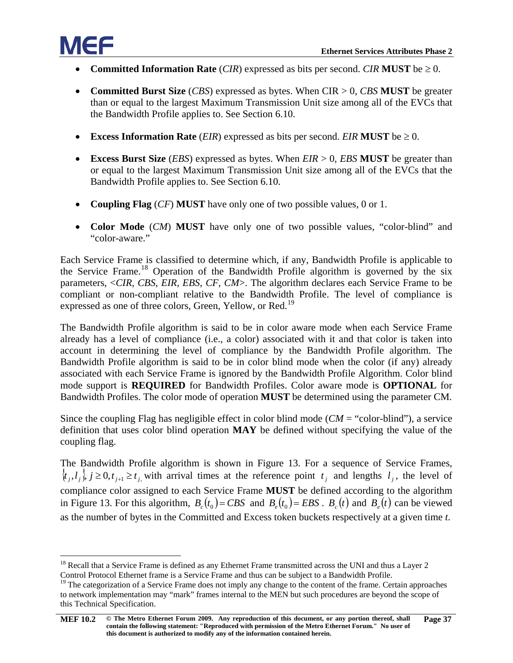

- **Committed Information Rate** (*CIR*) expressed as bits per second. *CIR* **MUST** be  $\geq 0$ .
- **Committed Burst Size** (*CBS*) expressed as bytes. When CIR > 0, *CBS* **MUST** be greater than or equal to the largest Maximum Transmission Unit size among all of the EVCs that the Bandwidth Profile applies to. See Section [6.10.](#page-34-0)
- **• Excess Information Rate** (*EIR*) expressed as bits per second. *EIR* **MUST** be  $\geq 0$ .
- **Excess Burst Size** (*EBS*) expressed as bytes. When *EIR* > 0, *EBS* **MUST** be greater than or equal to the largest Maximum Transmission Unit size among all of the EVCs that the Bandwidth Profile applies to. See Section [6.10.](#page-34-0)
- **Coupling Flag** (*CF*) **MUST** have only one of two possible values, 0 or 1.
- **Color Mode** (*CM*) **MUST** have only one of two possible values, "color-blind" and "color-aware."

Each Service Frame is classified to determine which, if any, Bandwidth Profile is applicable to the Service Frame.<sup>[18](#page-42-0)</sup> Operation of the Bandwidth Profile algorithm is governed by the six parameters, <*CIR*, *CBS*, *EIR*, *EBS*, *CF*, *CM*>. The algorithm declares each Service Frame to be compliant or non-compliant relative to the Bandwidth Profile. The level of compliance is expressed as one of three colors, Green, Yellow, or Red.<sup>[19](#page-42-1)</sup>

The Bandwidth Profile algorithm is said to be in color aware mode when each Service Frame already has a level of compliance (i.e., a color) associated with it and that color is taken into account in determining the level of compliance by the Bandwidth Profile algorithm. The Bandwidth Profile algorithm is said to be in color blind mode when the color (if any) already associated with each Service Frame is ignored by the Bandwidth Profile Algorithm. Color blind mode support is **REQUIRED** for Bandwidth Profiles. Color aware mode is **OPTIONAL** for Bandwidth Profiles. The color mode of operation **MUST** be determined using the parameter CM.

Since the coupling Flag has negligible effect in color blind mode (*CM* = "color-blind"), a service definition that uses color blind operation **MAY** be defined without specifying the value of the coupling flag.

The Bandwidth Profile algorithm is shown in [Figure 13.](#page-43-0) For a sequence of Service Frames,  $\{t_i, l_i\}$ ,  $j \geq 0$ ,  $t_{j+1} \geq t_j$ , with arrival times at the reference point  $t_j$  and lengths  $l_j$ , the level of compliance color assigned to each Service Frame **MUST** be defined according to the algorithm in [Figure 13.](#page-43-0) For this algorithm,  $B_c(t_0) = CBS$  and  $B_c(t_0) = EBS \cdot B_c(t)$  and  $B_c(t)$  can be viewed as the number of bytes in the Committed and Excess token buckets respectively at a given time *t*.

<span id="page-42-0"></span><sup>&</sup>lt;sup>18</sup> Recall that a Service Frame is defined as any Ethernet Frame transmitted across the UNI and thus a Layer 2 Control Protocol Ethernet frame is a Service Frame and thus can be subject to a Bandwidth Profile.

<span id="page-42-1"></span> $19$  The categorization of a Service Frame does not imply any change to the content of the frame. Certain approaches to network implementation may "mark" frames internal to the MEN but such procedures are beyond the scope of this Technical Specification.

**[MEF 10.2](#page-0-0) © The Metro Ethernet Forum 2009. Any reproduction of this document, or any portion thereof, shall contain the following statement: "Reproduced with permission of the Metro Ethernet Forum." No user of this document is authorized to modify any of the information contained herein. Page 37**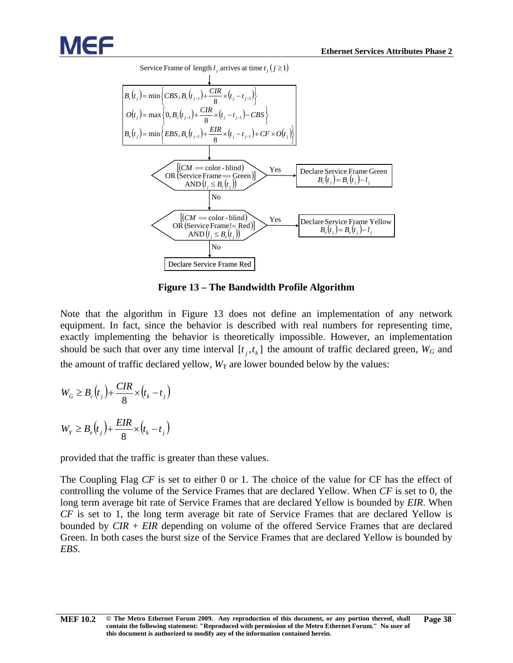



**Figure 13 – The Bandwidth Profile Algorithm**

<span id="page-43-0"></span>Note that the algorithm in [Figure 13](#page-43-0) does not define an implementation of any network equipment. In fact, since the behavior is described with real numbers for representing time, exactly implementing the behavior is theoretically impossible. However, an implementation should be such that over any time interval  $[t_i, t_k]$  the amount of traffic declared green,  $W_G$  and the amount of traffic declared yellow,  $W_Y$  are lower bounded below by the values:

$$
W_G \ge B_c(t_j) + \frac{CIR}{8} \times (t_k - t_j)
$$
  

$$
W_Y \ge B_e(t_j) + \frac{EIR}{8} \times (t_k - t_j)
$$

provided that the traffic is greater than these values.

The Coupling Flag *CF* is set to either 0 or 1. The choice of the value for CF has the effect of controlling the volume of the Service Frames that are declared Yellow. When *CF* is set to 0, the long term average bit rate of Service Frames that are declared Yellow is bounded by *EIR*. When *CF* is set to 1, the long term average bit rate of Service Frames that are declared Yellow is bounded by *CIR* + *EIR* depending on volume of the offered Service Frames that are declared Green. In both cases the burst size of the Service Frames that are declared Yellow is bounded by *EBS*.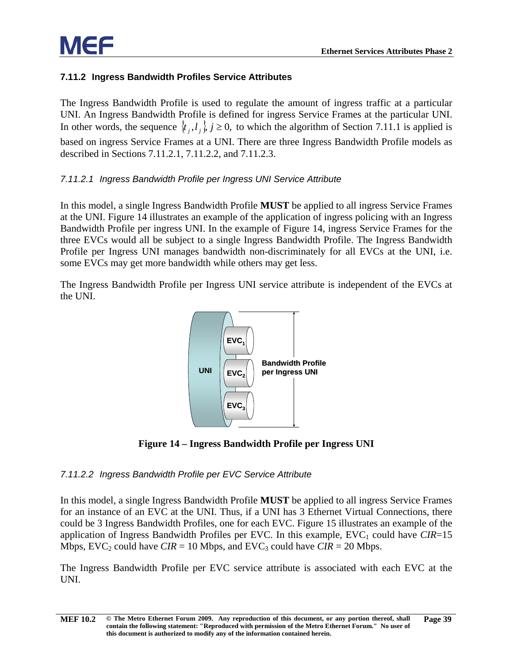#### <span id="page-44-0"></span>**7.11.2 Ingress Bandwidth Profiles Service Attributes**

The Ingress Bandwidth Profile is used to regulate the amount of ingress traffic at a particular UNI. An Ingress Bandwidth Profile is defined for ingress Service Frames at the particular UNI. In other words, the sequence  $\{t_i, l_i\}$ ,  $j \ge 0$ , to which the algorithm of Section [7.11.1](#page-41-1) is applied is based on ingress Service Frames at a UNI. There are three Ingress Bandwidth Profile models as described in Sections [7.11.2.1,](#page-44-1) [7.11.2.2,](#page-44-2) and [7.11.2.3.](#page-45-0)

#### <span id="page-44-1"></span>*7.11.2.1 Ingress Bandwidth Profile per Ingress UNI Service Attribute*

In this model, a single Ingress Bandwidth Profile **MUST** be applied to all ingress Service Frames at the UNI. [Figure 14](#page-44-3) illustrates an example of the application of ingress policing with an Ingress Bandwidth Profile per ingress UNI. In the example of [Figure 14,](#page-44-3) ingress Service Frames for the three EVCs would all be subject to a single Ingress Bandwidth Profile. The Ingress Bandwidth Profile per Ingress UNI manages bandwidth non-discriminately for all EVCs at the UNI, i.e. some EVCs may get more bandwidth while others may get less.

The Ingress Bandwidth Profile per Ingress UNI service attribute is independent of the EVCs at the UNI.



**Figure 14 – Ingress Bandwidth Profile per Ingress UNI**

#### <span id="page-44-3"></span><span id="page-44-2"></span>*7.11.2.2 Ingress Bandwidth Profile per EVC Service Attribute*

In this model, a single Ingress Bandwidth Profile **MUST** be applied to all ingress Service Frames for an instance of an EVC at the UNI. Thus, if a UNI has 3 Ethernet Virtual Connections, there could be 3 Ingress Bandwidth Profiles, one for each EVC. [Figure 15](#page-45-2) illustrates an example of the application of Ingress Bandwidth Profiles per EVC. In this example,  $EVC_1$  could have  $CIR=15$ Mbps,  $EVC_2$  could have  $CIR = 10$  Mbps, and  $EVC_3$  could have  $CIR = 20$  Mbps.

The Ingress Bandwidth Profile per EVC service attribute is associated with each EVC at the UNI.

**[MEF 10.2](#page-0-0) © The Metro Ethernet Forum 2009. Any reproduction of this document, or any portion thereof, shall contain the following statement: "Reproduced with permission of the Metro Ethernet Forum." No user of this document is authorized to modify any of the information contained herein. Page 39**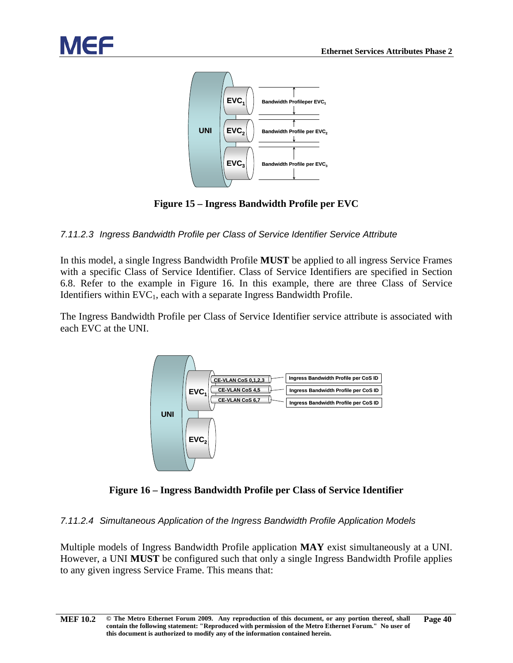

**Figure 15 – Ingress Bandwidth Profile per EVC**

#### <span id="page-45-2"></span><span id="page-45-0"></span>*7.11.2.3 Ingress Bandwidth Profile per Class of Service Identifier Service Attribute*

In this model, a single Ingress Bandwidth Profile **MUST** be applied to all ingress Service Frames with a specific Class of Service Identifier. Class of Service Identifiers are specified in Section [6.8.](#page-19-0) Refer to the example in [Figure 16.](#page-45-3) In this example, there are three Class of Service Identifiers within  $EVC_1$ , each with a separate Ingress Bandwidth Profile.

The Ingress Bandwidth Profile per Class of Service Identifier service attribute is associated with each EVC at the UNI.



**Figure 16 – Ingress Bandwidth Profile per Class of Service Identifier**

#### <span id="page-45-3"></span><span id="page-45-1"></span>*7.11.2.4 Simultaneous Application of the Ingress Bandwidth Profile Application Models*

Multiple models of Ingress Bandwidth Profile application **MAY** exist simultaneously at a UNI. However, a UNI **MUST** be configured such that only a single Ingress Bandwidth Profile applies to any given ingress Service Frame. This means that: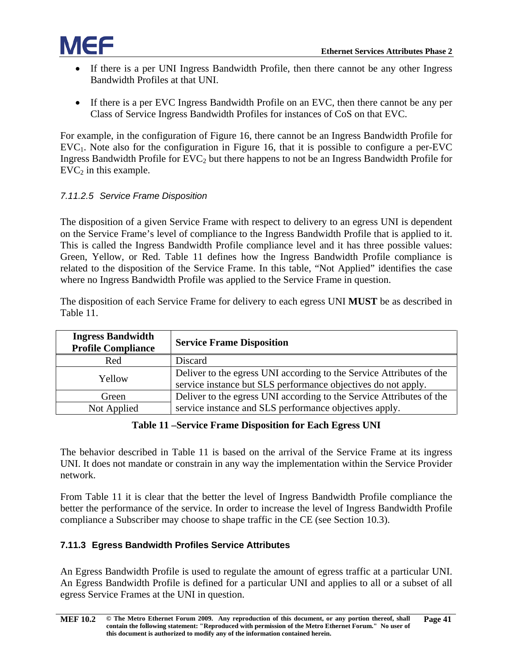

- If there is a per UNI Ingress Bandwidth Profile, then there cannot be any other Ingress Bandwidth Profiles at that UNI.
- If there is a per EVC Ingress Bandwidth Profile on an EVC, then there cannot be any per Class of Service Ingress Bandwidth Profiles for instances of CoS on that EVC.

For example, in the configuration of [Figure 16,](#page-45-3) there cannot be an Ingress Bandwidth Profile for  $EVC<sub>1</sub>$ . Note also for the configuration in [Figure 16,](#page-45-3) that it is possible to configure a per-EVC Ingress Bandwidth Profile for  $EVC<sub>2</sub>$  but there happens to not be an Ingress Bandwidth Profile for  $EVC<sub>2</sub>$  in this example.

#### <span id="page-46-0"></span>*7.11.2.5 Service Frame Disposition*

The disposition of a given Service Frame with respect to delivery to an egress UNI is dependent on the Service Frame's level of compliance to the Ingress Bandwidth Profile that is applied to it. This is called the Ingress Bandwidth Profile compliance level and it has three possible values: Green, Yellow, or Red. [Table 11](#page-46-2) defines how the Ingress Bandwidth Profile compliance is related to the disposition of the Service Frame. In this table, "Not Applied" identifies the case where no Ingress Bandwidth Profile was applied to the Service Frame in question.

The disposition of each Service Frame for delivery to each egress UNI **MUST** be as described in [Table 11.](#page-46-2)

| <b>Ingress Bandwidth</b><br><b>Profile Compliance</b> | <b>Service Frame Disposition</b>                                                                                                      |  |  |  |  |  |  |
|-------------------------------------------------------|---------------------------------------------------------------------------------------------------------------------------------------|--|--|--|--|--|--|
| Red                                                   | Discard                                                                                                                               |  |  |  |  |  |  |
| Yellow                                                | Deliver to the egress UNI according to the Service Attributes of the<br>service instance but SLS performance objectives do not apply. |  |  |  |  |  |  |
| Green                                                 | Deliver to the egress UNI according to the Service Attributes of the                                                                  |  |  |  |  |  |  |
| Not Applied                                           | service instance and SLS performance objectives apply.                                                                                |  |  |  |  |  |  |

#### **Table 11 –Service Frame Disposition for Each Egress UNI**

<span id="page-46-2"></span>The behavior described in [Table 11](#page-46-2) is based on the arrival of the Service Frame at its ingress UNI. It does not mandate or constrain in any way the implementation within the Service Provider network.

From [Table 11](#page-46-2) it is clear that the better the level of Ingress Bandwidth Profile compliance the better the performance of the service. In order to increase the level of Ingress Bandwidth Profile compliance a Subscriber may choose to shape traffic in the CE (see Section [10.3\)](#page-60-1).

#### <span id="page-46-1"></span>**7.11.3 Egress Bandwidth Profiles Service Attributes**

An Egress Bandwidth Profile is used to regulate the amount of egress traffic at a particular UNI. An Egress Bandwidth Profile is defined for a particular UNI and applies to all or a subset of all egress Service Frames at the UNI in question.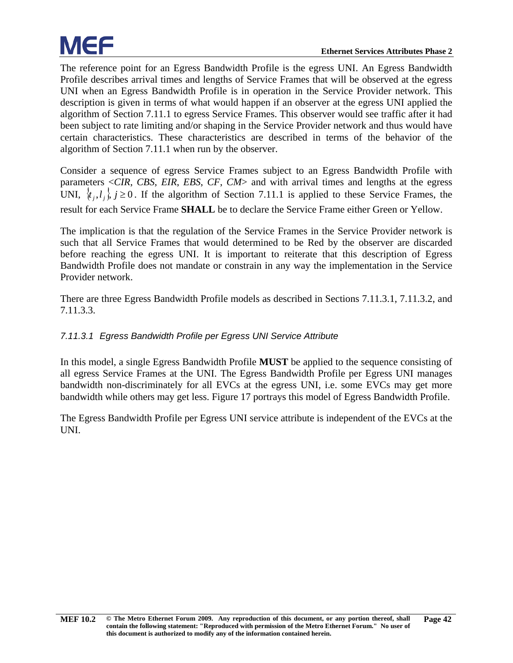The reference point for an Egress Bandwidth Profile is the egress UNI. An Egress Bandwidth Profile describes arrival times and lengths of Service Frames that will be observed at the egress UNI when an Egress Bandwidth Profile is in operation in the Service Provider network. This description is given in terms of what would happen if an observer at the egress UNI applied the algorithm of Section [7.11.1](#page-41-1) to egress Service Frames. This observer would see traffic after it had been subject to rate limiting and/or shaping in the Service Provider network and thus would have certain characteristics. These characteristics are described in terms of the behavior of the algorithm of Section [7.11.1](#page-41-1) when run by the observer.

Consider a sequence of egress Service Frames subject to an Egress Bandwidth Profile with parameters <*CIR*, *CBS*, *EIR*, *EBS*, *CF*, *CM*> and with arrival times and lengths at the egress UNI,  $\{t_i, l_i\}$ ,  $j \ge 0$ . If the algorithm of Section [7.11.1](#page-41-1) is applied to these Service Frames, the result for each Service Frame **SHALL** be to declare the Service Frame either Green or Yellow.

The implication is that the regulation of the Service Frames in the Service Provider network is such that all Service Frames that would determined to be Red by the observer are discarded before reaching the egress UNI. It is important to reiterate that this description of Egress Bandwidth Profile does not mandate or constrain in any way the implementation in the Service Provider network.

There are three Egress Bandwidth Profile models as described in Sections [7.11.3.1,](#page-47-0) [7.11.3.2,](#page-48-0) and [7.11.3.3.](#page-49-0)

#### <span id="page-47-0"></span>*7.11.3.1 Egress Bandwidth Profile per Egress UNI Service Attribute*

In this model, a single Egress Bandwidth Profile **MUST** be applied to the sequence consisting of all egress Service Frames at the UNI. The Egress Bandwidth Profile per Egress UNI manages bandwidth non-discriminately for all EVCs at the egress UNI, i.e. some EVCs may get more bandwidth while others may get less. [Figure 17](#page-48-1) portrays this model of Egress Bandwidth Profile.

The Egress Bandwidth Profile per Egress UNI service attribute is independent of the EVCs at the UNI.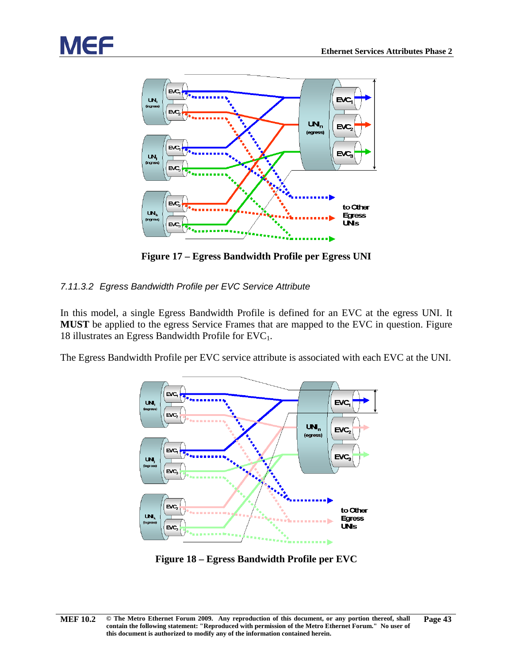



**Figure 17 – Egress Bandwidth Profile per Egress UNI**

#### <span id="page-48-1"></span><span id="page-48-0"></span>*7.11.3.2 Egress Bandwidth Profile per EVC Service Attribute*

In this model, a single Egress Bandwidth Profile is defined for an EVC at the egress UNI. It **MUST** be applied to the egress Service Frames that are mapped to the EVC in question. [Figure](#page-48-2)  [18](#page-48-2) illustrates an Egress Bandwidth Profile for  $EVC<sub>1</sub>$ .

The Egress Bandwidth Profile per EVC service attribute is associated with each EVC at the UNI.



<span id="page-48-2"></span>**Figure 18 – Egress Bandwidth Profile per EVC**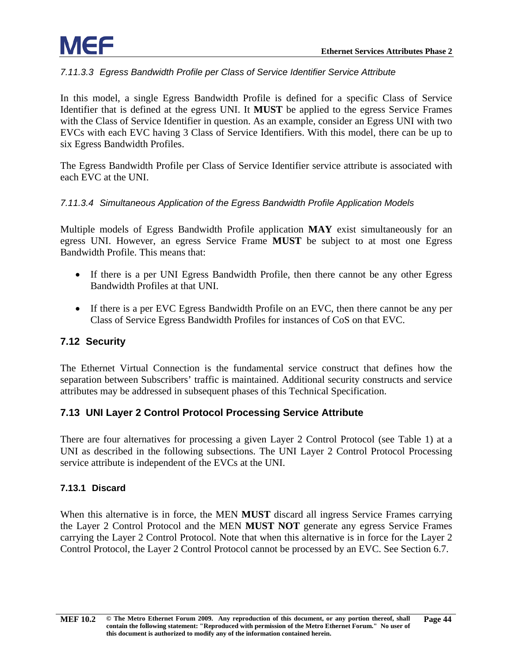#### <span id="page-49-0"></span>*7.11.3.3 Egress Bandwidth Profile per Class of Service Identifier Service Attribute*

In this model, a single Egress Bandwidth Profile is defined for a specific Class of Service Identifier that is defined at the egress UNI. It **MUST** be applied to the egress Service Frames with the Class of Service Identifier in question. As an example, consider an Egress UNI with two EVCs with each EVC having 3 Class of Service Identifiers. With this model, there can be up to six Egress Bandwidth Profiles.

The Egress Bandwidth Profile per Class of Service Identifier service attribute is associated with each EVC at the UNI.

#### <span id="page-49-1"></span>*7.11.3.4 Simultaneous Application of the Egress Bandwidth Profile Application Models*

Multiple models of Egress Bandwidth Profile application **MAY** exist simultaneously for an egress UNI. However, an egress Service Frame **MUST** be subject to at most one Egress Bandwidth Profile. This means that:

- If there is a per UNI Egress Bandwidth Profile, then there cannot be any other Egress Bandwidth Profiles at that UNI.
- If there is a per EVC Egress Bandwidth Profile on an EVC, then there cannot be any per Class of Service Egress Bandwidth Profiles for instances of CoS on that EVC.

#### <span id="page-49-2"></span>**7.12 Security**

The Ethernet Virtual Connection is the fundamental service construct that defines how the separation between Subscribers' traffic is maintained. Additional security constructs and service attributes may be addressed in subsequent phases of this Technical Specification.

#### <span id="page-49-3"></span>**7.13 UNI Layer 2 Control Protocol Processing Service Attribute**

There are four alternatives for processing a given Layer 2 Control Protocol (see [Table 1\)](#page-16-2) at a UNI as described in the following subsections. The UNI Layer 2 Control Protocol Processing service attribute is independent of the EVCs at the UNI.

#### <span id="page-49-4"></span>**7.13.1 Discard**

When this alternative is in force, the MEN **MUST** discard all ingress Service Frames carrying the Layer 2 Control Protocol and the MEN **MUST NOT** generate any egress Service Frames carrying the Layer 2 Control Protocol. Note that when this alternative is in force for the Layer 2 Control Protocol, the Layer 2 Control Protocol cannot be processed by an EVC. See Section [6.7.](#page-18-1)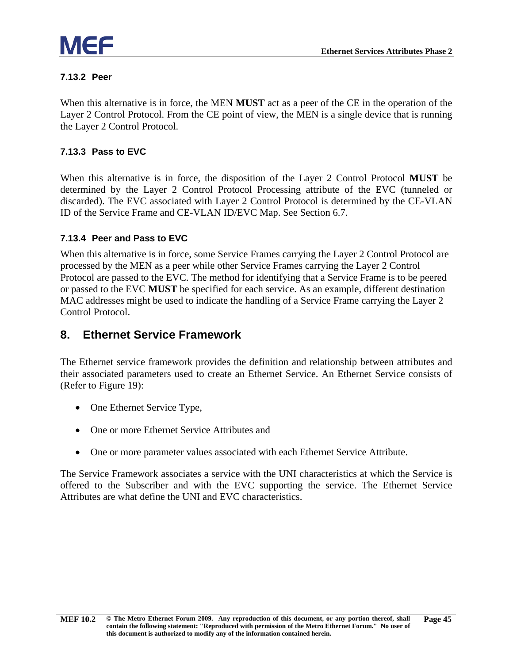

#### <span id="page-50-0"></span>**7.13.2 Peer**

When this alternative is in force, the MEN **MUST** act as a peer of the CE in the operation of the Layer 2 Control Protocol. From the CE point of view, the MEN is a single device that is running the Layer 2 Control Protocol.

#### <span id="page-50-1"></span>**7.13.3 Pass to EVC**

When this alternative is in force, the disposition of the Layer 2 Control Protocol **MUST** be determined by the Layer 2 Control Protocol Processing attribute of the EVC (tunneled or discarded). The EVC associated with Layer 2 Control Protocol is determined by the CE-VLAN ID of the Service Frame and CE-VLAN ID/EVC Map. See Section [6.7.](#page-18-1)

#### <span id="page-50-2"></span>**7.13.4 Peer and Pass to EVC**

When this alternative is in force, some Service Frames carrying the Layer 2 Control Protocol are processed by the MEN as a peer while other Service Frames carrying the Layer 2 Control Protocol are passed to the EVC. The method for identifying that a Service Frame is to be peered or passed to the EVC **MUST** be specified for each service. As an example, different destination MAC addresses might be used to indicate the handling of a Service Frame carrying the Layer 2 Control Protocol.

#### <span id="page-50-3"></span>**8. Ethernet Service Framework**

The Ethernet service framework provides the definition and relationship between attributes and their associated parameters used to create an Ethernet Service. An Ethernet Service consists of (Refer to [Figure 19\)](#page-51-3):

- One Ethernet Service Type,
- One or more Ethernet Service Attributes and
- One or more parameter values associated with each Ethernet Service Attribute.

The Service Framework associates a service with the UNI characteristics at which the Service is offered to the Subscriber and with the EVC supporting the service. The Ethernet Service Attributes are what define the UNI and EVC characteristics.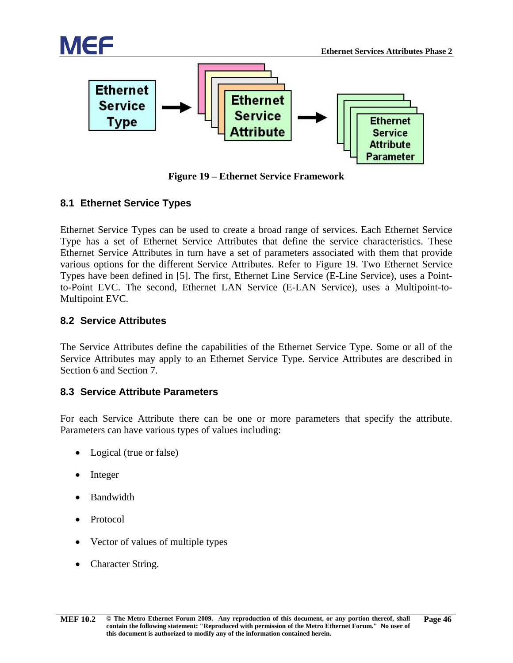

**Figure 19 – Ethernet Service Framework**

#### <span id="page-51-3"></span><span id="page-51-0"></span>**8.1 Ethernet Service Types**

Ethernet Service Types can be used to create a broad range of services. Each Ethernet Service Type has a set of Ethernet Service Attributes that define the service characteristics. These Ethernet Service Attributes in turn have a set of parameters associated with them that provide various options for the different Service Attributes. Refer to [Figure 19.](#page-51-3) Two Ethernet Service Types have been defined in [\[5\].](#page-55-6) The first, Ethernet Line Service (E-Line Service), uses a Pointto-Point EVC. The second, Ethernet LAN Service (E-LAN Service), uses a Multipoint-to-Multipoint EVC.

#### <span id="page-51-1"></span>**8.2 Service Attributes**

The Service Attributes define the capabilities of the Ethernet Service Type. Some or all of the Service Attributes may apply to an Ethernet Service Type. Service Attributes are described in Section [6](#page-12-0) and Section [7.](#page-34-1)

#### <span id="page-51-2"></span>**8.3 Service Attribute Parameters**

For each Service Attribute there can be one or more parameters that specify the attribute. Parameters can have various types of values including:

- Logical (true or false)
- **Integer**
- Bandwidth
- Protocol
- Vector of values of multiple types
- Character String.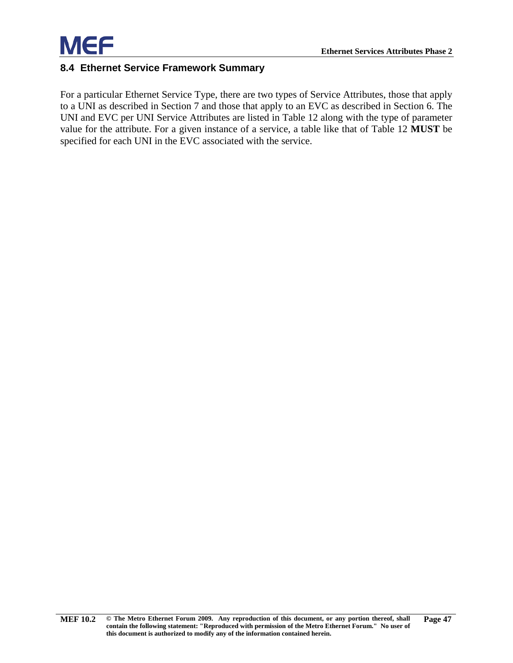

#### <span id="page-52-0"></span>**8.4 Ethernet Service Framework Summary**

For a particular Ethernet Service Type, there are two types of Service Attributes, those that apply to a UNI as described in Section [7](#page-34-1) and those that apply to an EVC as described in Section [6.](#page-12-0) The UNI and EVC per UNI Service Attributes are listed in [Table 12](#page-53-0) along with the type of parameter value for the attribute. For a given instance of a service, a table like that of [Table 12](#page-53-0) **MUST** be specified for each UNI in the EVC associated with the service.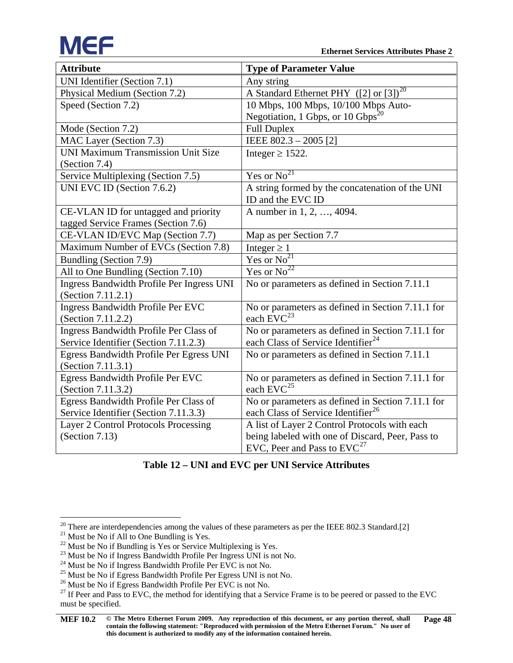

<span id="page-53-2"></span><span id="page-53-1"></span>

| <b>Attribute</b>                                 | <b>Type of Parameter Value</b>                       |
|--------------------------------------------------|------------------------------------------------------|
| UNI Identifier (Section 7.1)                     | Any string                                           |
| Physical Medium (Section 7.2)                    | A Standard Ethernet PHY $(2)$ or $(3)$ <sup>20</sup> |
| Speed (Section 7.2)                              | 10 Mbps, 100 Mbps, 10/100 Mbps Auto-                 |
|                                                  | Negotiation, 1 Gbps, or 10 Gbps <sup>20</sup>        |
| Mode (Section 7.2)                               | <b>Full Duplex</b>                                   |
| MAC Layer (Section 7.3)                          | IEEE 802.3 - 2005 [2]                                |
| <b>UNI Maximum Transmission Unit Size</b>        | Integer $\geq$ 1522.                                 |
| (Section 7.4)                                    |                                                      |
| Service Multiplexing (Section 7.5)               | Yes or $\overline{No^{21}}$                          |
| UNI EVC ID (Section 7.6.2)                       | A string formed by the concatenation of the UNI      |
|                                                  | ID and the EVC ID                                    |
| CE-VLAN ID for untagged and priority             | A number in 1, 2, , 4094.                            |
| tagged Service Frames (Section 7.6)              |                                                      |
| CE-VLAN ID/EVC Map (Section 7.7)                 | Map as per Section 7.7                               |
| Maximum Number of EVCs (Section 7.8)             | Integer $\geq 1$                                     |
| Bundling (Section 7.9)                           | Yes or $No^{21}$                                     |
| All to One Bundling (Section 7.10)               | Yes or $No^{22}$                                     |
| <b>Ingress Bandwidth Profile Per Ingress UNI</b> | No or parameters as defined in Section 7.11.1        |
| (Section 7.11.2.1)                               |                                                      |
| <b>Ingress Bandwidth Profile Per EVC</b>         | No or parameters as defined in Section 7.11.1 for    |
| (Section 7.11.2.2)                               | each $EVC^{23}$                                      |
| Ingress Bandwidth Profile Per Class of           | No or parameters as defined in Section 7.11.1 for    |
| Service Identifier (Section 7.11.2.3)            | each Class of Service Identifier <sup>24</sup>       |
| Egress Bandwidth Profile Per Egress UNI          | No or parameters as defined in Section 7.11.1        |
| (Section 7.11.3.1)                               |                                                      |
| Egress Bandwidth Profile Per EVC                 | No or parameters as defined in Section 7.11.1 for    |
| (Section 7.11.3.2)                               | each EVC <sup>25</sup>                               |
| Egress Bandwidth Profile Per Class of            | No or parameters as defined in Section 7.11.1 for    |
| Service Identifier (Section 7.11.3.3)            | each Class of Service Identifier <sup>26</sup>       |
| <b>Layer 2 Control Protocols Processing</b>      | A list of Layer 2 Control Protocols with each        |
| (Section $7.13$ )                                | being labeled with one of Discard, Peer, Pass to     |
|                                                  | EVC, Peer and Pass to $EVC^{27}$                     |

#### **Table 12 – UNI and EVC per UNI Service Attributes**

<span id="page-53-3"></span><span id="page-53-0"></span><sup>&</sup>lt;sup>20</sup> There are interdependencies among the values of these parameters as per the IEEE 802.3 Standard[.\[2\]](#page-54-3)<br><sup>21</sup> Must be No if All to One Bundling is Yes.<br><sup>22</sup> Must be No if Bundling is Yes or Service Multiplexing is Yes.<br><sup>2</sup>

<span id="page-53-4"></span>

<span id="page-53-5"></span>

<span id="page-53-6"></span>

<span id="page-53-7"></span>

<span id="page-53-8"></span>

<span id="page-53-9"></span>

<span id="page-53-10"></span>must be specified.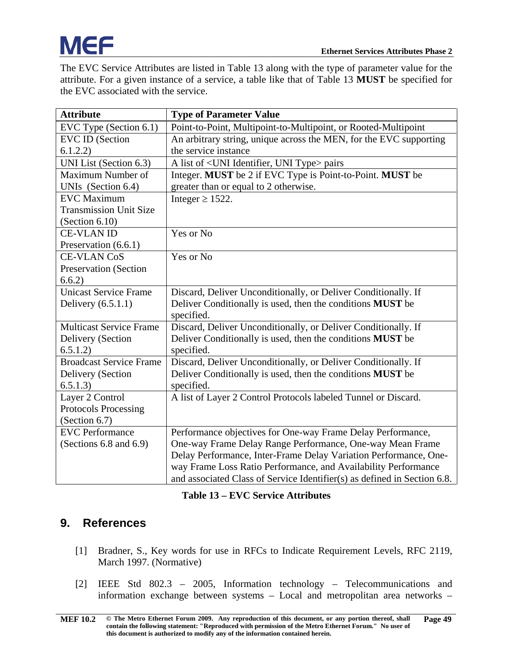The EVC Service Attributes are listed in [Table 13](#page-54-1) along with the type of parameter value for the attribute. For a given instance of a service, a table like that of [Table 13](#page-54-1) **MUST** be specified for the EVC associated with the service.

| <b>Attribute</b>               | <b>Type of Parameter Value</b>                                           |
|--------------------------------|--------------------------------------------------------------------------|
| EVC Type (Section 6.1)         | Point-to-Point, Multipoint-to-Multipoint, or Rooted-Multipoint           |
| <b>EVC ID (Section</b>         | An arbitrary string, unique across the MEN, for the EVC supporting       |
| 6.1.2.2)                       | the service instance                                                     |
| UNI List (Section 6.3)         | A list of <uni identifier,="" type="" uni=""> pairs</uni>                |
| Maximum Number of              | Integer. MUST be 2 if EVC Type is Point-to-Point. MUST be                |
| UNIs (Section 6.4)             | greater than or equal to 2 otherwise.                                    |
| <b>EVC</b> Maximum             | Integer $\geq$ 1522.                                                     |
| <b>Transmission Unit Size</b>  |                                                                          |
| (Section $6.10$ )              |                                                                          |
| <b>CE-VLAN ID</b>              | Yes or No                                                                |
| Preservation (6.6.1)           |                                                                          |
| <b>CE-VLAN CoS</b>             | Yes or No                                                                |
| <b>Preservation (Section</b>   |                                                                          |
| 6.6.2)                         |                                                                          |
| <b>Unicast Service Frame</b>   | Discard, Deliver Unconditionally, or Deliver Conditionally. If           |
| Delivery $(6.5.1.1)$           | Deliver Conditionally is used, then the conditions MUST be               |
|                                | specified.                                                               |
| <b>Multicast Service Frame</b> | Discard, Deliver Unconditionally, or Deliver Conditionally. If           |
| Delivery (Section              | Deliver Conditionally is used, then the conditions MUST be               |
| 6.5.1.2)                       | specified.                                                               |
| <b>Broadcast Service Frame</b> | Discard, Deliver Unconditionally, or Deliver Conditionally. If           |
| Delivery (Section              | Deliver Conditionally is used, then the conditions MUST be               |
| 6.5.1.3)                       | specified.                                                               |
| Layer 2 Control                | A list of Layer 2 Control Protocols labeled Tunnel or Discard.           |
| <b>Protocols Processing</b>    |                                                                          |
| (Section 6.7)                  |                                                                          |
| <b>EVC</b> Performance         | Performance objectives for One-way Frame Delay Performance,              |
| (Sections 6.8 and 6.9)         | One-way Frame Delay Range Performance, One-way Mean Frame                |
|                                | Delay Performance, Inter-Frame Delay Variation Performance, One-         |
|                                | way Frame Loss Ratio Performance, and Availability Performance           |
|                                | and associated Class of Service Identifier(s) as defined in Section 6.8. |

#### **Table 13 – EVC Service Attributes**

#### <span id="page-54-2"></span><span id="page-54-1"></span><span id="page-54-0"></span>**9. References**

- [1] Bradner, S., Key words for use in RFCs to Indicate Requirement Levels, RFC 2119, March 1997. (Normative)
- <span id="page-54-3"></span>[2] IEEE Std 802.3 – 2005, Information technology – Telecommunications and information exchange between systems – Local and metropolitan area networks –

**[MEF 10.2](#page-0-0) © The Metro Ethernet Forum 2009. Any reproduction of this document, or any portion thereof, shall contain the following statement: "Reproduced with permission of the Metro Ethernet Forum." No user of this document is authorized to modify any of the information contained herein. Page 49**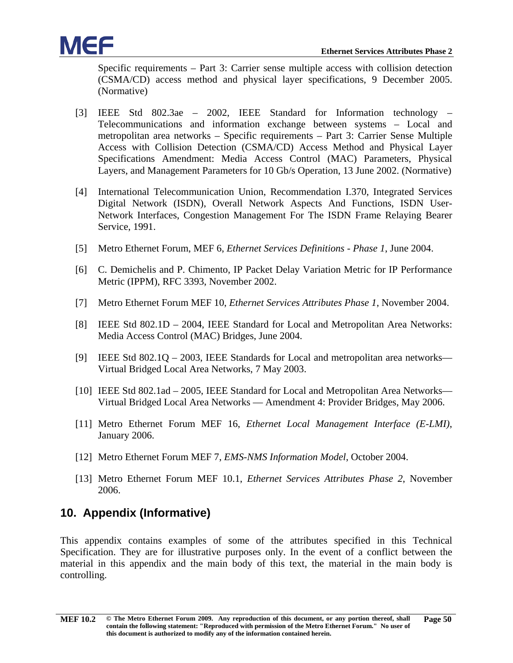

Specific requirements – Part 3: Carrier sense multiple access with collision detection (CSMA/CD) access method and physical layer specifications, 9 December 2005. (Normative)

- <span id="page-55-9"></span>[3] IEEE Std 802.3ae – 2002, IEEE Standard for Information technology – Telecommunications and information exchange between systems – Local and metropolitan area networks – Specific requirements – Part 3: Carrier Sense Multiple Access with Collision Detection (CSMA/CD) Access Method and Physical Layer Specifications Amendment: Media Access Control (MAC) Parameters, Physical Layers, and Management Parameters for 10 Gb/s Operation, 13 June 2002. (Normative)
- <span id="page-55-10"></span>[4] International Telecommunication Union, Recommendation I.370, Integrated Services Digital Network (ISDN), Overall Network Aspects And Functions, ISDN User-Network Interfaces, Congestion Management For The ISDN Frame Relaying Bearer Service, 1991.
- <span id="page-55-6"></span>[5] Metro Ethernet Forum, MEF 6, *Ethernet Services Definitions - Phase 1*, June 2004.
- [6] C. Demichelis and P. Chimento, IP Packet Delay Variation Metric for IP Performance Metric (IPPM), RFC 3393, November 2002.
- <span id="page-55-1"></span>[7] Metro Ethernet Forum MEF 10, *Ethernet Services Attributes Phase 1*, November 2004.
- <span id="page-55-4"></span>[8] IEEE Std 802.1D – 2004, IEEE Standard for Local and Metropolitan Area Networks: Media Access Control (MAC) Bridges, June 2004.
- <span id="page-55-5"></span>[9] IEEE Std 802.1Q – 2003, IEEE Standards for Local and metropolitan area networks— Virtual Bridged Local Area Networks, 7 May 2003.
- <span id="page-55-2"></span>[10] IEEE Std 802.1ad – 2005, IEEE Standard for Local and Metropolitan Area Networks— Virtual Bridged Local Area Networks — Amendment 4: Provider Bridges, May 2006.
- <span id="page-55-8"></span>[11] Metro Ethernet Forum MEF 16, *Ethernet Local Management Interface (E-LMI)*, January 2006.
- <span id="page-55-3"></span>[12] Metro Ethernet Forum MEF 7, *EMS-NMS Information Model*, October 2004.
- <span id="page-55-7"></span>[13] Metro Ethernet Forum MEF 10.1, *Ethernet Services Attributes Phase 2*, November 2006.

#### <span id="page-55-0"></span>**10. Appendix (Informative)**

This appendix contains examples of some of the attributes specified in this Technical Specification. They are for illustrative purposes only. In the event of a conflict between the material in this appendix and the main body of this text, the material in the main body is controlling.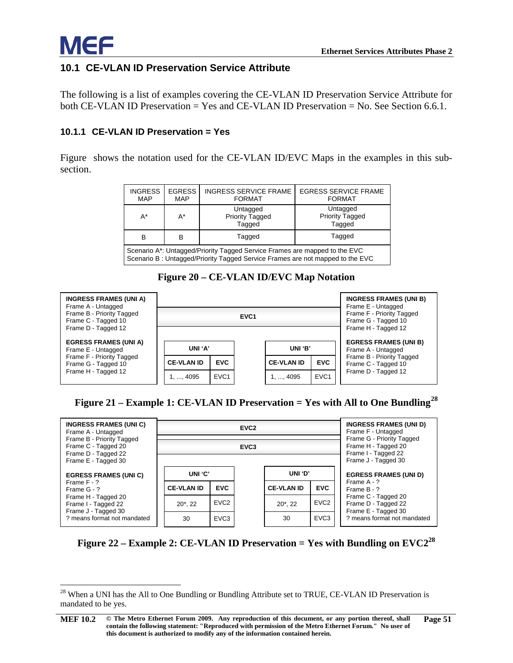#### <span id="page-56-0"></span>**10.1 CE-VLAN ID Preservation Service Attribute**

The following is a list of examples covering the CE-VLAN ID Preservation Service Attribute for both CE-VLAN ID Preservation = Yes and CE-VLAN ID Preservation = No. See Section [6.6.1.](#page-17-2)

#### <span id="page-56-1"></span>**10.1.1 CE-VLAN ID Preservation = Yes**

[Figure](#page-56-2) shows the notation used for the CE-VLAN ID/EVC Maps in the examples in this subsection.

| <b>INGRESS</b><br><b>MAP</b>                                                                                                                                              | <b>EGRESS</b><br><b>MAP</b> | <b>INGRESS SERVICE FRAME</b><br><b>FORMAT</b> | <b>EGRESS SERVICE FRAME</b><br><b>FORMAT</b> |  |  |  |  |  |  |
|---------------------------------------------------------------------------------------------------------------------------------------------------------------------------|-----------------------------|-----------------------------------------------|----------------------------------------------|--|--|--|--|--|--|
| A*                                                                                                                                                                        | A*                          | Untagged<br><b>Priority Tagged</b><br>Tagged  | Untagged<br><b>Priority Tagged</b><br>Tagged |  |  |  |  |  |  |
| Tagged<br>Tagged<br>в<br>в                                                                                                                                                |                             |                                               |                                              |  |  |  |  |  |  |
| Scenario A <sup>*</sup> : Untagged/Priority Tagged Service Frames are mapped to the EVC<br>Scenario B : Untagged/Priority Tagged Service Frames are not mapped to the EVC |                             |                                               |                                              |  |  |  |  |  |  |

<span id="page-56-5"></span>**Figure 20 – CE-VLAN ID/EVC Map Notation**

<span id="page-56-2"></span>

| <b>INGRESS FRAMES (UNI A)</b><br>Frame A - Untagged<br>Frame B - Priority Tagged<br>Frame C - Tagged 10<br>Frame D - Tagged 12 |                   |                  | <b>INGRESS FRAMES (UNI B)</b><br>Frame E - Untagged<br>Frame F - Priority Tagged<br>Frame G - Tagged 10<br>Frame H - Tagged 12 |                   |                  |                                                    |  |  |
|--------------------------------------------------------------------------------------------------------------------------------|-------------------|------------------|--------------------------------------------------------------------------------------------------------------------------------|-------------------|------------------|----------------------------------------------------|--|--|
| <b>EGRESS FRAMES (UNI A)</b><br>Frame E - Untagged<br>Frame F - Priority Tagged<br>Frame G - Tagged 10                         | UNI 'A'           |                  |                                                                                                                                | UNI 'B'           |                  | <b>EGRESS FRAMES (UNI B)</b><br>Frame A - Untagged |  |  |
|                                                                                                                                | <b>CE-VLAN ID</b> | <b>EVC</b>       |                                                                                                                                | <b>CE-VLAN ID</b> | <b>EVC</b>       | Frame B - Priority Tagged<br>Frame C - Tagged 10   |  |  |
| Frame H - Tagged 12                                                                                                            | 1, , 4095         | EVC <sub>1</sub> |                                                                                                                                | 1, , 4095         | EVC <sub>1</sub> | Frame D - Tagged 12                                |  |  |

#### <span id="page-56-3"></span>**Figure 21 – Example 1: CE-VLAN ID Preservation = Yes with All to One Bundling[28](#page-56-6)**

| <b>INGRESS FRAMES (UNI C)</b><br>Frame A - Untagged<br>Frame B - Priority Tagged<br>Frame C - Tagged 20<br>Frame D - Tagged 22<br>Frame E - Tagged 30 |                                 |                  | <b>INGRESS FRAMES (UNI D)</b><br>Frame F - Untagged                                            |                  |                                                                   |  |  |  |
|-------------------------------------------------------------------------------------------------------------------------------------------------------|---------------------------------|------------------|------------------------------------------------------------------------------------------------|------------------|-------------------------------------------------------------------|--|--|--|
|                                                                                                                                                       |                                 |                  | Frame G - Priority Tagged<br>Frame H - Tagged 20<br>Frame I - Tagged 22<br>Frame J - Tagged 30 |                  |                                                                   |  |  |  |
| <b>EGRESS FRAMES (UNI C)</b>                                                                                                                          | UNI 'C'                         |                  | UNI 'D'                                                                                        |                  | <b>EGRESS FRAMES (UNI D)</b>                                      |  |  |  |
| Frame F - ?<br>Frame G - ?                                                                                                                            | <b>CE-VLAN ID</b>               | <b>EVC</b>       | <b>CE-VLAN ID</b>                                                                              | <b>EVC</b>       | Frame A - ?<br>Frame B - ?                                        |  |  |  |
| Frame H - Tagged 20<br>Frame I - Tagged 22<br>Frame J - Tagged 30                                                                                     | EVC <sub>2</sub><br>$20^*$ , 22 |                  | $20^*$ , 22                                                                                    | EVC <sub>2</sub> | Frame C - Tagged 20<br>Frame D - Tagged 22<br>Frame E - Tagged 30 |  |  |  |
| ? means format not mandated                                                                                                                           | 30                              | EVC <sub>3</sub> | 30                                                                                             | EVC <sub>3</sub> | ? means format not mandated                                       |  |  |  |

<span id="page-56-4"></span>**Figure 22 – Example 2: CE-VLAN ID Preservation = Yes with Bundling on EVC2[28](#page-56-5)**

<span id="page-56-6"></span><sup>&</sup>lt;sup>28</sup> When a UNI has the All to One Bundling or Bundling Attribute set to TRUE, CE-VLAN ID Preservation is mandated to be yes.

**[MEF 10.2](#page-0-0) © The Metro Ethernet Forum 2009. Any reproduction of this document, or any portion thereof, shall contain the following statement: "Reproduced with permission of the Metro Ethernet Forum." No user of this document is authorized to modify any of the information contained herein. Page 51**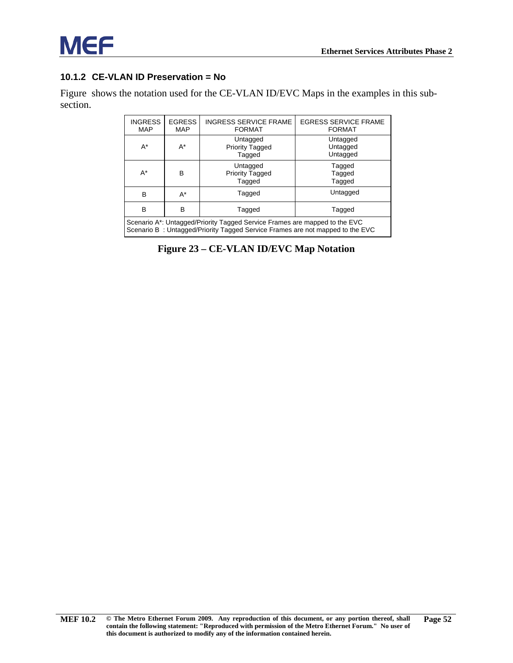

#### <span id="page-57-0"></span>**10.1.2 CE-VLAN ID Preservation = No**

[Figure](#page-57-1) shows the notation used for the CE-VLAN ID/EVC Maps in the examples in this subsection.

| <b>INGRESS</b><br><b>MAP</b>                                                                                                                                             | <b>EGRESS</b><br><b>MAP</b> | <b>INGRESS SERVICE FRAME</b><br><b>FORMAT</b> | <b>EGRESS SERVICE FRAME</b><br><b>FORMAT</b> |  |  |  |  |  |
|--------------------------------------------------------------------------------------------------------------------------------------------------------------------------|-----------------------------|-----------------------------------------------|----------------------------------------------|--|--|--|--|--|
| $A^*$                                                                                                                                                                    | $A^*$                       | Untagged<br><b>Priority Tagged</b><br>Tagged  | Untagged<br>Untagged<br>Untagged             |  |  |  |  |  |
| $A^*$                                                                                                                                                                    | в                           | Untagged<br><b>Priority Tagged</b><br>Tagged  | Tagged<br>Tagged<br>Tagged                   |  |  |  |  |  |
| B                                                                                                                                                                        | $A^*$                       | Tagged                                        | Untagged                                     |  |  |  |  |  |
| B<br>B<br>Tagged<br>Tagged                                                                                                                                               |                             |                                               |                                              |  |  |  |  |  |
| Scenario A <sup>*</sup> : Untagged/Priority Tagged Service Frames are mapped to the EVC<br>Scenario B: Untagged/Priority Tagged Service Frames are not mapped to the EVC |                             |                                               |                                              |  |  |  |  |  |

<span id="page-57-1"></span>**Figure 23 – CE-VLAN ID/EVC Map Notation**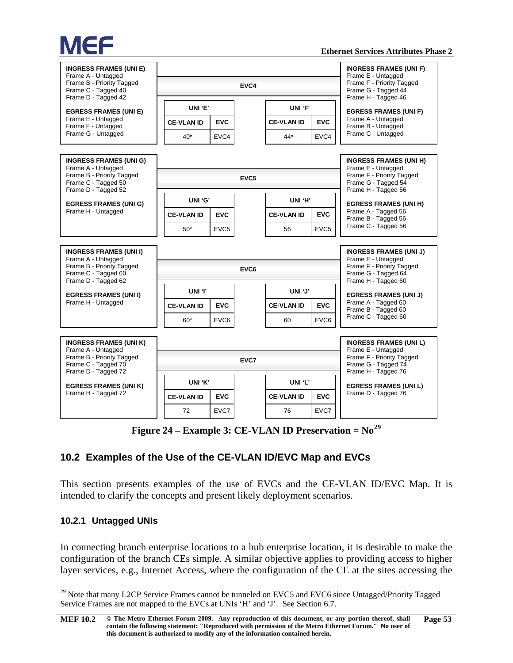

| <b>INGRESS FRAMES (UNI E)</b><br>Frame A - Untagged<br>Frame B - Priority Tagged<br>Frame C - Tagged 40<br>Frame D - Tagged 42 |                   |                  | <b>INGRESS FRAMES (UNI F)</b><br>Frame E - Untagged<br>Frame F - Priority Tagged<br>Frame G - Tagged 44<br>Frame H - Tagged 46 |                   |                  |                                                                                               |  |  |  |
|--------------------------------------------------------------------------------------------------------------------------------|-------------------|------------------|--------------------------------------------------------------------------------------------------------------------------------|-------------------|------------------|-----------------------------------------------------------------------------------------------|--|--|--|
| <b>EGRESS FRAMES (UNI E)</b>                                                                                                   | UNI 'E'           |                  |                                                                                                                                | UNI 'F'           |                  | <b>EGRESS FRAMES (UNI F)</b>                                                                  |  |  |  |
| Frame E - Untagged<br>Frame F - Untagged                                                                                       | <b>CE-VLAN ID</b> | <b>EVC</b>       |                                                                                                                                | <b>CE-VLAN ID</b> | <b>EVC</b>       | Frame A - Untagged<br>Frame B - Untagged                                                      |  |  |  |
| Frame G - Untagged                                                                                                             | $40*$             | EVC4             |                                                                                                                                | 44*               | EVC4             | Frame C - Untagged                                                                            |  |  |  |
| <b>INGRESS FRAMES (UNI G)</b><br>Frame A - Untagged                                                                            |                   |                  |                                                                                                                                |                   |                  | <b>INGRESS FRAMES (UNI H)</b><br>Frame E - Untagged                                           |  |  |  |
| Frame B - Priority Tagged<br>Frame C - Tagged 50<br>Frame D - Tagged 52                                                        |                   |                  | EVC <sub>5</sub>                                                                                                               |                   |                  | Frame F - Priority Tagged<br>Frame G - Tagged 54<br>Frame H - Tagged 56                       |  |  |  |
| <b>EGRESS FRAMES (UNI G)</b>                                                                                                   | UNI 'G'           |                  |                                                                                                                                | UNI 'H'           |                  | <b>EGRESS FRAMES (UNI H)</b>                                                                  |  |  |  |
| Frame H - Untagged                                                                                                             | <b>CE-VLAN ID</b> | <b>EVC</b>       |                                                                                                                                | <b>CE-VLAN ID</b> | <b>EVC</b>       | Frame A - Tagged 56<br>Frame B - Tagged 56                                                    |  |  |  |
|                                                                                                                                | $50*$             | EVC <sub>5</sub> |                                                                                                                                | 56                | EVC <sub>5</sub> | Frame C - Tagged 56                                                                           |  |  |  |
| <b>INGRESS FRAMES (UNI I)</b>                                                                                                  |                   |                  |                                                                                                                                |                   |                  | <b>INGRESS FRAMES (UNI J)</b>                                                                 |  |  |  |
| Frame A - Untagged<br>Frame B - Priority Tagged<br>Frame C - Tagged 60<br>Frame D - Tagged 62                                  |                   |                  | Frame E - Untagged<br>Frame F - Priority Tagged<br>Frame G - Tagged 64<br>Frame H - Tagged 60                                  |                   |                  |                                                                                               |  |  |  |
| <b>EGRESS FRAMES (UNI I)</b>                                                                                                   | UNI 'l'           |                  |                                                                                                                                | UNI 'J'           |                  | <b>EGRESS FRAMES (UNI J)</b>                                                                  |  |  |  |
| Frame H - Untagged                                                                                                             | <b>CE-VLAN ID</b> | <b>EVC</b>       |                                                                                                                                | <b>CE-VLAN ID</b> | <b>EVC</b>       | Frame A - Tagged 60<br>Frame B - Tagged 60                                                    |  |  |  |
|                                                                                                                                | $60*$             | EVC <sub>6</sub> |                                                                                                                                | 60                | EVC <sub>6</sub> | Frame C - Tagged 60                                                                           |  |  |  |
| <b>INGRESS FRAMES (UNI K)</b>                                                                                                  |                   |                  |                                                                                                                                |                   |                  | <b>INGRESS FRAMES (UNI L)</b>                                                                 |  |  |  |
| Frame A - Untagged<br>Frame B - Priority Tagged<br>Frame C - Tagged 70<br>Frame D - Tagged 72                                  | EVC7              |                  |                                                                                                                                |                   |                  | Frame E - Untagged<br>Frame F - Priority Tagged<br>Frame G - Tagged 74<br>Frame H - Tagged 76 |  |  |  |
| <b>EGRESS FRAMES (UNI K)</b>                                                                                                   | UNI 'K'           |                  |                                                                                                                                | UNI 'L'           |                  | <b>EGRESS FRAMES (UNI L)</b>                                                                  |  |  |  |
| Frame H - Tagged 72                                                                                                            | <b>CE-VLAN ID</b> | <b>EVC</b>       |                                                                                                                                | <b>CE-VLAN ID</b> | <b>EVC</b>       | Frame D - Tagged 76                                                                           |  |  |  |
|                                                                                                                                | 72                | EVC7             |                                                                                                                                | 76                | EVC7             |                                                                                               |  |  |  |

**Figure 24 – Example 3: CE-VLAN ID Preservation = No[29](#page-58-3)**

#### <span id="page-58-2"></span><span id="page-58-0"></span>**10.2 Examples of the Use of the CE-VLAN ID/EVC Map and EVCs**

This section presents examples of the use of EVCs and the CE-VLAN ID/EVC Map. It is intended to clarify the concepts and present likely deployment scenarios.

#### <span id="page-58-1"></span>**10.2.1 Untagged UNIs**

In connecting branch enterprise locations to a hub enterprise location, it is desirable to make the configuration of the branch CEs simple. A similar objective applies to providing access to higher layer services, e.g., Internet Access, where the configuration of the CE at the sites accessing the

<span id="page-58-3"></span><sup>&</sup>lt;sup>29</sup> Note that many L2CP Service Frames cannot be tunneled on EVC5 and EVC6 since Untagged/Priority Tagged Service Frames are not mapped to the EVCs at UNIs 'H' and 'J'. See Sectio[n 6.7.](#page-18-1)

**[MEF 10.2](#page-0-0) © The Metro Ethernet Forum 2009. Any reproduction of this document, or any portion thereof, shall contain the following statement: "Reproduced with permission of the Metro Ethernet Forum." No user of this document is authorized to modify any of the information contained herein. Page 53**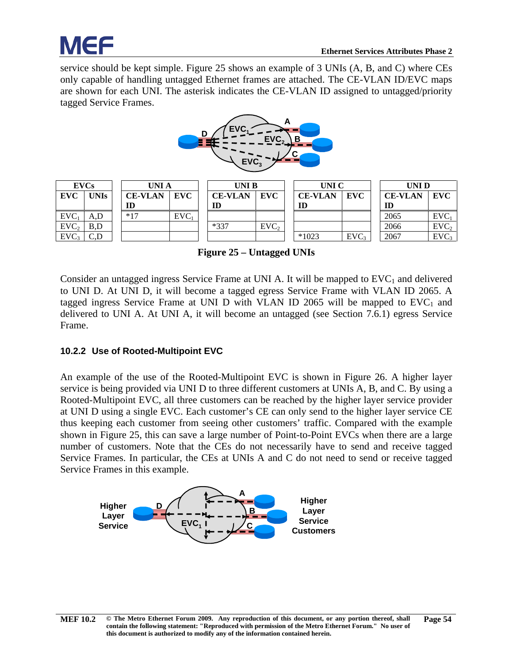

service should be kept simple. [Figure 25](#page-59-1) shows an example of 3 UNIs (A, B, and C) where CEs only capable of handling untagged Ethernet frames are attached. The CE-VLAN ID/EVC maps are shown for each UNI. The asterisk indicates the CE-VLAN ID assigned to untagged/priority tagged Service Frames.



| <b>EVCs</b><br><b>UNIA</b> |             | <b>UNIB</b>    |         |                | UNI C            |  |                | UNI D |  |                |                  |
|----------------------------|-------------|----------------|---------|----------------|------------------|--|----------------|-------|--|----------------|------------------|
| <b>EVC</b>                 | <b>UNIs</b> | <b>CE-VLAN</b> | EVC     | <b>CE-VLAN</b> | EVC              |  | <b>CE-VLAN</b> | EVC   |  | <b>CE-VLAN</b> | EVC              |
|                            |             | ID             |         | ID             |                  |  | ID             |       |  | ID             |                  |
| EVC                        | A,D         | $*17$          | $EVC_1$ |                |                  |  |                |       |  | 2065           | EVC              |
| EVC <sub>2</sub>           | B,D         |                |         | $*337$         | EVC <sub>2</sub> |  |                |       |  | 2066           | EVC <sub>2</sub> |
| EVC <sub>3</sub>           | $C_{\rm D}$ |                |         |                |                  |  | $*1023$        | EVC.  |  | 2067           | EVC <sub>3</sub> |

**Figure 25 – Untagged UNIs**

<span id="page-59-1"></span>Consider an untagged ingress Service Frame at UNI A. It will be mapped to  $EVC<sub>1</sub>$  and delivered to UNI D. At UNI D, it will become a tagged egress Service Frame with VLAN ID 2065. A tagged ingress Service Frame at UNI D with VLAN ID 2065 will be mapped to  $EVC<sub>1</sub>$  and delivered to UNI A. At UNI A, it will become an untagged (see Section [7.6.1\)](#page-36-3) egress Service Frame.

#### <span id="page-59-0"></span>**10.2.2 Use of Rooted-Multipoint EVC**

An example of the use of the Rooted-Multipoint EVC is shown in [Figure 26.](#page-60-2) A higher layer service is being provided via UNI D to three different customers at UNIs A, B, and C. By using a Rooted-Multipoint EVC, all three customers can be reached by the higher layer service provider at UNI D using a single EVC. Each customer's CE can only send to the higher layer service CE thus keeping each customer from seeing other customers' traffic. Compared with the example shown in [Figure 25,](#page-59-1) this can save a large number of Point-to-Point EVCs when there are a large number of customers. Note that the CEs do not necessarily have to send and receive tagged Service Frames. In particular, the CEs at UNIs A and C do not need to send or receive tagged Service Frames in this example.

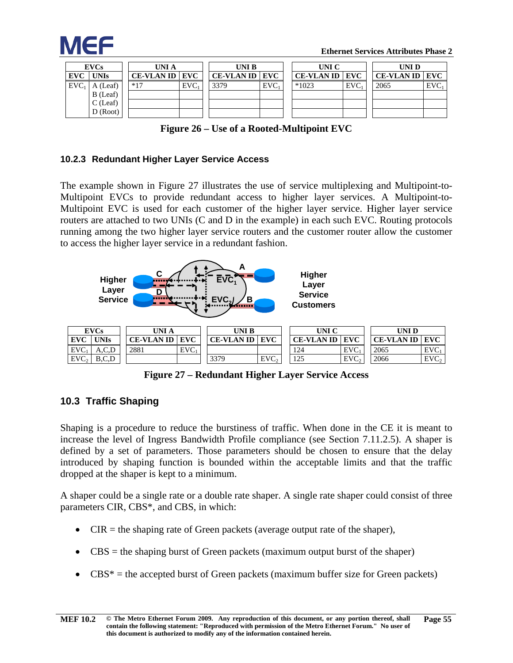

|            | <b>EVCs</b><br>UNI A |                   | UNI B |                         | UNI C      |                   |            | UNI D |                         |     |
|------------|----------------------|-------------------|-------|-------------------------|------------|-------------------|------------|-------|-------------------------|-----|
| <b>EVC</b> | UNIs                 | <b>CE-VLAN ID</b> | EVC   | <b>CE-VLAN ID   EVC</b> |            | <b>CE-VLAN ID</b> | <b>EVC</b> |       | <b>CE-VLAN ID   EVC</b> |     |
| $EVC_1$    | A (Leaf)             | $*17$             | EVC   | 3379                    | <b>EVC</b> | $*1023$           | $EVC_1$    |       | 2065                    | EVC |
|            | B (Leaf)             |                   |       |                         |            |                   |            |       |                         |     |
|            | $C$ (Leaf)           |                   |       |                         |            |                   |            |       |                         |     |
|            | D (Root)             |                   |       |                         |            |                   |            |       |                         |     |

**Figure 26 – Use of a Rooted-Multipoint EVC**

#### <span id="page-60-2"></span><span id="page-60-0"></span>**10.2.3 Redundant Higher Layer Service Access**

The example shown in [Figure 27](#page-60-3) illustrates the use of service multiplexing and Multipoint-to-Multipoint EVCs to provide redundant access to higher layer services. A Multipoint-to-Multipoint EVC is used for each customer of the higher layer service. Higher layer service routers are attached to two UNIs (C and D in the example) in each such EVC. Routing protocols running among the two higher layer service routers and the customer router allow the customer to access the higher layer service in a redundant fashion.



**Figure 27 – Redundant Higher Layer Service Access**

#### <span id="page-60-3"></span><span id="page-60-1"></span>**10.3 Traffic Shaping**

Shaping is a procedure to reduce the burstiness of traffic. When done in the CE it is meant to increase the level of Ingress Bandwidth Profile compliance (see Section [7.11.2.5\)](#page-46-0). A shaper is defined by a set of parameters. Those parameters should be chosen to ensure that the delay introduced by shaping function is bounded within the acceptable limits and that the traffic dropped at the shaper is kept to a minimum.

A shaper could be a single rate or a double rate shaper. A single rate shaper could consist of three parameters CIR, CBS\*, and CBS, in which:

- $CIR =$  the shaping rate of Green packets (average output rate of the shaper),
- CBS = the shaping burst of Green packets (maximum output burst of the shaper)
- $CBS^* =$  the accepted burst of Green packets (maximum buffer size for Green packets)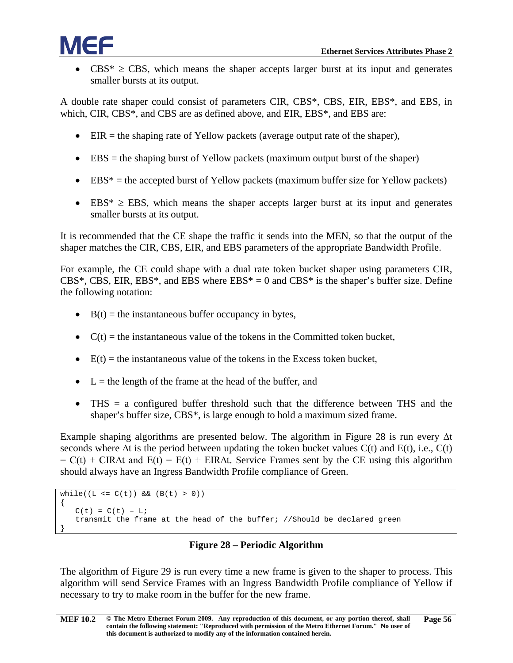$CBS^* \geq CBS$ , which means the shaper accepts larger burst at its input and generates smaller bursts at its output.

A double rate shaper could consist of parameters CIR, CBS\*, CBS, EIR, EBS\*, and EBS, in which, CIR, CBS\*, and CBS are as defined above, and EIR, EBS\*, and EBS are:

- EIR  $=$  the shaping rate of Yellow packets (average output rate of the shaper),
- EBS = the shaping burst of Yellow packets (maximum output burst of the shaper)
- $\bullet$  EBS\* = the accepted burst of Yellow packets (maximum buffer size for Yellow packets)
- EBS\*  $\geq$  EBS, which means the shaper accepts larger burst at its input and generates smaller bursts at its output.

It is recommended that the CE shape the traffic it sends into the MEN, so that the output of the shaper matches the CIR, CBS, EIR, and EBS parameters of the appropriate Bandwidth Profile.

For example, the CE could shape with a dual rate token bucket shaper using parameters CIR, CBS\*, CBS, EIR, EBS\*, and EBS where  $EBS^* = 0$  and  $CBS^*$  is the shaper's buffer size. Define the following notation:

- $B(t) =$  the instantaneous buffer occupancy in bytes,
- $C(t)$  = the instantaneous value of the tokens in the Committed token bucket,
- $E(t) =$  the instantaneous value of the tokens in the Excess token bucket,
- $\bullet$  L = the length of the frame at the head of the buffer, and
- THS = a configured buffer threshold such that the difference between THS and the shaper's buffer size, CBS\*, is large enough to hold a maximum sized frame.

Example shaping algorithms are presented below. The algorithm in [Figure 28](#page-61-0) is run every ∆t seconds where  $\Delta t$  is the period between updating the token bucket values  $C(t)$  and  $E(t)$ , i.e.,  $C(t)$  $= C(t) + CIR\Delta t$  and  $E(t) = E(t) + EIR\Delta t$ . Service Frames sent by the CE using this algorithm should always have an Ingress Bandwidth Profile compliance of Green.

```
while((L <= C(t)) && (B(t) > 0))
{
   C(t) = C(t) - Litransmit the frame at the head of the buffer; //Should be declared green
}
```
#### **Figure 28 – Periodic Algorithm**

<span id="page-61-0"></span>The algorithm of [Figure 29](#page-62-1) is run every time a new frame is given to the shaper to process. This algorithm will send Service Frames with an Ingress Bandwidth Profile compliance of Yellow if necessary to try to make room in the buffer for the new frame.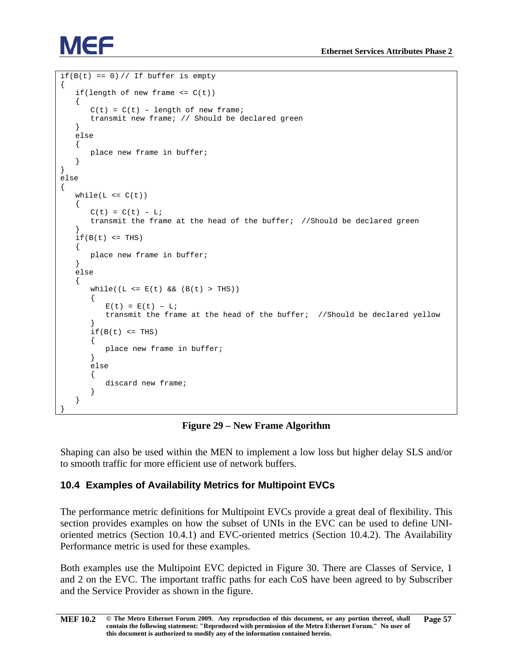```
if(B(t) == 0) // If buffer is empty{
   if(length of new frame \leq C(t))
   {
       C(t) = C(t) - length of new frame;
       transmit new frame; // Should be declared green
   }
   else
   {
      place new frame in buffer;
   }
}
else
{
   while(L \leq C(t))\left\{ \right.C(t) = C(t) - Litransmit the frame at the head of the buffer; //Should be declared green
   }
   if(B(t) < = THS){
       place new frame in buffer;
   }
   else
   {
       while((L \le E(t) \&&(B(t) > THS))
       {
          E(t) = E(t) - Litransmit the frame at the head of the buffer; //Should be declared yellow
       }
       if(B(t) < = THS){
          place new frame in buffer;
       }
       else
       {
          discard new frame;
       }
   }
}
```
#### **Figure 29 – New Frame Algorithm**

<span id="page-62-1"></span>Shaping can also be used within the MEN to implement a low loss but higher delay SLS and/or to smooth traffic for more efficient use of network buffers.

#### <span id="page-62-0"></span>**10.4 Examples of Availability Metrics for Multipoint EVCs**

The performance metric definitions for Multipoint EVCs provide a great deal of flexibility. This section provides examples on how the subset of UNIs in the EVC can be used to define UNIoriented metrics (Section [10.4.1\)](#page-63-0) and EVC-oriented metrics (Section [10.4.2\)](#page-64-0). The Availability Performance metric is used for these examples.

Both examples use the Multipoint EVC depicted in [Figure 30.](#page-63-1) There are Classes of Service, 1 and 2 on the EVC. The important traffic paths for each CoS have been agreed to by Subscriber and the Service Provider as shown in the figure.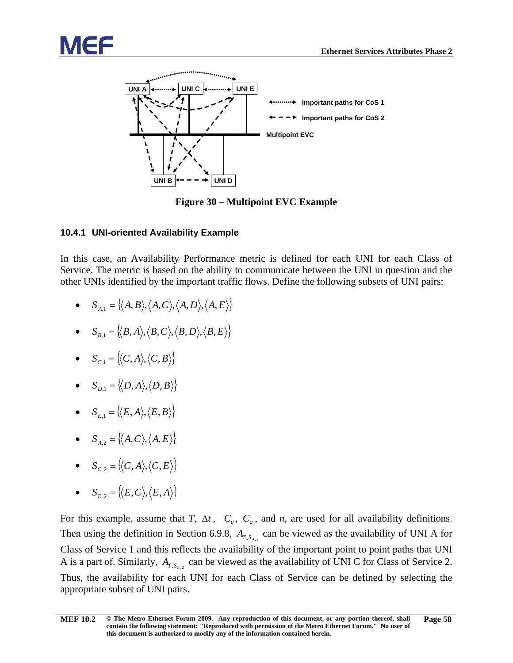



**Figure 30 – Multipoint EVC Example**

#### <span id="page-63-1"></span><span id="page-63-0"></span>**10.4.1 UNI-oriented Availability Example**

In this case, an Availability Performance metric is defined for each UNI for each Class of Service. The metric is based on the ability to communicate between the UNI in question and the other UNIs identified by the important traffic flows. Define the following subsets of UNI pairs:

- $S_{A_1} = \{ \langle A, B \rangle, \langle A, C \rangle, \langle A, D \rangle, \langle A, E \rangle \}$
- $S_{B,1} = \{ (B, A), (B, C), (B, D), (B, E) \}$
- $S_{C,1} = \{ \langle C, A \rangle, \langle C, B \rangle \}$
- $S_{D,1} = \{ \langle D, A \rangle, \langle D, B \rangle \}$
- $S_{E,1} = \{ \langle E, A \rangle, \langle E, B \rangle \}$
- $S_{A,2} = \{ \langle A, C \rangle, \langle A, E \rangle \}$
- $S_{C2} = \{(C, A), (C, E)\}$
- $S_{E,2} = \{(E, C), (E, A)\}$

For this example, assume that *T*,  $\Delta t$ ,  $C_u$ ,  $C_a$ , and *n*, are used for all availability definitions. Then using the definition in Section [6.9.8,](#page-33-0)  $A_{T, S_{A,1}}$  can be viewed as the availability of UNI A for Class of Service 1 and this reflects the availability of the important point to point paths that UNI A is a part of. Similarly,  $A_{T,S_C}$  can be viewed as the availability of UNI C for Class of Service 2. Thus, the availability for each UNI for each Class of Service can be defined by selecting the appropriate subset of UNI pairs.